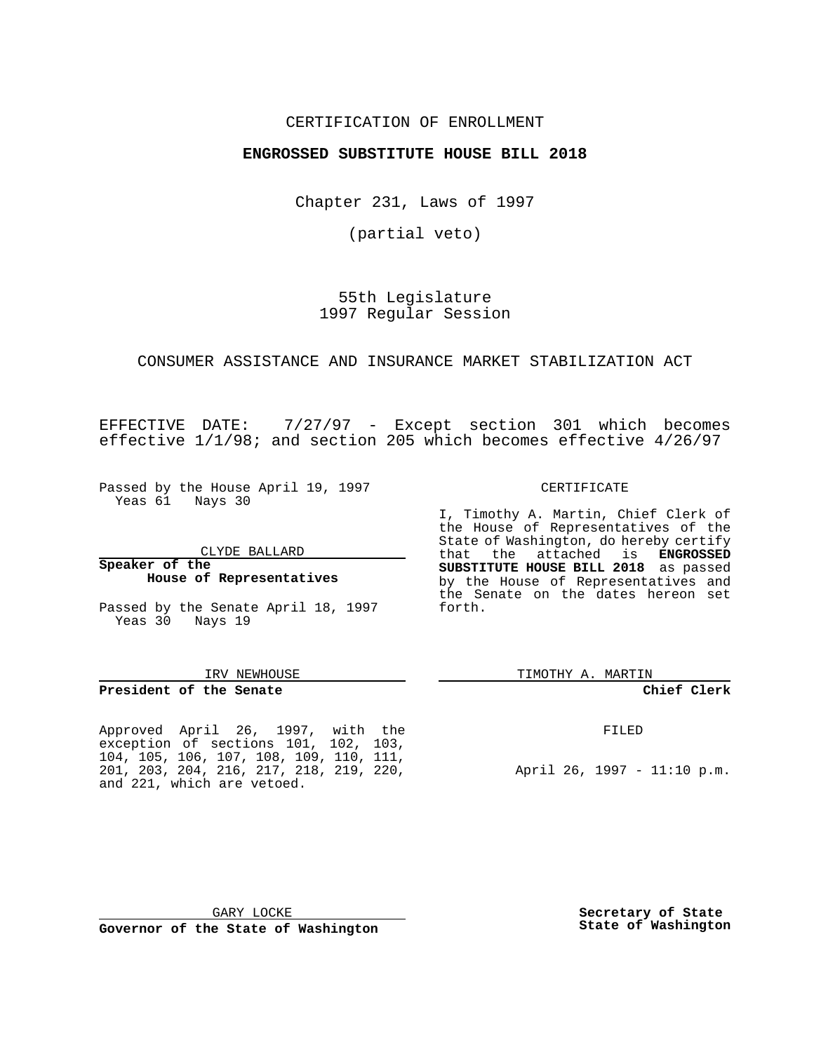## CERTIFICATION OF ENROLLMENT

# **ENGROSSED SUBSTITUTE HOUSE BILL 2018**

Chapter 231, Laws of 1997

(partial veto)

55th Legislature 1997 Regular Session

### CONSUMER ASSISTANCE AND INSURANCE MARKET STABILIZATION ACT

EFFECTIVE DATE: 7/27/97 - Except section 301 which becomes effective 1/1/98; and section 205 which becomes effective 4/26/97

Passed by the House April 19, 1997 Yeas 61 Nays 30

### **Speaker of the House of Representatives**

Passed by the Senate April 18, 1997 Yeas 30 Nays 19

### IRV NEWHOUSE

**President of the Senate**

Approved April 26, 1997, with the exception of sections 101, 102, 103, 104, 105, 106, 107, 108, 109, 110, 111, 201, 203, 204, 216, 217, 218, 219, 220, and 221, which are vetoed.

TIMOTHY A. MARTIN

### **Chief Clerk**

FILED

April 26, 1997 - 11:10 p.m.

GARY LOCKE **Governor of the State of Washington** **Secretary of State State of Washington**

CERTIFICATE

I, Timothy A. Martin, Chief Clerk of the House of Representatives of the State of Washington, do hereby certify that the attached is **ENGROSSED SUBSTITUTE HOUSE BILL 2018** as passed by the House of Representatives and the Senate on the dates hereon set forth.

CLYDE BALLARD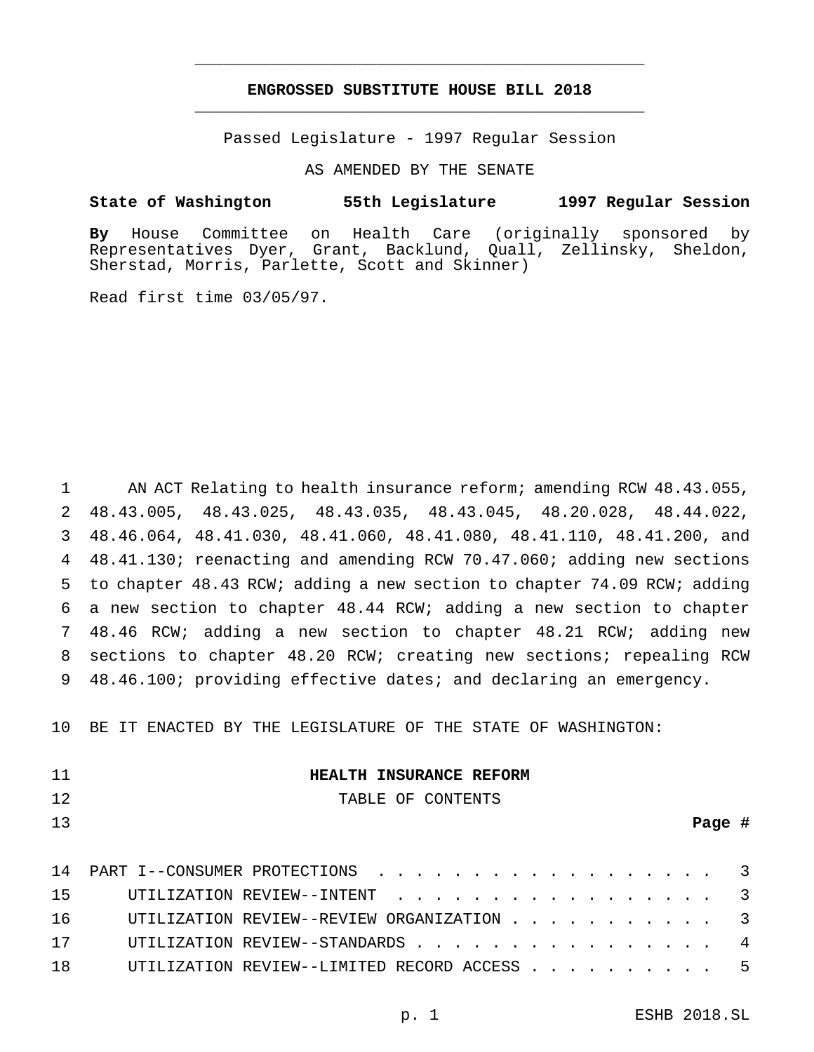# **ENGROSSED SUBSTITUTE HOUSE BILL 2018** \_\_\_\_\_\_\_\_\_\_\_\_\_\_\_\_\_\_\_\_\_\_\_\_\_\_\_\_\_\_\_\_\_\_\_\_\_\_\_\_\_\_\_\_\_\_\_

\_\_\_\_\_\_\_\_\_\_\_\_\_\_\_\_\_\_\_\_\_\_\_\_\_\_\_\_\_\_\_\_\_\_\_\_\_\_\_\_\_\_\_\_\_\_\_

Passed Legislature - 1997 Regular Session

AS AMENDED BY THE SENATE

### **State of Washington 55th Legislature 1997 Regular Session**

**By** House Committee on Health Care (originally sponsored by Representatives Dyer, Grant, Backlund, Quall, Zellinsky, Sheldon, Sherstad, Morris, Parlette, Scott and Skinner)

Read first time 03/05/97.

 AN ACT Relating to health insurance reform; amending RCW 48.43.055, 48.43.005, 48.43.025, 48.43.035, 48.43.045, 48.20.028, 48.44.022, 48.46.064, 48.41.030, 48.41.060, 48.41.080, 48.41.110, 48.41.200, and 48.41.130; reenacting and amending RCW 70.47.060; adding new sections to chapter 48.43 RCW; adding a new section to chapter 74.09 RCW; adding a new section to chapter 48.44 RCW; adding a new section to chapter 48.46 RCW; adding a new section to chapter 48.21 RCW; adding new sections to chapter 48.20 RCW; creating new sections; repealing RCW 48.46.100; providing effective dates; and declaring an emergency.

10 BE IT ENACTED BY THE LEGISLATURE OF THE STATE OF WASHINGTON:

| -11 | HEALTH INSURANCE REFORM        |  |
|-----|--------------------------------|--|
| 12. | TABLE OF CONTENTS              |  |
| 13  | Page #                         |  |
|     |                                |  |
| 14  | PART I--CONSUMER PROTECTIONS 3 |  |
| 15  | UTILIZATION REVIEW--INTENT     |  |

|  | UTILIZATION REVIEW--STANDARDS                |  |  |  |  |  |  |
|--|----------------------------------------------|--|--|--|--|--|--|
|  | ITTILIZATION REVIEW--LIMITED RECORD ACCESS 5 |  |  |  |  |  |  |

16 UTILIZATION REVIEW--REVIEW ORGANIZATION . . . . . . . . . . 3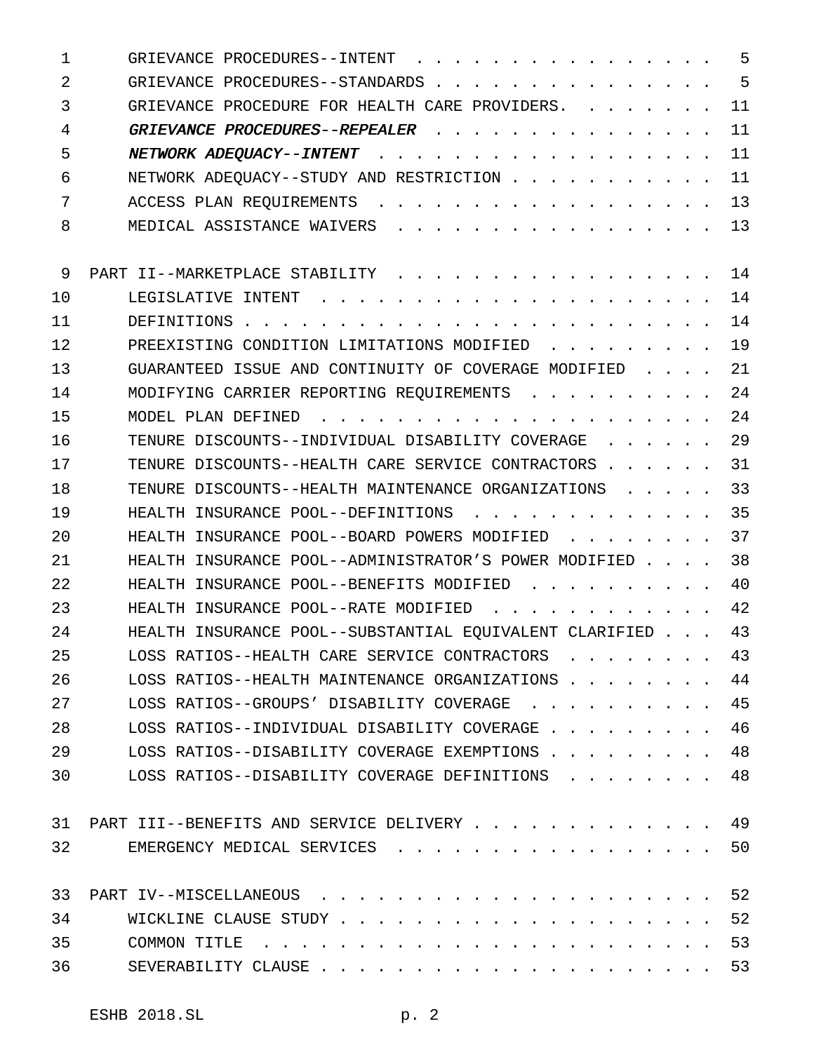| 1  | GRIEVANCE PROCEDURES--INTENT                                                                                               | 5  |
|----|----------------------------------------------------------------------------------------------------------------------------|----|
| 2  | GRIEVANCE PROCEDURES--STANDARDS                                                                                            | 5  |
| 3  | GRIEVANCE PROCEDURE FOR HEALTH CARE PROVIDERS.<br>$\mathbf{r}$ , $\mathbf{r}$ , $\mathbf{r}$ , $\mathbf{r}$ , $\mathbf{r}$ | 11 |
| 4  | GRIEVANCE PROCEDURES--REPEALER                                                                                             | 11 |
| 5  | NETWORK ADEQUACY--INTENT                                                                                                   | 11 |
| 6  | NETWORK ADEOUACY--STUDY AND RESTRICTION                                                                                    | 11 |
| 7  | ACCESS PLAN REQUIREMENTS                                                                                                   | 13 |
| 8  | MEDICAL ASSISTANCE WAIVERS<br>.                                                                                            | 13 |
| 9  | PART II--MARKETPLACE STABILITY                                                                                             | 14 |
| 10 | LEGISLATIVE INTENT<br>$\mathbf{r}$ . The set of the set of $\mathbf{r}$                                                    | 14 |
| 11 | DEFINITIONS                                                                                                                | 14 |
| 12 | PREEXISTING CONDITION LIMITATIONS MODIFIED                                                                                 | 19 |
| 13 | GUARANTEED ISSUE AND CONTINUITY OF COVERAGE MODIFIED                                                                       | 21 |
| 14 | MODIFYING CARRIER REPORTING REQUIREMENTS                                                                                   | 24 |
| 15 | .<br>MODEL PLAN DEFINED                                                                                                    | 24 |
| 16 | TENURE DISCOUNTS--INDIVIDUAL DISABILITY COVERAGE                                                                           | 29 |
| 17 | TENURE DISCOUNTS--HEALTH CARE SERVICE CONTRACTORS                                                                          | 31 |
| 18 | TENURE DISCOUNTS--HEALTH MAINTENANCE ORGANIZATIONS                                                                         | 33 |
| 19 | HEALTH INSURANCE POOL--DEFINITIONS<br>$\cdot$                                                                              | 35 |
| 20 | HEALTH INSURANCE POOL--BOARD POWERS MODIFIED                                                                               | 37 |
| 21 | HEALTH INSURANCE POOL--ADMINISTRATOR'S POWER MODIFIED.                                                                     | 38 |
| 22 | HEALTH INSURANCE POOL--BENEFITS MODIFIED                                                                                   | 40 |
| 23 | $\mathbf{r}$ and $\mathbf{r}$ and $\mathbf{r}$ and $\mathbf{r}$ and $\mathbf{r}$<br>HEALTH INSURANCE POOL--RATE MODIFIED   | 42 |
| 24 | HEALTH INSURANCE POOL--SUBSTANTIAL EQUIVALENT CLARIFIED                                                                    | 43 |
| 25 | LOSS RATIOS--HEALTH CARE SERVICE CONTRACTORS                                                                               | 43 |
| 26 | LOSS RATIOS--HEALTH MAINTENANCE ORGANIZATIONS.                                                                             | 44 |
| 27 | LOSS RATIOS--GROUPS' DISABILITY COVERAGE                                                                                   | 45 |
| 28 | LOSS RATIOS--INDIVIDUAL DISABILITY COVERAGE                                                                                | 46 |
| 29 | LOSS RATIOS--DISABILITY COVERAGE EXEMPTIONS.                                                                               | 48 |
| 30 | LOSS RATIOS--DISABILITY COVERAGE DEFINITIONS                                                                               | 48 |
| 31 | PART III--BENEFITS AND SERVICE DELIVERY                                                                                    | 49 |
| 32 | EMERGENCY MEDICAL SERVICES                                                                                                 | 50 |
| 33 | PART IV--MISCELLANEOUS                                                                                                     | 52 |
| 34 | WICKLINE CLAUSE STUDY.                                                                                                     | 52 |
| 35 | COMMON TITLE                                                                                                               | 53 |
| 36 | SEVERABILITY CLAUSE.                                                                                                       | 53 |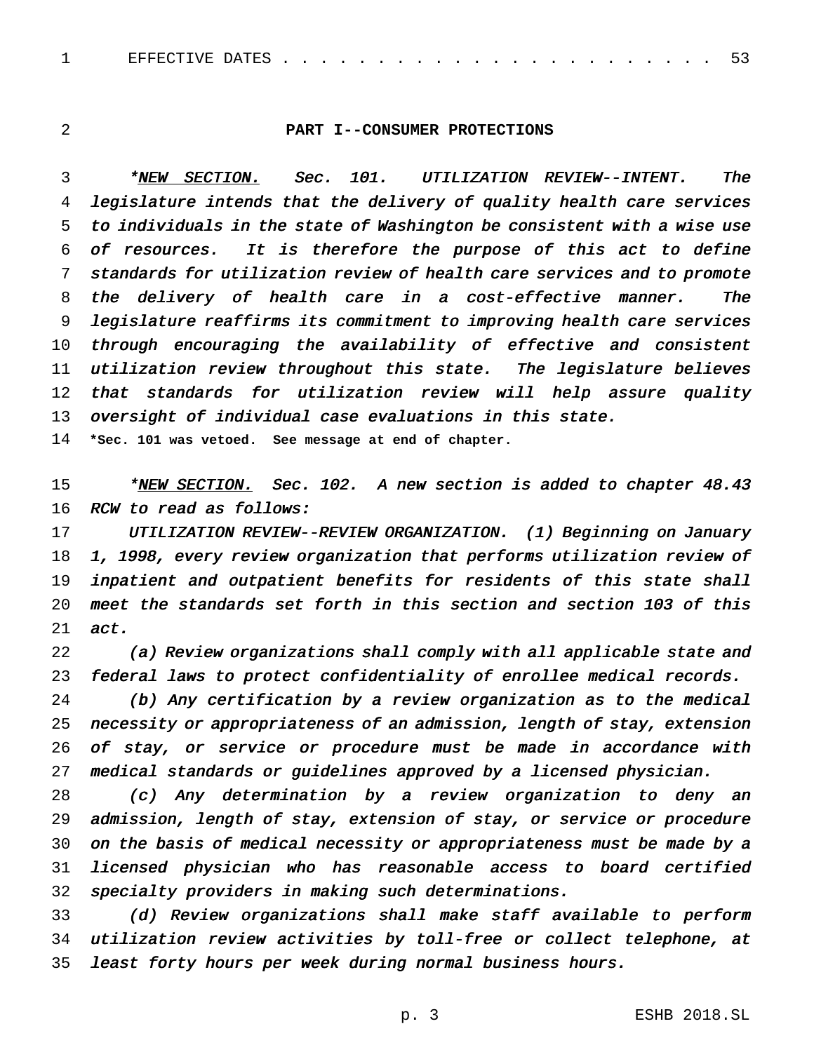## **PART I--CONSUMER PROTECTIONS**

3 \*NEW SECTION. Sec. 101. UTILIZATION REVIEW--INTENT. The legislature intends that the delivery of quality health care services to individuals in the state of Washington be consistent with <sup>a</sup> wise use of resources. It is therefore the purpose of this act to define standards for utilization review of health care services and to promote the delivery of health care in <sup>a</sup> cost-effective manner. The legislature reaffirms its commitment to improving health care services through encouraging the availability of effective and consistent utilization review throughout this state. The legislature believes that standards for utilization review will help assure quality oversight of individual case evaluations in this state.

**\*Sec. 101 was vetoed. See message at end of chapter.**

15 \*NEW SECTION. Sec. 102. A new section is added to chapter 48.43 16 RCW to read as follows:

17 UTILIZATION REVIEW--REVIEW ORGANIZATION. (1) Beginning on January 1, 1998, every review organization that performs utilization review of inpatient and outpatient benefits for residents of this state shall meet the standards set forth in this section and section <sup>103</sup> of this act.

 (a) Review organizations shall comply with all applicable state and federal laws to protect confidentiality of enrollee medical records.

 (b) Any certification by <sup>a</sup> review organization as to the medical necessity or appropriateness of an admission, length of stay, extension of stay, or service or procedure must be made in accordance with medical standards or guidelines approved by <sup>a</sup> licensed physician.

 (c) Any determination by <sup>a</sup> review organization to deny an admission, length of stay, extension of stay, or service or procedure on the basis of medical necessity or appropriateness must be made by <sup>a</sup> licensed physician who has reasonable access to board certified specialty providers in making such determinations.

 (d) Review organizations shall make staff available to perform utilization review activities by toll-free or collect telephone, at least forty hours per week during normal business hours.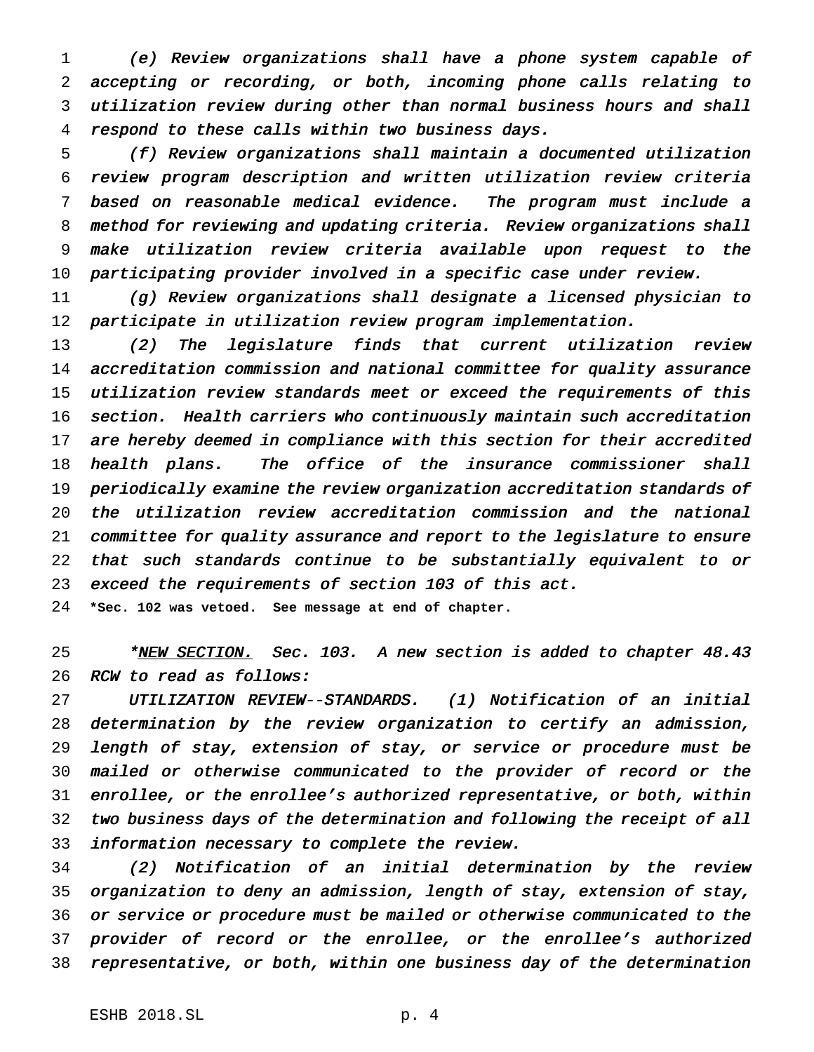(e) Review organizations shall have <sup>a</sup> phone system capable of accepting or recording, or both, incoming phone calls relating to utilization review during other than normal business hours and shall respond to these calls within two business days.

 (f) Review organizations shall maintain <sup>a</sup> documented utilization review program description and written utilization review criteria based on reasonable medical evidence. The program must include <sup>a</sup> method for reviewing and updating criteria. Review organizations shall make utilization review criteria available upon request to the participating provider involved in <sup>a</sup> specific case under review.

 (g) Review organizations shall designate <sup>a</sup> licensed physician to participate in utilization review program implementation.

 (2) The legislature finds that current utilization review accreditation commission and national committee for quality assurance utilization review standards meet or exceed the requirements of this section. Health carriers who continuously maintain such accreditation 17 are hereby deemed in compliance with this section for their accredited 18 health plans. The office of the insurance commissioner shall periodically examine the review organization accreditation standards of the utilization review accreditation commission and the national committee for quality assurance and report to the legislature to ensure that such standards continue to be substantially equivalent to or exceed the requirements of section <sup>103</sup> of this act.

**\*Sec. 102 was vetoed. See message at end of chapter.**

<sup>25</sup> \*<u>NEW SECTION.</u> Sec. 103. A new section is added to chapter 48.43 RCW to read as follows:

 UTILIZATION REVIEW--STANDARDS. (1) Notification of an initial determination by the review organization to certify an admission, length of stay, extension of stay, or service or procedure must be mailed or otherwise communicated to the provider of record or the enrollee, or the enrollee's authorized representative, or both, within two business days of the determination and following the receipt of all information necessary to complete the review.

 (2) Notification of an initial determination by the review organization to deny an admission, length of stay, extension of stay, or service or procedure must be mailed or otherwise communicated to the provider of record or the enrollee, or the enrollee's authorized representative, or both, within one business day of the determination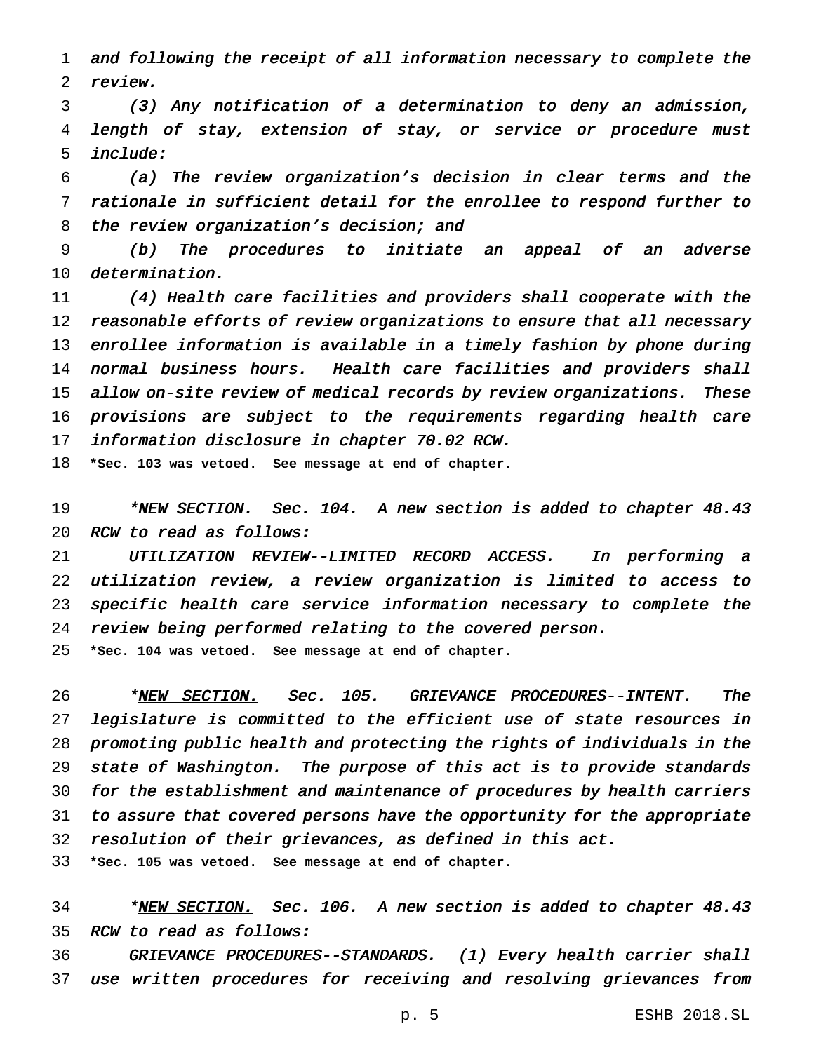and following the receipt of all information necessary to complete the review.

 (3) Any notification of <sup>a</sup> determination to deny an admission, length of stay, extension of stay, or service or procedure must include:

 (a) The review organization's decision in clear terms and the rationale in sufficient detail for the enrollee to respond further to 8 the review organization's decision; and

 (b) The procedures to initiate an appeal of an adverse determination.

 (4) Health care facilities and providers shall cooperate with the 12 reasonable efforts of review organizations to ensure that all necessary enrollee information is available in <sup>a</sup> timely fashion by phone during 14 normal business hours. Health care facilities and providers shall allow on-site review of medical records by review organizations. These provisions are subject to the requirements regarding health care information disclosure in chapter 70.02 RCW.

**\*Sec. 103 was vetoed. See message at end of chapter.**

19 \*<u>NEW SECTION.</u> Sec. 104. A new section is added to chapter 48.43 20 RCW to read as follows:

 UTILIZATION REVIEW--LIMITED RECORD ACCESS. In performing <sup>a</sup> utilization review, <sup>a</sup> review organization is limited to access to specific health care service information necessary to complete the review being performed relating to the covered person.

**\*Sec. 104 was vetoed. See message at end of chapter.**

26 \*NEW SECTION. Sec. 105. GRIEVANCE PROCEDURES--INTENT. The legislature is committed to the efficient use of state resources in promoting public health and protecting the rights of individuals in the state of Washington. The purpose of this act is to provide standards for the establishment and maintenance of procedures by health carriers to assure that covered persons have the opportunity for the appropriate resolution of their grievances, as defined in this act.

**\*Sec. 105 was vetoed. See message at end of chapter.**

34 \*NEW SECTION. Sec. 106. A new section is added to chapter 48.43 RCW to read as follows:

 GRIEVANCE PROCEDURES--STANDARDS. (1) Every health carrier shall use written procedures for receiving and resolving grievances from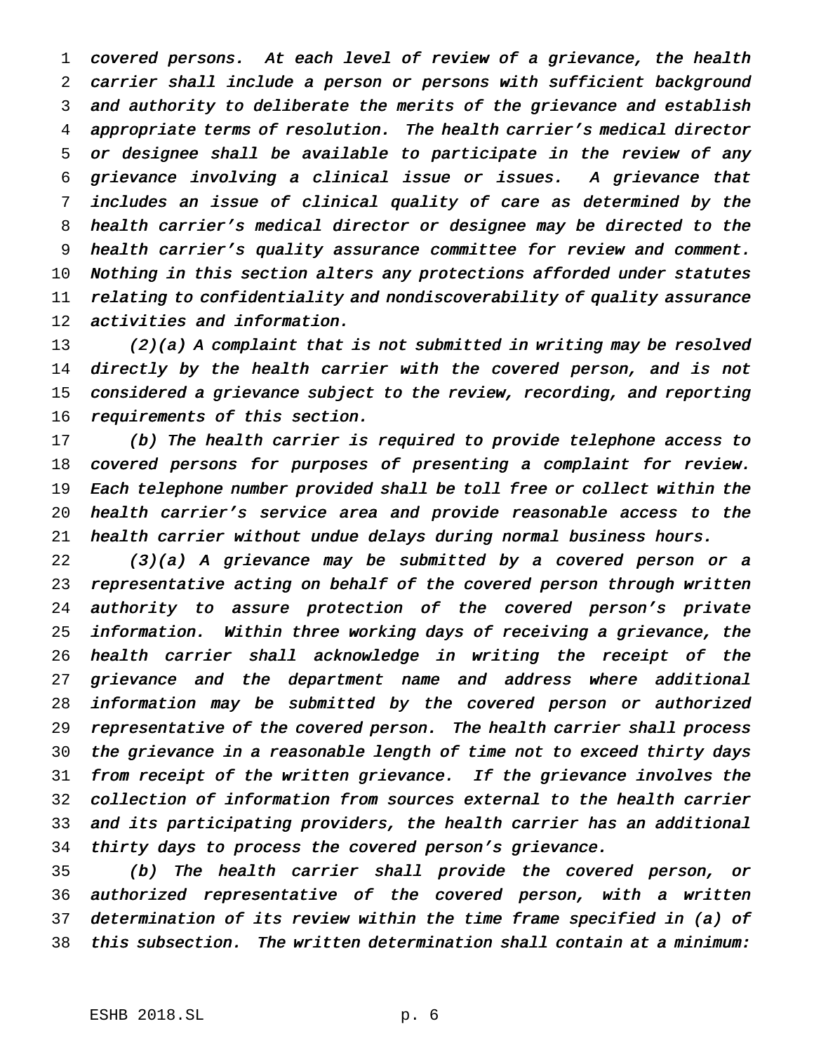covered persons. At each level of review of <sup>a</sup> grievance, the health carrier shall include <sup>a</sup> person or persons with sufficient background and authority to deliberate the merits of the grievance and establish appropriate terms of resolution. The health carrier's medical director or designee shall be available to participate in the review of any grievance involving <sup>a</sup> clinical issue or issues. <sup>A</sup> grievance that includes an issue of clinical quality of care as determined by the health carrier's medical director or designee may be directed to the health carrier's quality assurance committee for review and comment. Nothing in this section alters any protections afforded under statutes relating to confidentiality and nondiscoverability of quality assurance activities and information.

 (2)(a) <sup>A</sup> complaint that is not submitted in writing may be resolved 14 directly by the health carrier with the covered person, and is not considered <sup>a</sup> grievance subject to the review, recording, and reporting requirements of this section.

 (b) The health carrier is required to provide telephone access to covered persons for purposes of presenting <sup>a</sup> complaint for review. Each telephone number provided shall be toll free or collect within the health carrier's service area and provide reasonable access to the health carrier without undue delays during normal business hours.

 (3)(a) <sup>A</sup> grievance may be submitted by <sup>a</sup> covered person or <sup>a</sup> representative acting on behalf of the covered person through written 24 authority to assure protection of the covered person's private information. Within three working days of receiving <sup>a</sup> grievance, the health carrier shall acknowledge in writing the receipt of the grievance and the department name and address where additional information may be submitted by the covered person or authorized representative of the covered person. The health carrier shall process the grievance in <sup>a</sup> reasonable length of time not to exceed thirty days from receipt of the written grievance. If the grievance involves the collection of information from sources external to the health carrier and its participating providers, the health carrier has an additional 34 thirty days to process the covered person's grievance.

 (b) The health carrier shall provide the covered person, or authorized representative of the covered person, with <sup>a</sup> written determination of its review within the time frame specified in (a) of this subsection. The written determination shall contain at <sup>a</sup> minimum: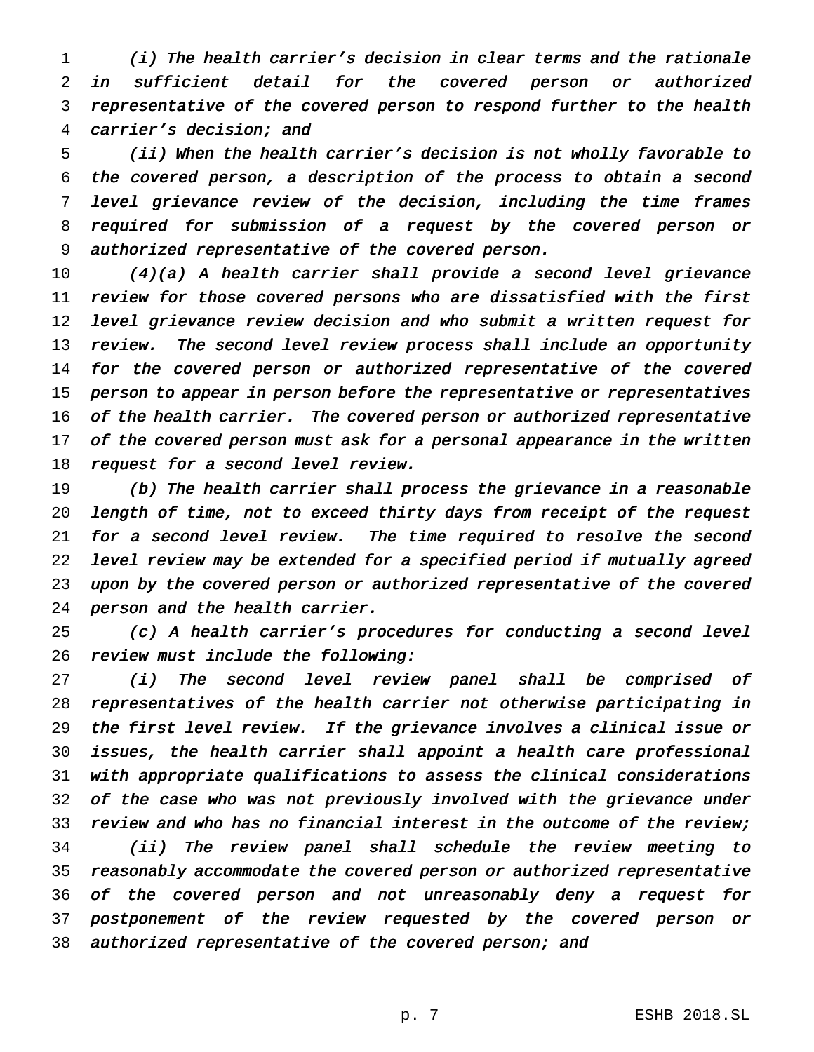(i) The health carrier's decision in clear terms and the rationale in sufficient detail for the covered person or authorized representative of the covered person to respond further to the health carrier's decision; and

 (ii) When the health carrier's decision is not wholly favorable to the covered person, <sup>a</sup> description of the process to obtain <sup>a</sup> second level grievance review of the decision, including the time frames required for submission of <sup>a</sup> request by the covered person or authorized representative of the covered person.

 (4)(a) <sup>A</sup> health carrier shall provide <sup>a</sup> second level grievance review for those covered persons who are dissatisfied with the first level grievance review decision and who submit <sup>a</sup> written request for 13 review. The second level review process shall include an opportunity 14 for the covered person or authorized representative of the covered 15 person to appear in person before the representative or representatives 16 of the health carrier. The covered person or authorized representative 17 of the covered person must ask for a personal appearance in the written 18 request for a second level review.

 (b) The health carrier shall process the grievance in <sup>a</sup> reasonable length of time, not to exceed thirty days from receipt of the request for <sup>a</sup> second level review. The time required to resolve the second level review may be extended for <sup>a</sup> specified period if mutually agreed upon by the covered person or authorized representative of the covered person and the health carrier.

 (c) <sup>A</sup> health carrier's procedures for conducting <sup>a</sup> second level review must include the following:

 (i) The second level review panel shall be comprised of representatives of the health carrier not otherwise participating in the first level review. If the grievance involves <sup>a</sup> clinical issue or issues, the health carrier shall appoint <sup>a</sup> health care professional with appropriate qualifications to assess the clinical considerations 32 of the case who was not previously involved with the grievance under review and who has no financial interest in the outcome of the review; (ii) The review panel shall schedule the review meeting to reasonably accommodate the covered person or authorized representative of the covered person and not unreasonably deny <sup>a</sup> request for postponement of the review requested by the covered person or 38 authorized representative of the covered person; and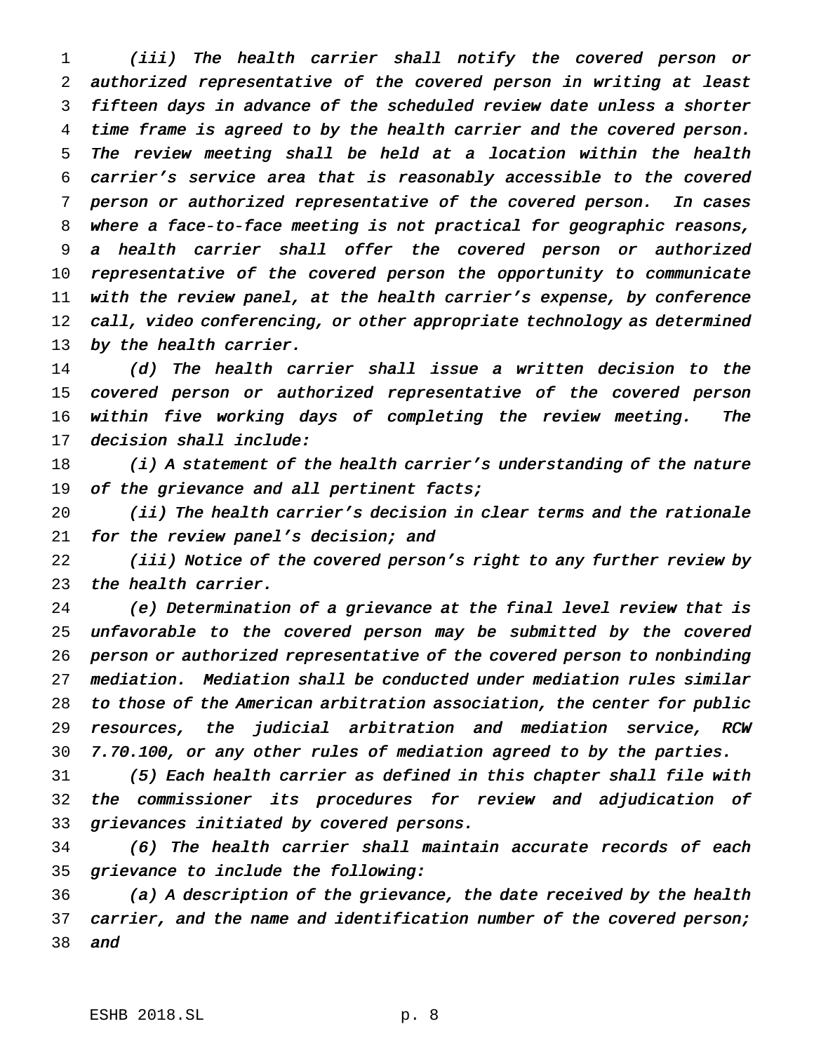(iii) The health carrier shall notify the covered person or authorized representative of the covered person in writing at least fifteen days in advance of the scheduled review date unless <sup>a</sup> shorter time frame is agreed to by the health carrier and the covered person. The review meeting shall be held at <sup>a</sup> location within the health carrier's service area that is reasonably accessible to the covered person or authorized representative of the covered person. In cases where <sup>a</sup> face-to-face meeting is not practical for geographic reasons, <sup>a</sup> health carrier shall offer the covered person or authorized representative of the covered person the opportunity to communicate with the review panel, at the health carrier's expense, by conference 12 call, video conferencing, or other appropriate technology as determined 13 by the health carrier.

 (d) The health carrier shall issue <sup>a</sup> written decision to the covered person or authorized representative of the covered person within five working days of completing the review meeting. The decision shall include:

18 (i) A statement of the health carrier's understanding of the nature 19 of the grievance and all pertinent facts;

 (ii) The health carrier's decision in clear terms and the rationale for the review panel's decision; and

 (iii) Notice of the covered person's right to any further review by the health carrier.

 (e) Determination of <sup>a</sup> grievance at the final level review that is unfavorable to the covered person may be submitted by the covered person or authorized representative of the covered person to nonbinding mediation. Mediation shall be conducted under mediation rules similar to those of the American arbitration association, the center for public resources, the judicial arbitration and mediation service, RCW 7.70.100, or any other rules of mediation agreed to by the parties.

 (5) Each health carrier as defined in this chapter shall file with the commissioner its procedures for review and adjudication of grievances initiated by covered persons.

 (6) The health carrier shall maintain accurate records of each grievance to include the following:

 (a) <sup>A</sup> description of the grievance, the date received by the health 37 carrier, and the name and identification number of the covered person; and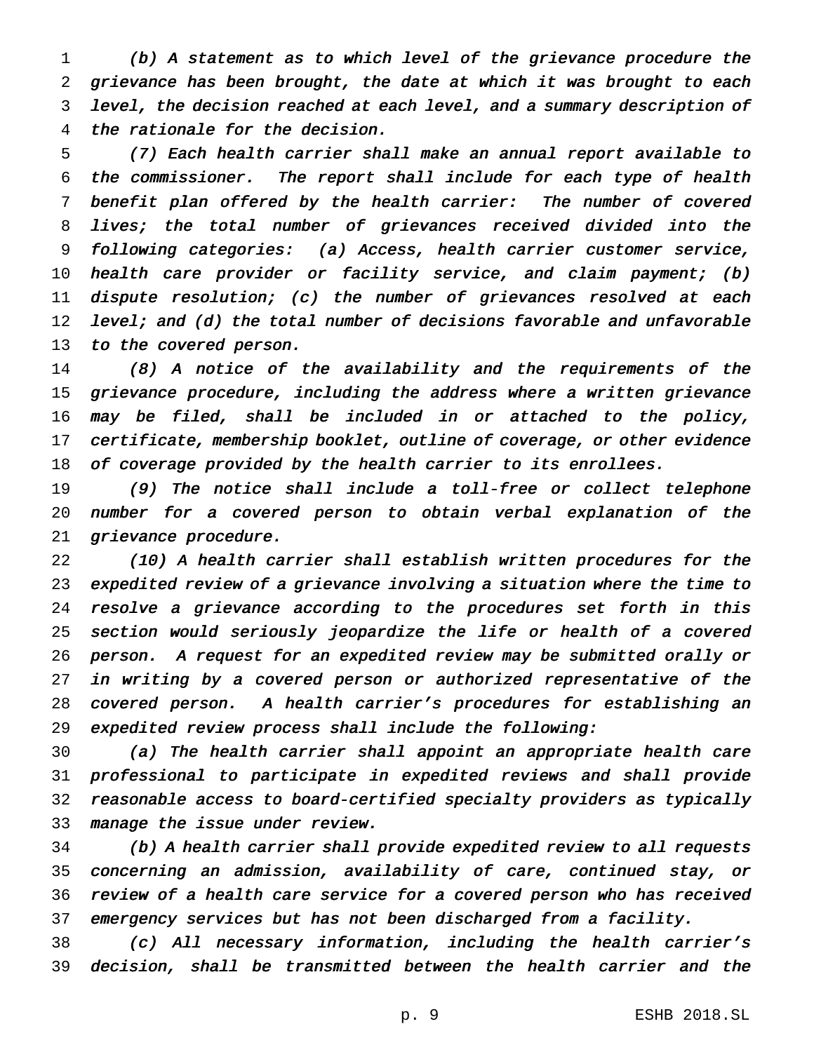(b) <sup>A</sup> statement as to which level of the grievance procedure the grievance has been brought, the date at which it was brought to each level, the decision reached at each level, and <sup>a</sup> summary description of the rationale for the decision.

 (7) Each health carrier shall make an annual report available to the commissioner. The report shall include for each type of health benefit plan offered by the health carrier: The number of covered lives; the total number of grievances received divided into the following categories: (a) Access, health carrier customer service, health care provider or facility service, and claim payment; (b) dispute resolution; (c) the number of grievances resolved at each 12 level; and (d) the total number of decisions favorable and unfavorable 13 to the covered person.

 (8) <sup>A</sup> notice of the availability and the requirements of the grievance procedure, including the address where <sup>a</sup> written grievance may be filed, shall be included in or attached to the policy, certificate, membership booklet, outline of coverage, or other evidence 18 of coverage provided by the health carrier to its enrollees.

 (9) The notice shall include <sup>a</sup> toll-free or collect telephone number for <sup>a</sup> covered person to obtain verbal explanation of the grievance procedure.

 (10) <sup>A</sup> health carrier shall establish written procedures for the expedited review of <sup>a</sup> grievance involving <sup>a</sup> situation where the time to resolve <sup>a</sup> grievance according to the procedures set forth in this section would seriously jeopardize the life or health of <sup>a</sup> covered person. <sup>A</sup> request for an expedited review may be submitted orally or in writing by <sup>a</sup> covered person or authorized representative of the covered person. <sup>A</sup> health carrier's procedures for establishing an expedited review process shall include the following:

 (a) The health carrier shall appoint an appropriate health care professional to participate in expedited reviews and shall provide reasonable access to board-certified specialty providers as typically manage the issue under review.

 (b) <sup>A</sup> health carrier shall provide expedited review to all requests concerning an admission, availability of care, continued stay, or review of <sup>a</sup> health care service for <sup>a</sup> covered person who has received emergency services but has not been discharged from <sup>a</sup> facility.

 (c) All necessary information, including the health carrier's decision, shall be transmitted between the health carrier and the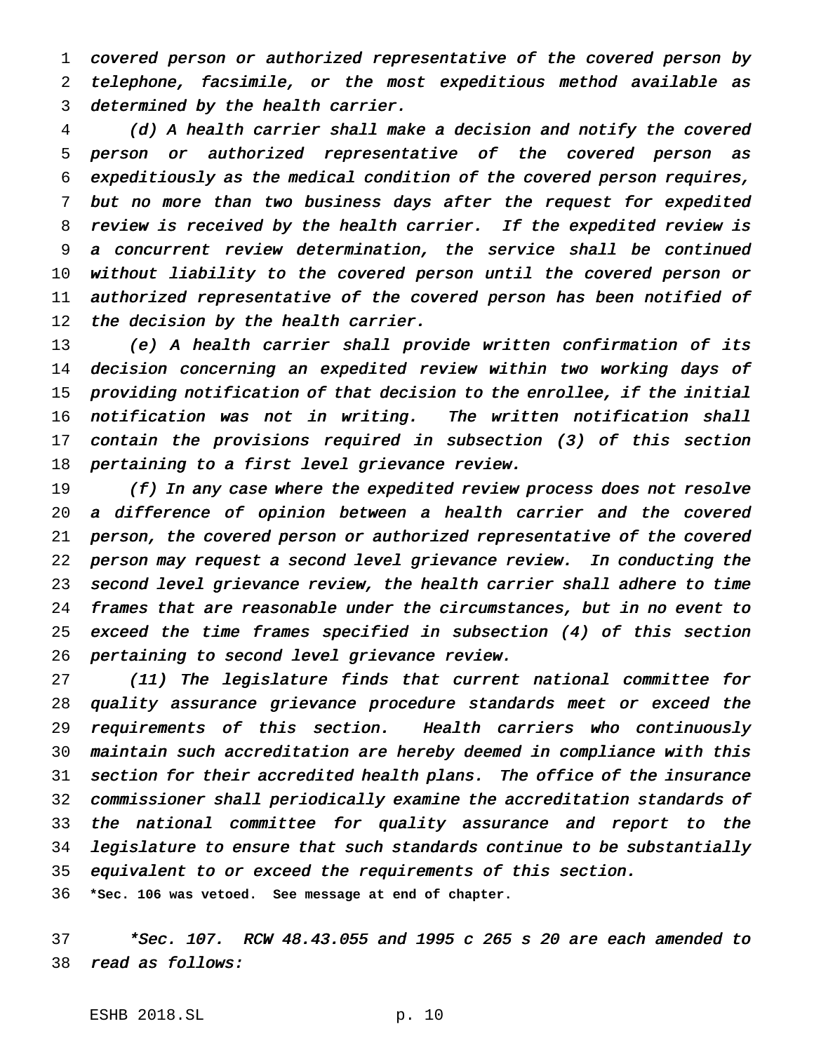covered person or authorized representative of the covered person by telephone, facsimile, or the most expeditious method available as determined by the health carrier.

 (d) <sup>A</sup> health carrier shall make <sup>a</sup> decision and notify the covered person or authorized representative of the covered person as expeditiously as the medical condition of the covered person requires, but no more than two business days after the request for expedited review is received by the health carrier. If the expedited review is <sup>a</sup> concurrent review determination, the service shall be continued without liability to the covered person until the covered person or authorized representative of the covered person has been notified of 12 the decision by the health carrier.

 (e) <sup>A</sup> health carrier shall provide written confirmation of its decision concerning an expedited review within two working days of providing notification of that decision to the enrollee, if the initial notification was not in writing. The written notification shall contain the provisions required in subsection (3) of this section pertaining to <sup>a</sup> first level grievance review.

19 (f) In any case where the expedited review process does not resolve <sup>a</sup> difference of opinion between <sup>a</sup> health carrier and the covered person, the covered person or authorized representative of the covered person may request <sup>a</sup> second level grievance review. In conducting the second level grievance review, the health carrier shall adhere to time frames that are reasonable under the circumstances, but in no event to exceed the time frames specified in subsection (4) of this section pertaining to second level grievance review.

 (11) The legislature finds that current national committee for quality assurance grievance procedure standards meet or exceed the requirements of this section. Health carriers who continuously maintain such accreditation are hereby deemed in compliance with this section for their accredited health plans. The office of the insurance commissioner shall periodically examine the accreditation standards of the national committee for quality assurance and report to the legislature to ensure that such standards continue to be substantially equivalent to or exceed the requirements of this section.

**\*Sec. 106 was vetoed. See message at end of chapter.**

 \*Sec. 107. RCW 48.43.055 and <sup>1995</sup> <sup>c</sup> <sup>265</sup> <sup>s</sup> <sup>20</sup> are each amended to read as follows: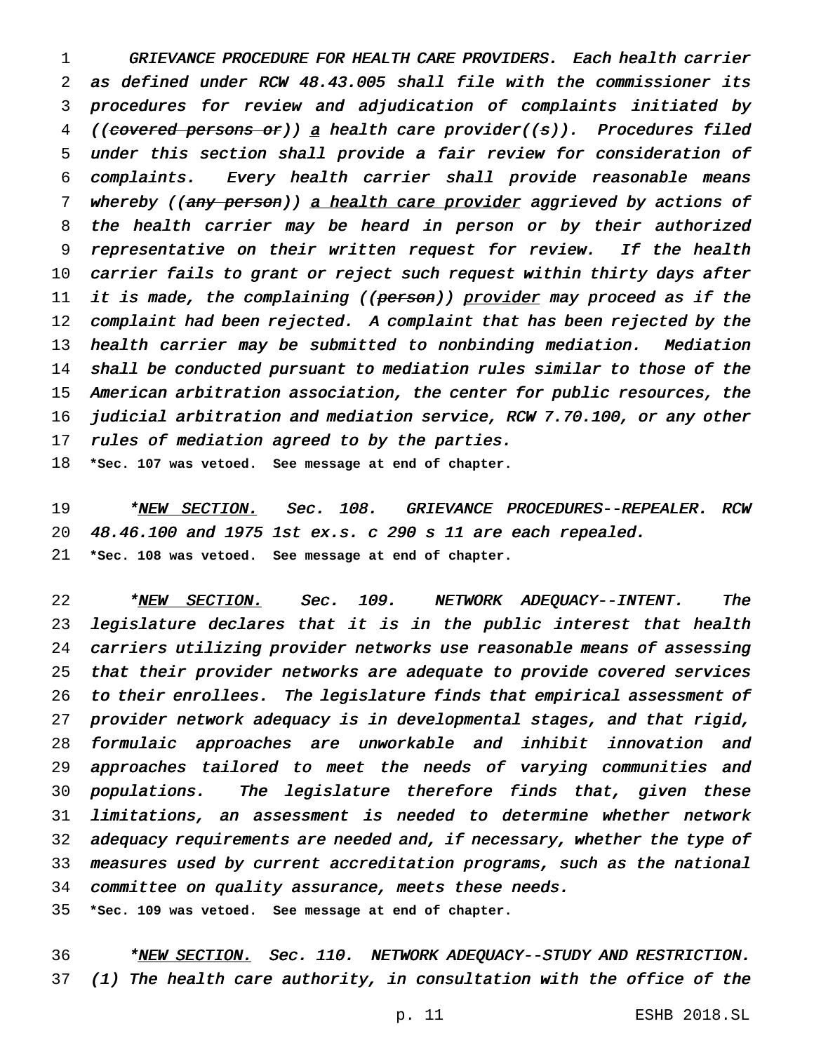GRIEVANCE PROCEDURE FOR HEALTH CARE PROVIDERS. Each health carrier as defined under RCW 48.43.005 shall file with the commissioner its procedures for review and adjudication of complaints initiated by 4 ((covered persons or)) a health care provider((s)). Procedures filed under this section shall provide <sup>a</sup> fair review for consideration of complaints. Every health carrier shall provide reasonable means 7 whereby ((any person)) a health care provider aggrieved by actions of the health carrier may be heard in person or by their authorized 9 representative on their written request for review. If the health carrier fails to grant or reject such request within thirty days after 11 it is made, the complaining ((<del>person</del>)) <u>provider</u> may proceed as if the complaint had been rejected. <sup>A</sup> complaint that has been rejected by the health carrier may be submitted to nonbinding mediation. Mediation shall be conducted pursuant to mediation rules similar to those of the American arbitration association, the center for public resources, the judicial arbitration and mediation service, RCW 7.70.100, or any other 17 rules of mediation agreed to by the parties.

**\*Sec. 107 was vetoed. See message at end of chapter.**

19 \*NEW SECTION. Sec. 108. GRIEVANCE PROCEDURES--REPEALER.RCW 48.46.100 and <sup>1975</sup> 1st ex.s. <sup>c</sup> <sup>290</sup> <sup>s</sup> <sup>11</sup> are each repealed. **\*Sec. 108 was vetoed. See message at end of chapter.**

22 \*NEW SECTION. Sec. 109. NETWORK ADEQUACY--INTENT. The legislature declares that it is in the public interest that health carriers utilizing provider networks use reasonable means of assessing that their provider networks are adequate to provide covered services to their enrollees. The legislature finds that empirical assessment of provider network adequacy is in developmental stages, and that rigid, formulaic approaches are unworkable and inhibit innovation and approaches tailored to meet the needs of varying communities and populations. The legislature therefore finds that, given these limitations, an assessment is needed to determine whether network 32 adequacy requirements are needed and, if necessary, whether the type of measures used by current accreditation programs, such as the national committee on quality assurance, meets these needs.

**\*Sec. 109 was vetoed. See message at end of chapter.**

36 \*NEW SECTION. Sec. 110. NETWORK ADEQUACY--STUDY AND RESTRICTION. (1) The health care authority, in consultation with the office of the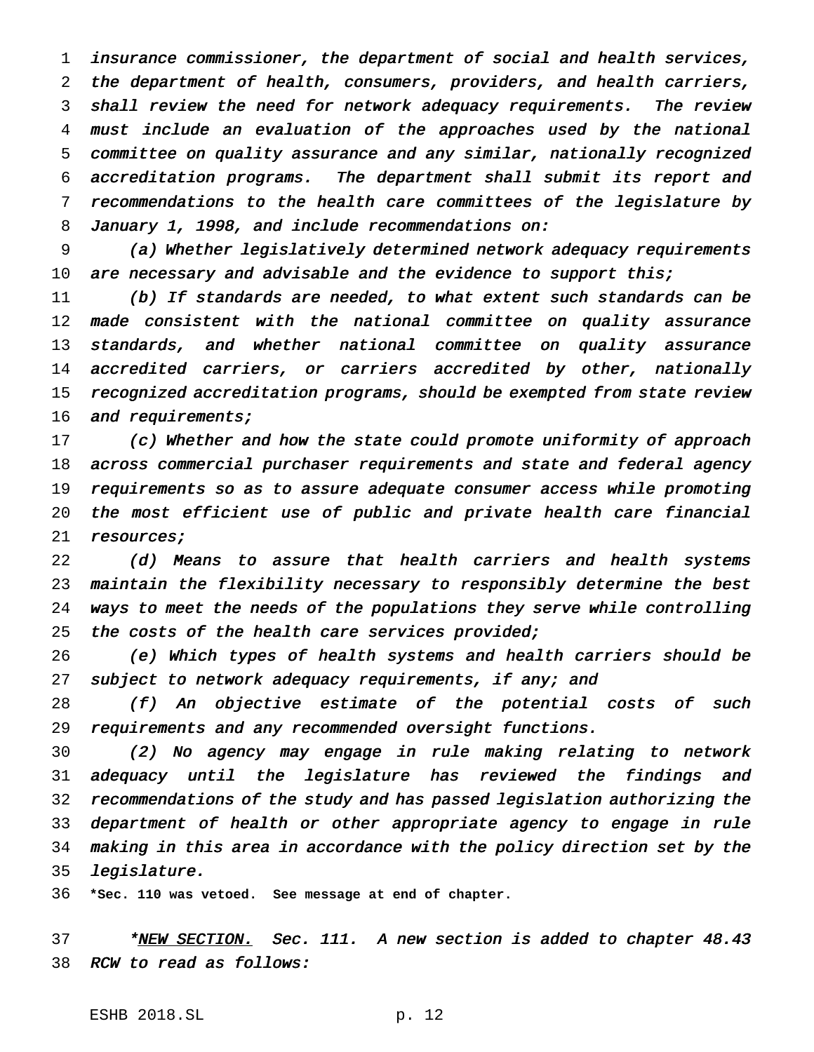insurance commissioner, the department of social and health services, the department of health, consumers, providers, and health carriers, shall review the need for network adequacy requirements. The review must include an evaluation of the approaches used by the national committee on quality assurance and any similar, nationally recognized accreditation programs. The department shall submit its report and recommendations to the health care committees of the legislature by 8 January 1, 1998, and include recommendations on:

 (a) Whether legislatively determined network adequacy requirements 10 are necessary and advisable and the evidence to support this;

 (b) If standards are needed, to what extent such standards can be made consistent with the national committee on quality assurance 13 standards, and whether national committee on quality assurance 14 accredited carriers, or carriers accredited by other, nationally recognized accreditation programs, should be exempted from state review 16 and requirements;

 (c) Whether and how the state could promote uniformity of approach across commercial purchaser requirements and state and federal agency requirements so as to assure adequate consumer access while promoting the most efficient use of public and private health care financial 21 resources;

 (d) Means to assure that health carriers and health systems maintain the flexibility necessary to responsibly determine the best ways to meet the needs of the populations they serve while controlling 25 the costs of the health care services provided;

 (e) Which types of health systems and health carriers should be subject to network adequacy requirements, if any; and

 (f) An objective estimate of the potential costs of such requirements and any recommended oversight functions.

 (2) No agency may engage in rule making relating to network adequacy until the legislature has reviewed the findings and recommendations of the study and has passed legislation authorizing the department of health or other appropriate agency to engage in rule making in this area in accordance with the policy direction set by the legislature.

**\*Sec. 110 was vetoed. See message at end of chapter.**

37 \*NEW SECTION. Sec. 111. A new section is added to chapter 48.43 RCW to read as follows: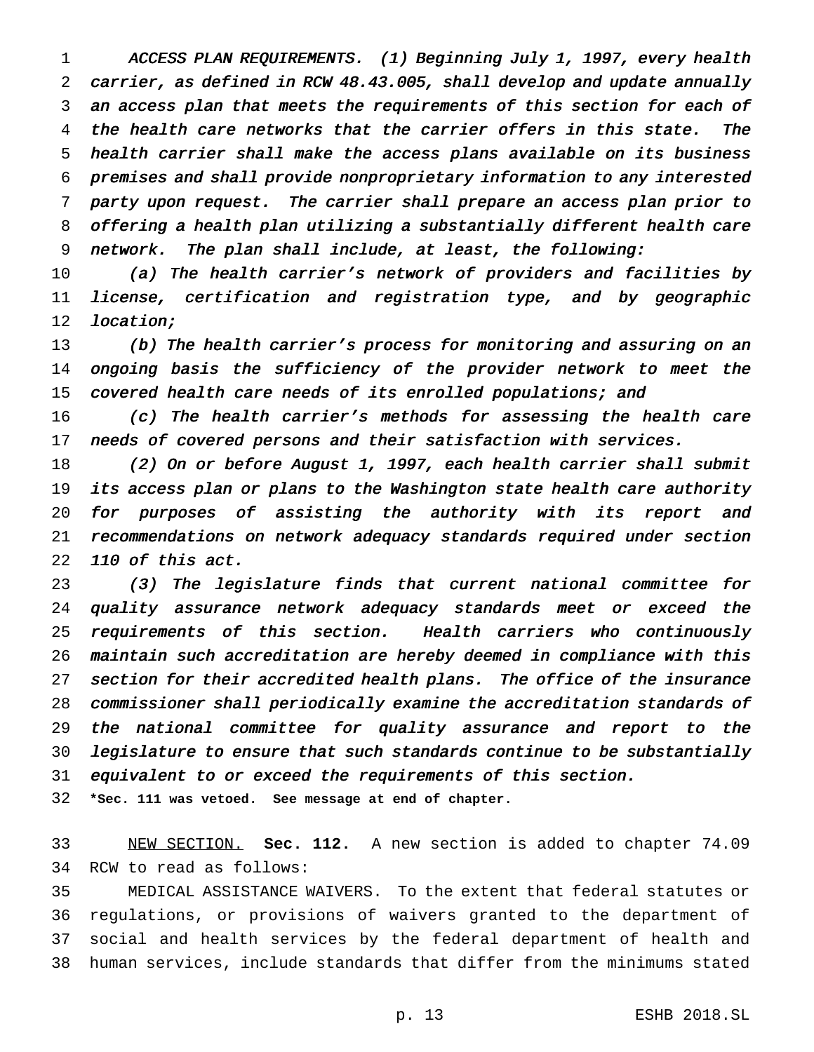ACCESS PLAN REQUIREMENTS. (1) Beginning July 1, 1997, every health carrier, as defined in RCW 48.43.005, shall develop and update annually an access plan that meets the requirements of this section for each of the health care networks that the carrier offers in this state. The health carrier shall make the access plans available on its business premises and shall provide nonproprietary information to any interested party upon request. The carrier shall prepare an access plan prior to offering <sup>a</sup> health plan utilizing <sup>a</sup> substantially different health care network. The plan shall include, at least, the following:

 (a) The health carrier's network of providers and facilities by license, certification and registration type, and by geographic 12 location;

 (b) The health carrier's process for monitoring and assuring on an ongoing basis the sufficiency of the provider network to meet the 15 covered health care needs of its enrolled populations; and

 (c) The health carrier's methods for assessing the health care needs of covered persons and their satisfaction with services.

18 (2) On or before August 1, 1997, each health carrier shall submit its access plan or plans to the Washington state health care authority for purposes of assisting the authority with its report and recommendations on network adequacy standards required under section <sup>110</sup> of this act.

 (3) The legislature finds that current national committee for quality assurance network adequacy standards meet or exceed the requirements of this section. Health carriers who continuously maintain such accreditation are hereby deemed in compliance with this section for their accredited health plans. The office of the insurance commissioner shall periodically examine the accreditation standards of the national committee for quality assurance and report to the legislature to ensure that such standards continue to be substantially equivalent to or exceed the requirements of this section.

**\*Sec. 111 was vetoed. See message at end of chapter.**

 NEW SECTION. **Sec. 112.** A new section is added to chapter 74.09 RCW to read as follows:

 MEDICAL ASSISTANCE WAIVERS. To the extent that federal statutes or regulations, or provisions of waivers granted to the department of social and health services by the federal department of health and human services, include standards that differ from the minimums stated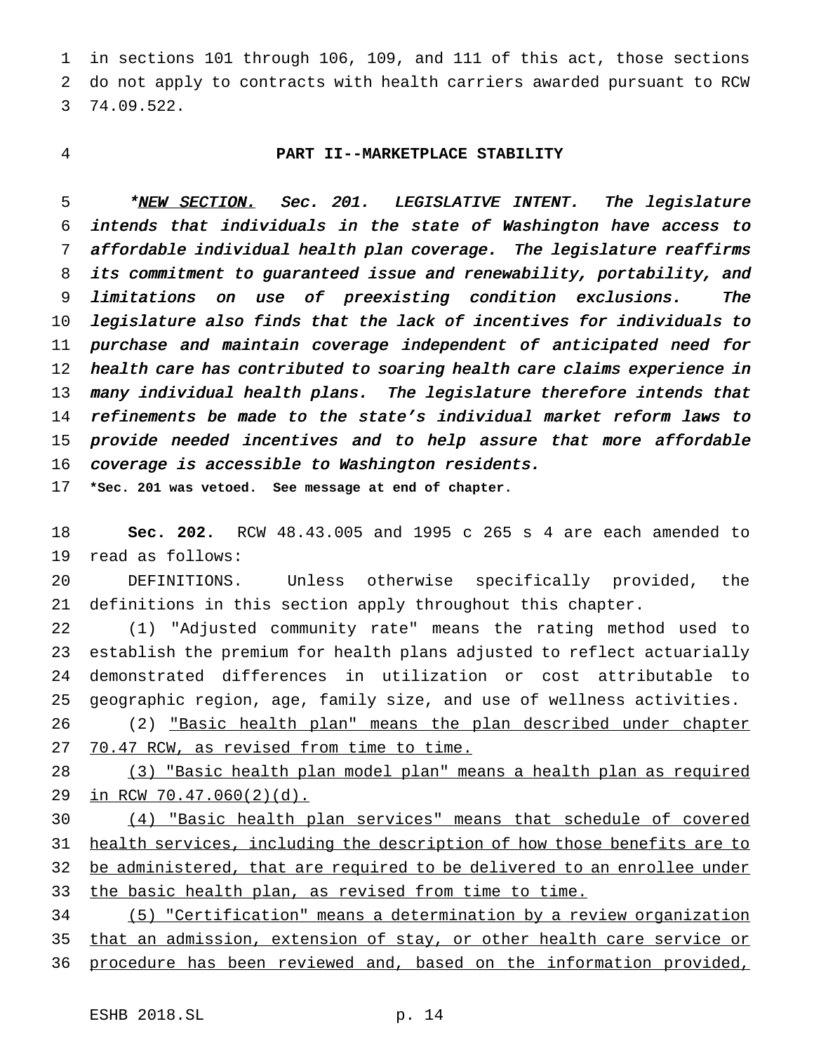in sections 101 through 106, 109, and 111 of this act, those sections do not apply to contracts with health carriers awarded pursuant to RCW 74.09.522.

## **PART II--MARKETPLACE STABILITY**

5 \* NEW SECTION. Sec. 201. LEGISLATIVE INTENT. The legislature intends that individuals in the state of Washington have access to affordable individual health plan coverage. The legislature reaffirms its commitment to guaranteed issue and renewability, portability, and limitations on use of preexisting condition exclusions. The legislature also finds that the lack of incentives for individuals to purchase and maintain coverage independent of anticipated need for health care has contributed to soaring health care claims experience in many individual health plans. The legislature therefore intends that refinements be made to the state's individual market reform laws to provide needed incentives and to help assure that more affordable coverage is accessible to Washington residents.

**\*Sec. 201 was vetoed. See message at end of chapter.**

 **Sec. 202.** RCW 48.43.005 and 1995 c 265 s 4 are each amended to read as follows:

 DEFINITIONS. Unless otherwise specifically provided, the definitions in this section apply throughout this chapter.

 (1) "Adjusted community rate" means the rating method used to establish the premium for health plans adjusted to reflect actuarially demonstrated differences in utilization or cost attributable to geographic region, age, family size, and use of wellness activities.

 (2) "Basic health plan" means the plan described under chapter 70.47 RCW, as revised from time to time.

 (3) "Basic health plan model plan" means a health plan as required in RCW 70.47.060(2)(d).

 (4) "Basic health plan services" means that schedule of covered health services, including the description of how those benefits are to 32 be administered, that are required to be delivered to an enrollee under 33 the basic health plan, as revised from time to time.

 (5) "Certification" means a determination by a review organization 35 that an admission, extension of stay, or other health care service or procedure has been reviewed and, based on the information provided,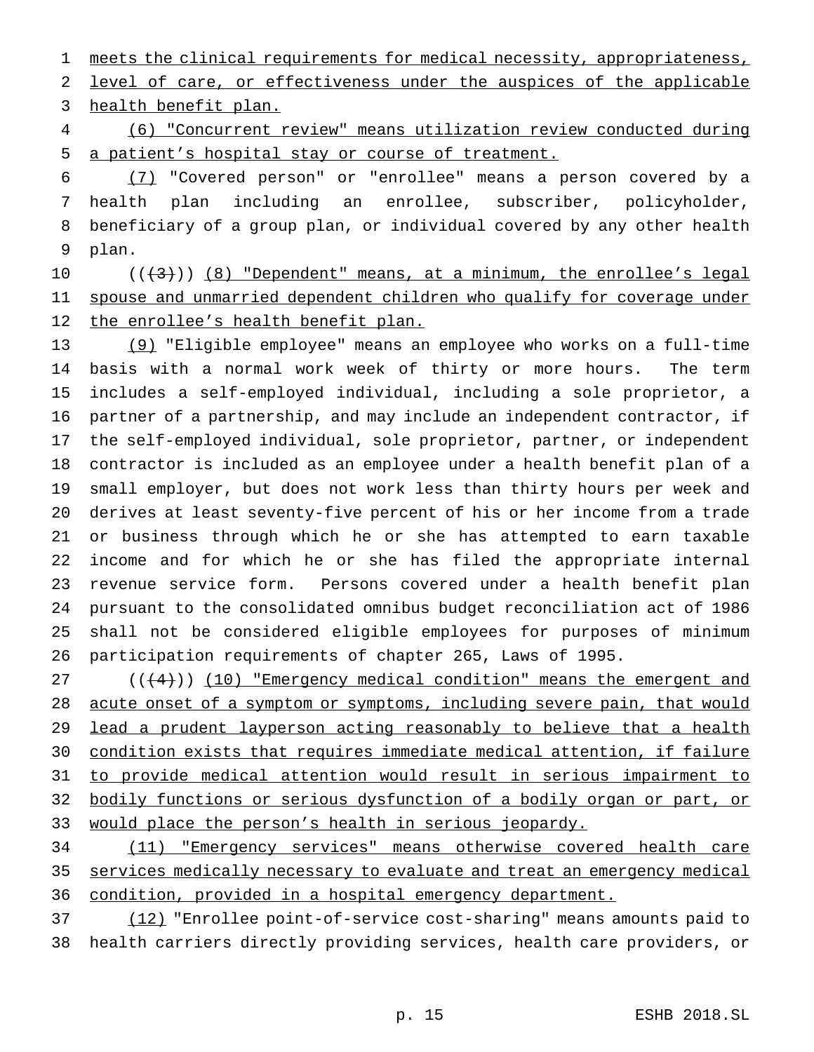1 meets the clinical requirements for medical necessity, appropriateness,

 level of care, or effectiveness under the auspices of the applicable health benefit plan.

 (6) "Concurrent review" means utilization review conducted during a patient's hospital stay or course of treatment.

 (7) "Covered person" or "enrollee" means a person covered by a health plan including an enrollee, subscriber, policyholder, beneficiary of a group plan, or individual covered by any other health plan.

10  $((+3))$   $(8)$  "Dependent" means, at a minimum, the enrollee's legal 11 spouse and unmarried dependent children who qualify for coverage under 12 the enrollee's health benefit plan.

 (9) "Eligible employee" means an employee who works on a full-time basis with a normal work week of thirty or more hours. The term includes a self-employed individual, including a sole proprietor, a partner of a partnership, and may include an independent contractor, if the self-employed individual, sole proprietor, partner, or independent contractor is included as an employee under a health benefit plan of a small employer, but does not work less than thirty hours per week and derives at least seventy-five percent of his or her income from a trade or business through which he or she has attempted to earn taxable income and for which he or she has filed the appropriate internal revenue service form. Persons covered under a health benefit plan pursuant to the consolidated omnibus budget reconciliation act of 1986 shall not be considered eligible employees for purposes of minimum participation requirements of chapter 265, Laws of 1995.

 $((4+))$  (10) "Emergency medical condition" means the emergent and 28 acute onset of a symptom or symptoms, including severe pain, that would lead a prudent layperson acting reasonably to believe that a health condition exists that requires immediate medical attention, if failure to provide medical attention would result in serious impairment to bodily functions or serious dysfunction of a bodily organ or part, or 33 would place the person's health in serious jeopardy.

 (11) "Emergency services" means otherwise covered health care services medically necessary to evaluate and treat an emergency medical condition, provided in a hospital emergency department.

 (12) "Enrollee point-of-service cost-sharing" means amounts paid to health carriers directly providing services, health care providers, or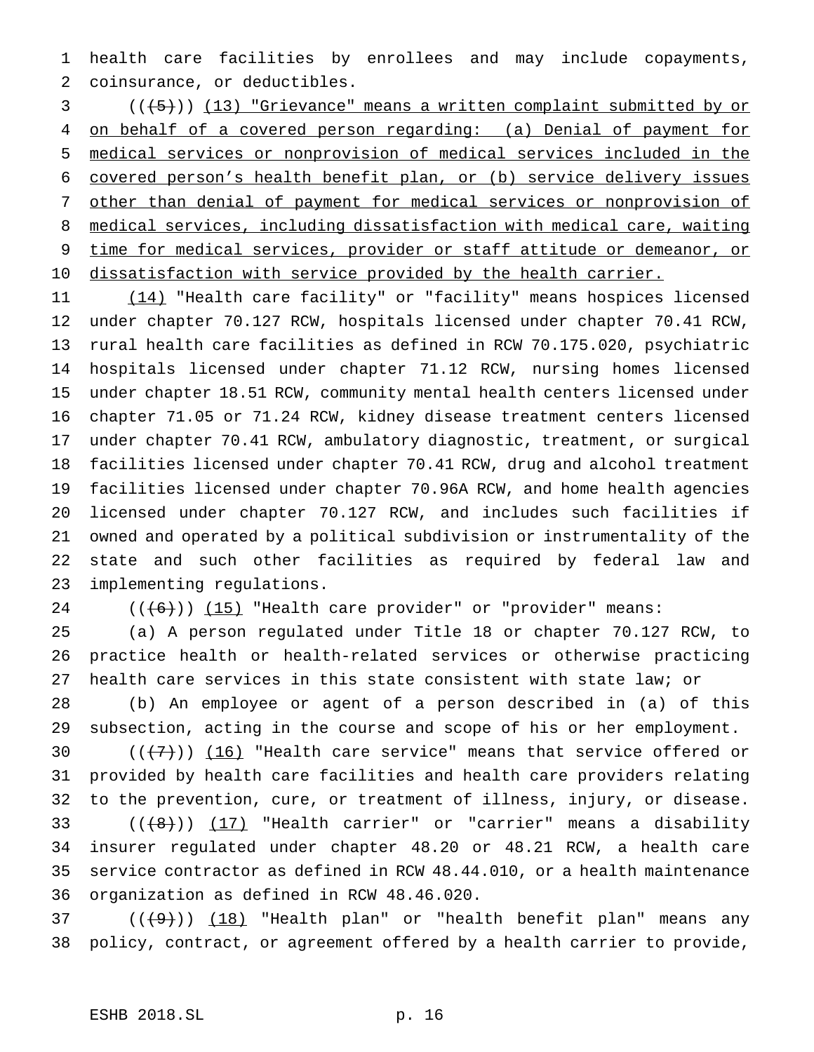health care facilities by enrollees and may include copayments, coinsurance, or deductibles.

 (((5))) (13) "Grievance" means a written complaint submitted by or on behalf of a covered person regarding: (a) Denial of payment for medical services or nonprovision of medical services included in the covered person's health benefit plan, or (b) service delivery issues other than denial of payment for medical services or nonprovision of medical services, including dissatisfaction with medical care, waiting time for medical services, provider or staff attitude or demeanor, or 10 dissatisfaction with service provided by the health carrier.

 (14) "Health care facility" or "facility" means hospices licensed under chapter 70.127 RCW, hospitals licensed under chapter 70.41 RCW, rural health care facilities as defined in RCW 70.175.020, psychiatric hospitals licensed under chapter 71.12 RCW, nursing homes licensed under chapter 18.51 RCW, community mental health centers licensed under chapter 71.05 or 71.24 RCW, kidney disease treatment centers licensed under chapter 70.41 RCW, ambulatory diagnostic, treatment, or surgical facilities licensed under chapter 70.41 RCW, drug and alcohol treatment facilities licensed under chapter 70.96A RCW, and home health agencies licensed under chapter 70.127 RCW, and includes such facilities if owned and operated by a political subdivision or instrumentality of the state and such other facilities as required by federal law and implementing regulations.

24  $((+6))$   $(15)$  "Health care provider" or "provider" means:

 (a) A person regulated under Title 18 or chapter 70.127 RCW, to practice health or health-related services or otherwise practicing health care services in this state consistent with state law; or

 (b) An employee or agent of a person described in (a) of this subsection, acting in the course and scope of his or her employment.

 $((+7))$   $(16)$  "Health care service" means that service offered or provided by health care facilities and health care providers relating to the prevention, cure, or treatment of illness, injury, or disease.  $((\{8\})$   $(17)$  "Health carrier" or "carrier" means a disability insurer regulated under chapter 48.20 or 48.21 RCW, a health care service contractor as defined in RCW 48.44.010, or a health maintenance organization as defined in RCW 48.46.020.

 ( $(\frac{49}{})$ )  $(18)$  "Health plan" or "health benefit plan" means any policy, contract, or agreement offered by a health carrier to provide,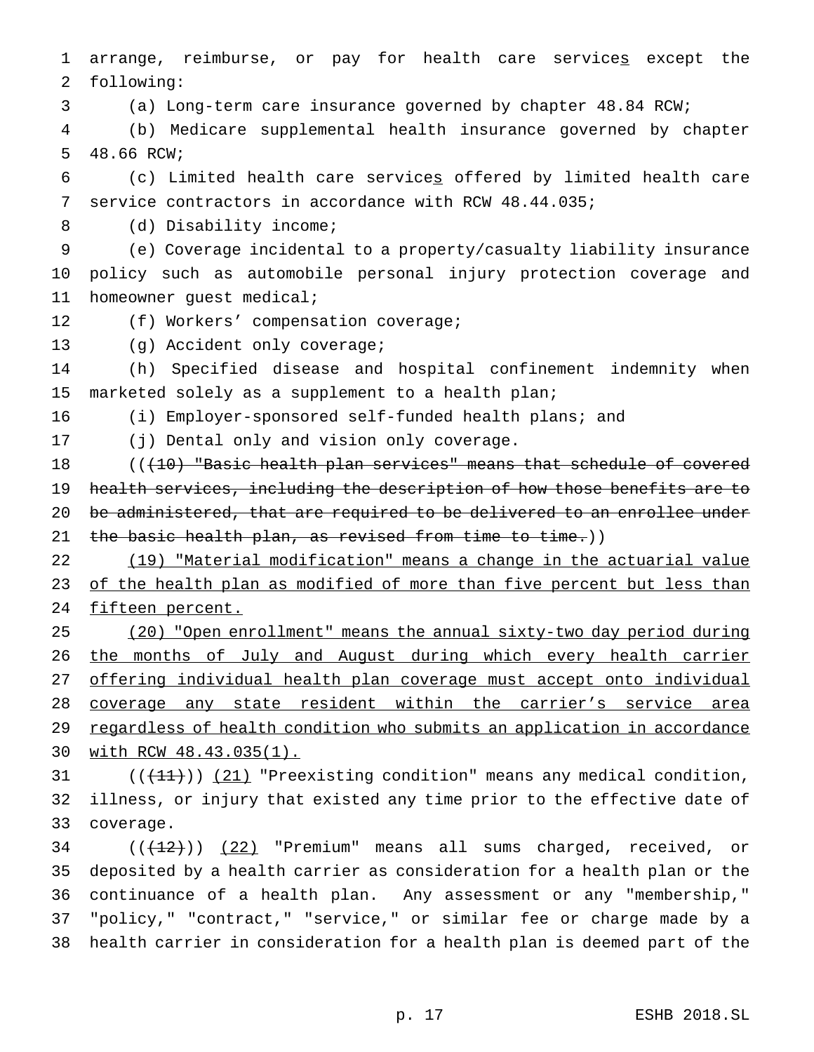arrange, reimburse, or pay for health care services except the following:

(a) Long-term care insurance governed by chapter 48.84 RCW;

 (b) Medicare supplemental health insurance governed by chapter 48.66 RCW;

 (c) Limited health care services offered by limited health care service contractors in accordance with RCW 48.44.035;

8 (d) Disability income;

 (e) Coverage incidental to a property/casualty liability insurance policy such as automobile personal injury protection coverage and homeowner guest medical;

12 (f) Workers' compensation coverage;

(g) Accident only coverage;

 (h) Specified disease and hospital confinement indemnity when marketed solely as a supplement to a health plan;

(i) Employer-sponsored self-funded health plans; and

(j) Dental only and vision only coverage.

18 ((<del>(10) "Basic health plan services" means that schedule of covered</del> health services, including the description of how those benefits are to be administered, that are required to be delivered to an enrollee under 21 the basic health plan, as revised from time to time.))

 (19) "Material modification" means a change in the actuarial value 23 of the health plan as modified of more than five percent but less than 24 fifteen percent.

 (20) "Open enrollment" means the annual sixty-two day period during the months of July and August during which every health carrier offering individual health plan coverage must accept onto individual coverage any state resident within the carrier's service area 29 regardless of health condition who submits an application in accordance with RCW 48.43.035(1).

31  $((+11))$  (21) "Preexisting condition" means any medical condition, illness, or injury that existed any time prior to the effective date of coverage.

 ( $(\frac{12}{12})$ ) (22) "Premium" means all sums charged, received, or deposited by a health carrier as consideration for a health plan or the continuance of a health plan. Any assessment or any "membership," "policy," "contract," "service," or similar fee or charge made by a health carrier in consideration for a health plan is deemed part of the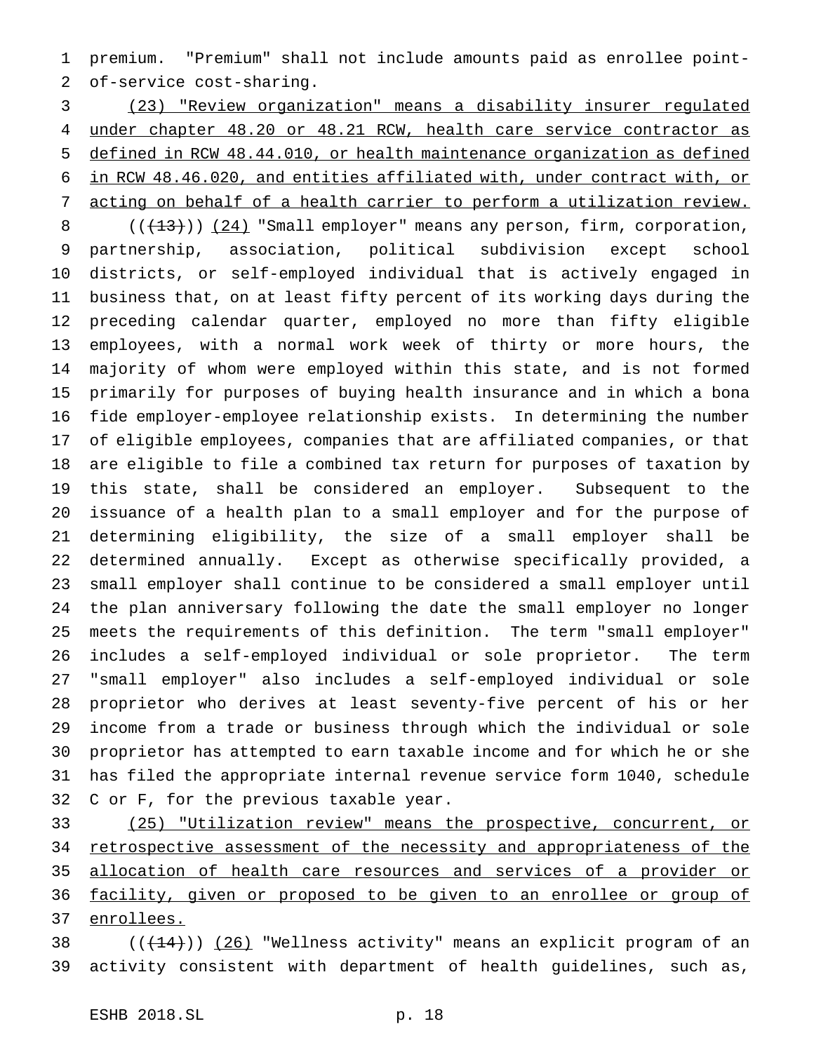premium. "Premium" shall not include amounts paid as enrollee point-of-service cost-sharing.

 (23) "Review organization" means a disability insurer regulated under chapter 48.20 or 48.21 RCW, health care service contractor as defined in RCW 48.44.010, or health maintenance organization as defined in RCW 48.46.020, and entities affiliated with, under contract with, or acting on behalf of a health carrier to perform a utilization review.

8 (( $\left(\frac{13}{13}\right)$ ) (24) "Small employer" means any person, firm, corporation, partnership, association, political subdivision except school districts, or self-employed individual that is actively engaged in business that, on at least fifty percent of its working days during the preceding calendar quarter, employed no more than fifty eligible employees, with a normal work week of thirty or more hours, the majority of whom were employed within this state, and is not formed primarily for purposes of buying health insurance and in which a bona fide employer-employee relationship exists. In determining the number of eligible employees, companies that are affiliated companies, or that are eligible to file a combined tax return for purposes of taxation by this state, shall be considered an employer. Subsequent to the issuance of a health plan to a small employer and for the purpose of determining eligibility, the size of a small employer shall be determined annually. Except as otherwise specifically provided, a small employer shall continue to be considered a small employer until the plan anniversary following the date the small employer no longer meets the requirements of this definition. The term "small employer" includes a self-employed individual or sole proprietor. The term "small employer" also includes a self-employed individual or sole proprietor who derives at least seventy-five percent of his or her income from a trade or business through which the individual or sole proprietor has attempted to earn taxable income and for which he or she has filed the appropriate internal revenue service form 1040, schedule C or F, for the previous taxable year.

 (25) "Utilization review" means the prospective, concurrent, or retrospective assessment of the necessity and appropriateness of the allocation of health care resources and services of a provider or facility, given or proposed to be given to an enrollee or group of enrollees.

38  $((+14))$   $(26)$  "Wellness activity" means an explicit program of an activity consistent with department of health guidelines, such as,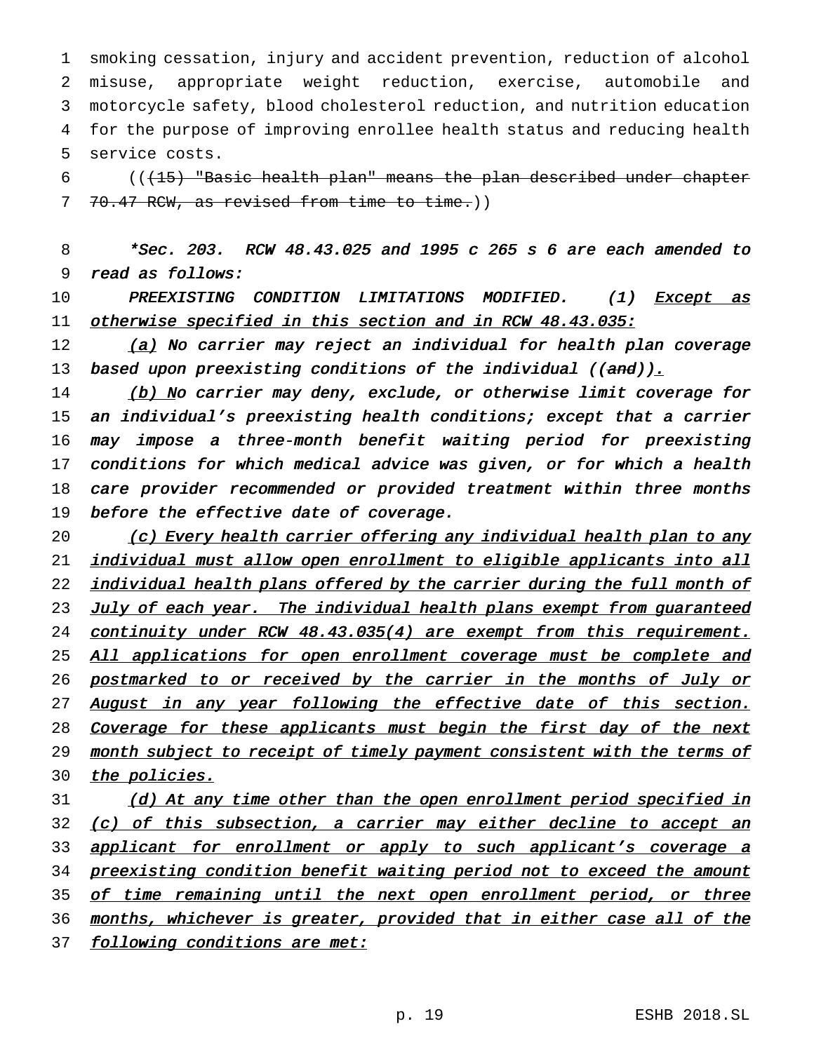smoking cessation, injury and accident prevention, reduction of alcohol misuse, appropriate weight reduction, exercise, automobile and motorcycle safety, blood cholesterol reduction, and nutrition education for the purpose of improving enrollee health status and reducing health service costs.

6 (((15) "Basic health plan" means the plan described under chapter 7 70.47 RCW, as revised from time to time.))

8 \*Sec. 203. RCW 48.43.025 and <sup>1995</sup> <sup>c</sup> <sup>265</sup> <sup>s</sup> <sup>6</sup> are each amended to 9 read as follows:

10 PREEXISTING CONDITION LIMITATIONS MODIFIED. (1) <u>Except as</u> 11 otherwise specified in this section and in RCW 48.43.035:

 $12$  (a) No carrier may reject an individual for health plan coverage 13 based upon preexisting conditions of the individual ((and)).

14 (b) No carrier may deny, exclude, or otherwise limit coverage for an individual's preexisting health conditions; except that <sup>a</sup> carrier may impose <sup>a</sup> three-month benefit waiting period for preexisting conditions for which medical advice was given, or for which <sup>a</sup> health care provider recommended or provided treatment within three months 19 before the effective date of coverage.

20 (c) Every health carrier offering any individual health plan to any 21 individual must allow open enrollment to eligible applicants into all 22 individual health plans offered by the carrier during the full month of 23 July of each year. The individual health plans exempt from guaranteed 24 continuity under RCW 48.43.035(4) are exempt from this requirement. 25 All applications for open enrollment coverage must be complete and 26 postmarked to or received by the carrier in the months of July or 27 August in any year following the effective date of this section. 28 Coverage for these applicants must begin the first day of the next 29 month subject to receipt of timely payment consistent with the terms of 30 the policies.

31 (d) At any time other than the open enrollment period specified in 32 (c) of this subsection, a carrier may either decline to accept an 33 applicant for enrollment or apply to such applicant's coverage a 34 preexisting condition benefit waiting period not to exceed the amount 35 of time remaining until the next open enrollment period, or three 36 months, whichever is greater, provided that in either case all of the 37 following conditions are met: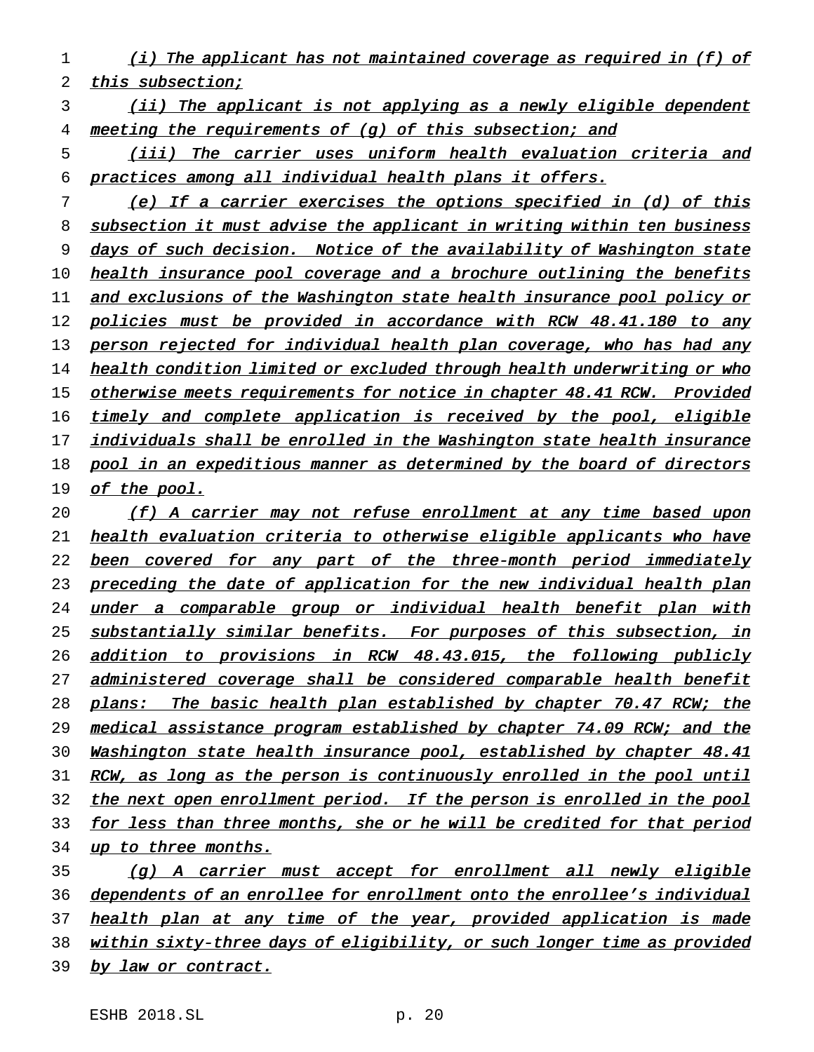- 1 (i) The applicant has not maintained coverage as required in (f) of 2 this subsection;
- 3 (ii) The applicant is not applying as a newly eligible dependent 4 meeting the requirements of (g) of this subsection; and
- 5 (iii) The carrier uses uniform health evaluation criteria and 6 practices among all individual health plans it offers.
- 7 (e) If <sup>a</sup> carrier exercises the options specified in (d) of this 8 subsection it must advise the applicant in writing within ten business 9 days of such decision. Notice of the availability of Washington state 10 health insurance pool coverage and a brochure outlining the benefits 11 and exclusions of the Washington state health insurance pool policy or 12 policies must be provided in accordance with RCW 48.41.180 to any 13 person rejected for individual health plan coverage, who has had any 14 health condition limited or excluded through health underwriting or who 15 otherwise meets requirements for notice in chapter 48.41 RCW. Provided 16 timely and complete application is received by the pool, eligible 17 individuals shall be enrolled in the Washington state health insurance 18 pool in an expeditious manner as determined by the board of directors 19 of the pool.
- 20 (f) <sup>A</sup> carrier may not refuse enrollment at any time based upon 21 health evaluation criteria to otherwise eligible applicants who have 22 been covered for any part of the three-month period immediately 23 preceding the date of application for the new individual health plan 24 under a comparable group or individual health benefit plan with 25 substantially similar benefits. For purposes of this subsection, in 26 addition to provisions in RCW 48.43.015, the following publicly 27 administered coverage shall be considered comparable health benefit 28 plans: The basic health plan established by chapter 70.47 RCW; the 29 medical assistance program established by chapter 74.09 RCW; and the 30 Washington state health insurance pool, established by chapter 48.41 31 RCW, as long as the person is continuously enrolled in the pool until 32 the next open enrollment period. If the person is enrolled in the pool 33 for less than three months, she or he will be credited for that period 34 up to three months. 35 (g) <sup>A</sup> carrier must accept for enrollment all newly eligible
- 36 dependents of an enrollee for enrollment onto the enrollee's individual 37 health plan at any time of the year, provided application is made 38 within sixty-three days of eligibility, or such longer time as provided
- 39 by law or contract.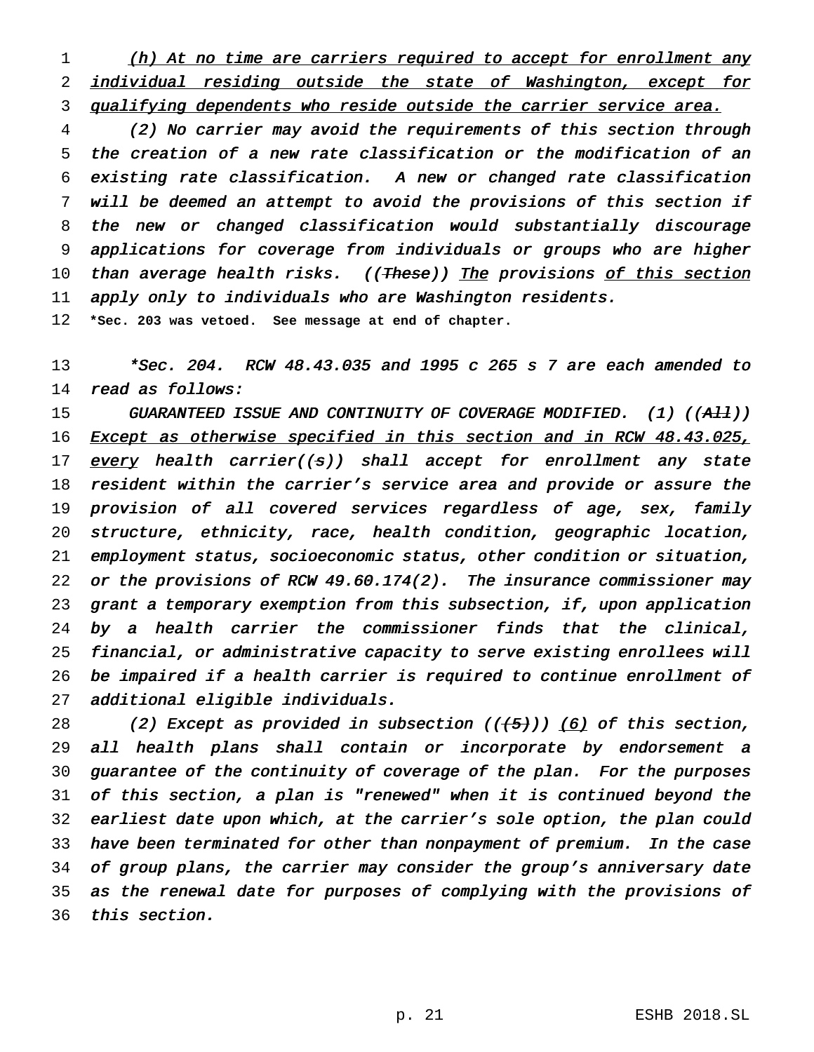1 (h) At no time are carriers required to accept for enrollment any 2 individual residing outside the state of Washington, except for 3 qualifying dependents who reside outside the carrier service area.

 (2) No carrier may avoid the requirements of this section through the creation of <sup>a</sup> new rate classification or the modification of an existing rate classification. <sup>A</sup> new or changed rate classification will be deemed an attempt to avoid the provisions of this section if the new or changed classification would substantially discourage applications for coverage from individuals or groups who are higher 10 than average health risks. ((These)) The provisions of this section apply only to individuals who are Washington residents.

**\*Sec. 203 was vetoed. See message at end of chapter.**

 \*Sec. 204. RCW 48.43.035 and <sup>1995</sup> <sup>c</sup> <sup>265</sup> <sup>s</sup> <sup>7</sup> are each amended to read as follows:

15 GUARANTEED ISSUE AND CONTINUITY OF COVERAGE MODIFIED. (1) ((All)) 16 Except as otherwise specified in this section and in RCW 48.43.025, 17 every health carrier( $(s)$ ) shall accept for enrollment any state resident within the carrier's service area and provide or assure the provision of all covered services regardless of age, sex, family structure, ethnicity, race, health condition, geographic location, employment status, socioeconomic status, other condition or situation, or the provisions of RCW 49.60.174(2). The insurance commissioner may grant <sup>a</sup> temporary exemption from this subsection, if, upon application by <sup>a</sup> health carrier the commissioner finds that the clinical, financial, or administrative capacity to serve existing enrollees will be impaired if <sup>a</sup> health carrier is required to continue enrollment of additional eligible individuals.

28 (2) Except as provided in subsection  $((+5))$  (6) of this section, all health plans shall contain or incorporate by endorsement <sup>a</sup> guarantee of the continuity of coverage of the plan. For the purposes of this section, <sup>a</sup> plan is "renewed" when it is continued beyond the earliest date upon which, at the carrier's sole option, the plan could have been terminated for other than nonpayment of premium. In the case of group plans, the carrier may consider the group's anniversary date as the renewal date for purposes of complying with the provisions of this section.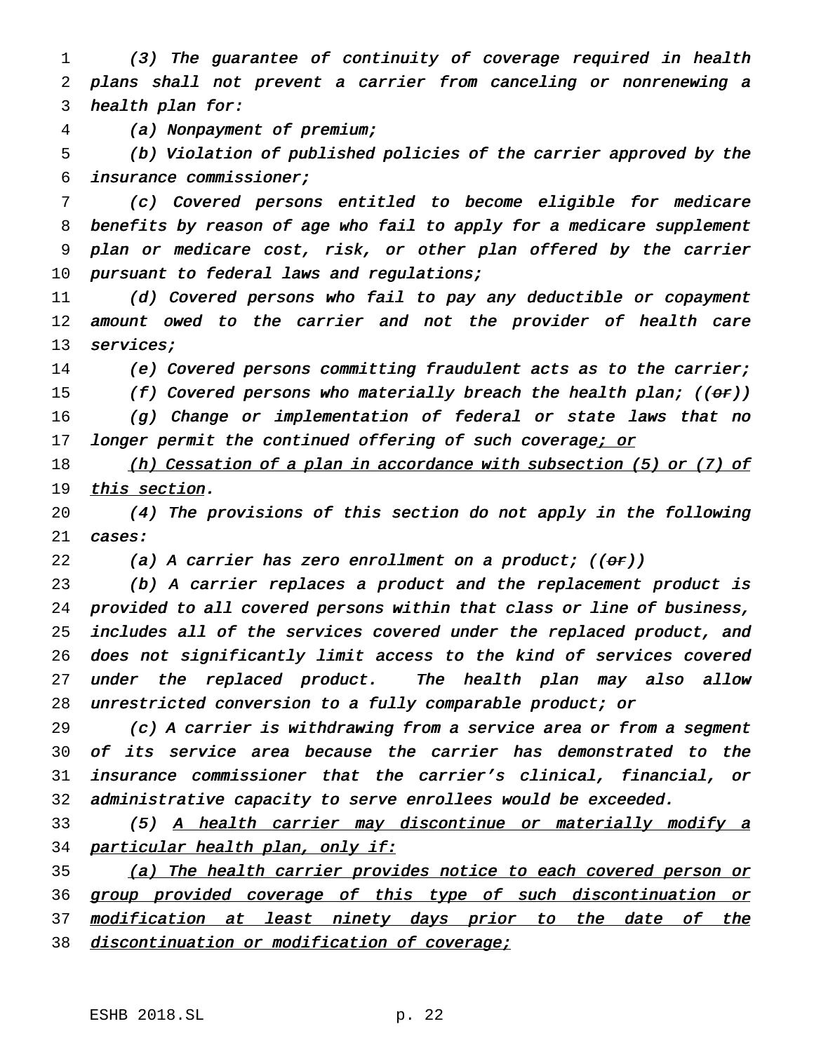(3) The guarantee of continuity of coverage required in health plans shall not prevent <sup>a</sup> carrier from canceling or nonrenewing <sup>a</sup> health plan for:

(a) Nonpayment of premium;

 (b) Violation of published policies of the carrier approved by the insurance commissioner;

 (c) Covered persons entitled to become eligible for medicare benefits by reason of age who fail to apply for <sup>a</sup> medicare supplement plan or medicare cost, risk, or other plan offered by the carrier 10 pursuant to federal laws and regulations;

 (d) Covered persons who fail to pay any deductible or copayment amount owed to the carrier and not the provider of health care 13 services;

(e) Covered persons committing fraudulent acts as to the carrier;

15 (f) Covered persons who materially breach the health plan;  $((\theta r))$ 

 (g) Change or implementation of federal or state laws that no 17 longer permit the continued offering of such coverage; or

18 (h) Cessation of a plan in accordance with subsection (5) or (7) of 19 this section.

 (4) The provisions of this section do not apply in the following 21 cases:

22 (a) A carrier has zero enrollment on a product;  $((\theta \cdot r))$ 

 (b) <sup>A</sup> carrier replaces <sup>a</sup> product and the replacement product is provided to all covered persons within that class or line of business, includes all of the services covered under the replaced product, and does not significantly limit access to the kind of services covered under the replaced product. The health plan may also allow unrestricted conversion to <sup>a</sup> fully comparable product; or

 (c) <sup>A</sup> carrier is withdrawing from <sup>a</sup> service area or from <sup>a</sup> segment of its service area because the carrier has demonstrated to the insurance commissioner that the carrier's clinical, financial, or administrative capacity to serve enrollees would be exceeded.

 (5) <sup>A</sup> health carrier may discontinue or materially modify <sup>a</sup> 34 particular health plan, only if:

35 (a) The health carrier provides notice to each covered person or 36 group provided coverage of this type of such discontinuation or 37 modification at least ninety days prior to the date of the 38 discontinuation or modification of coverage;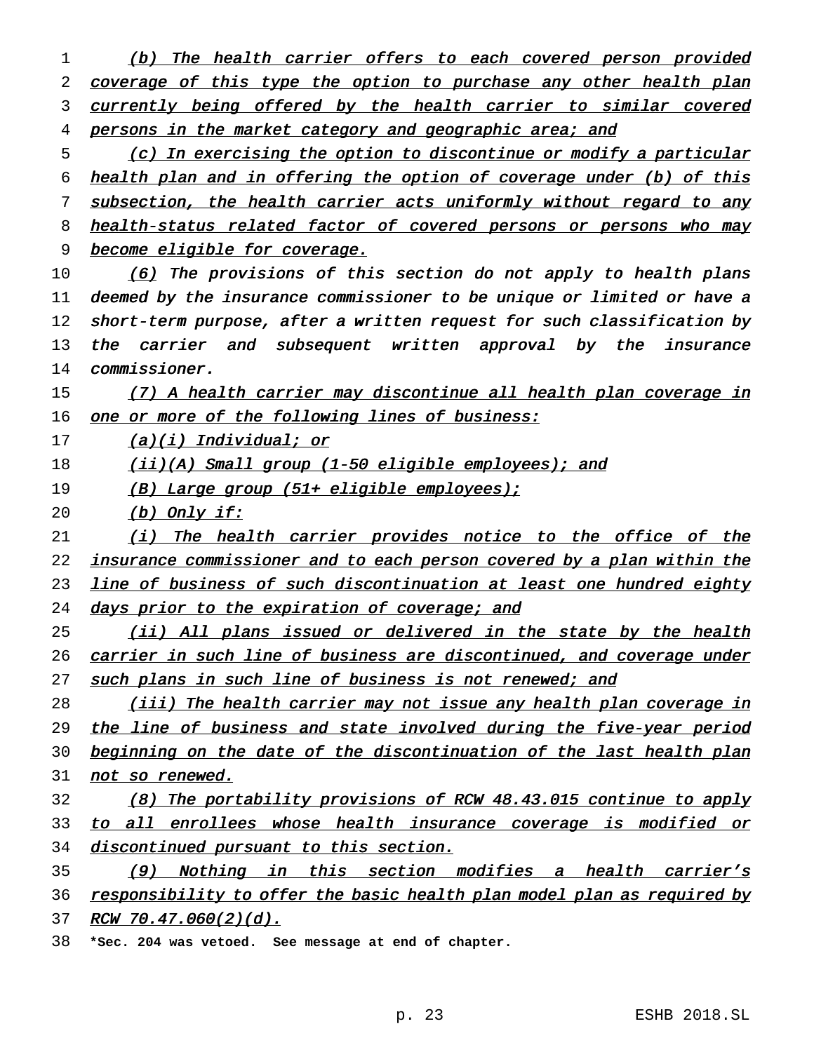1 (b) The health carrier offers to each covered person provided 2 coverage of this type the option to purchase any other health plan 3 currently being offered by the health carrier to similar covered 4 persons in the market category and geographic area; and 5 (c) In exercising the option to discontinue or modify <sup>a</sup> particular 6 health plan and in offering the option of coverage under (b) of this 7 subsection, the health carrier acts uniformly without regard to any 8 health-status related factor of covered persons or persons who may 9 become eligible for coverage. 10 (6) The provisions of this section do not apply to health plans 11 deemed by the insurance commissioner to be unique or limited or have <sup>a</sup> 12 short-term purpose, after <sup>a</sup> written request for such classification by 13 the carrier and subsequent written approval by the insurance 14 commissioner. 15 (7) A health carrier may discontinue all health plan coverage in 16 one or more of the following lines of business:  $17$  (a)(i) Individual; or 18 (ii)(A) Small group (1-50 eligible employees); and 19 (B) Large group (51+ eligible employees); 20  $(b)$  Only if: 21 (i) The health carrier provides notice to the office of the 22 insurance commissioner and to each person covered by a plan within the 23 line of business of such discontinuation at least one hundred eighty 24 days prior to the expiration of coverage; and 25 (ii) All plans issued or delivered in the state by the health 26 carrier in such line of business are discontinued, and coverage under 27 such plans in such line of business is not renewed; and 28 (iii) The health carrier may not issue any health plan coverage in 29 the line of business and state involved during the five-year period 30 beginning on the date of the discontinuation of the last health plan 31 not so renewed. 32 (8) The portability provisions of RCW 48.43.015 continue to apply 33 to all enrollees whose health insurance coverage is modified or 34 discontinued pursuant to this section. 35 (9) Nothing in this section modifies <sup>a</sup> health carrier's 36 responsibility to offer the basic health plan model plan as required by 37 RCW 70.47.060(2)(d).

38 **\*Sec. 204 was vetoed. See message at end of chapter.**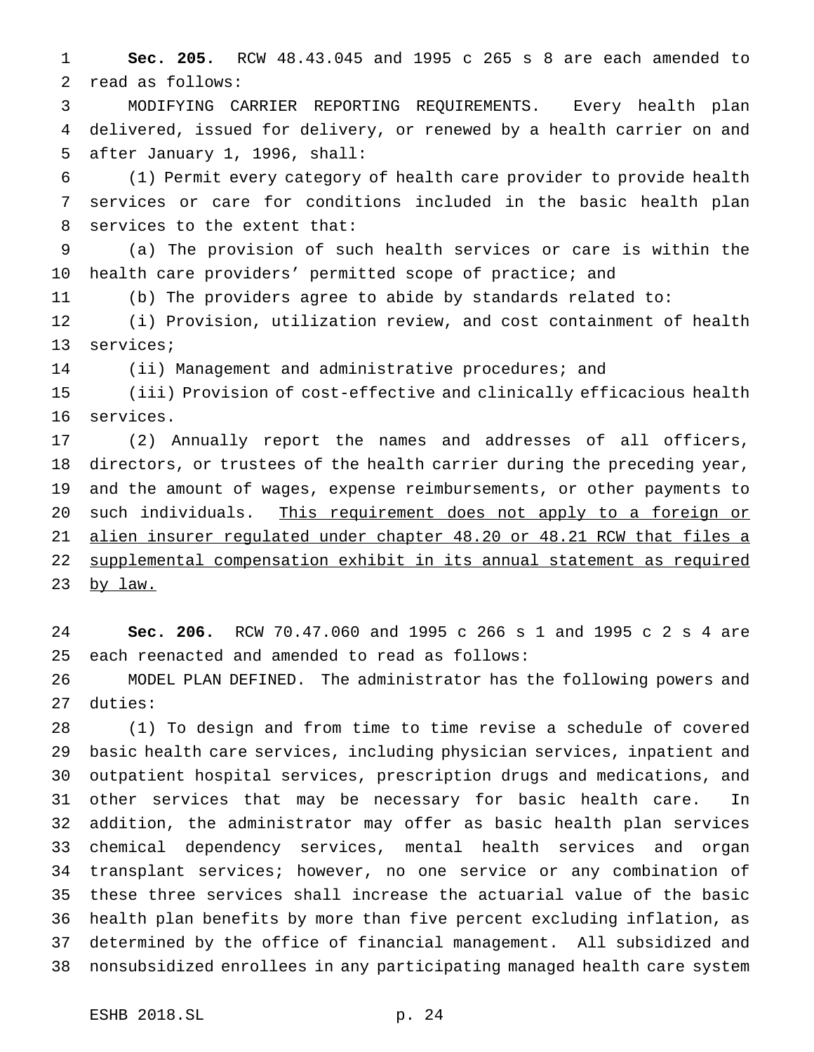**Sec. 205.** RCW 48.43.045 and 1995 c 265 s 8 are each amended to read as follows:

 MODIFYING CARRIER REPORTING REQUIREMENTS. Every health plan delivered, issued for delivery, or renewed by a health carrier on and after January 1, 1996, shall:

 (1) Permit every category of health care provider to provide health services or care for conditions included in the basic health plan services to the extent that:

 (a) The provision of such health services or care is within the health care providers' permitted scope of practice; and

(b) The providers agree to abide by standards related to:

 (i) Provision, utilization review, and cost containment of health services;

(ii) Management and administrative procedures; and

 (iii) Provision of cost-effective and clinically efficacious health services.

 (2) Annually report the names and addresses of all officers, directors, or trustees of the health carrier during the preceding year, and the amount of wages, expense reimbursements, or other payments to 20 such individuals. This requirement does not apply to a foreign or alien insurer regulated under chapter 48.20 or 48.21 RCW that files a supplemental compensation exhibit in its annual statement as required 23 <u>by law.</u>

 **Sec. 206.** RCW 70.47.060 and 1995 c 266 s 1 and 1995 c 2 s 4 are each reenacted and amended to read as follows:

 MODEL PLAN DEFINED. The administrator has the following powers and duties:

 (1) To design and from time to time revise a schedule of covered basic health care services, including physician services, inpatient and outpatient hospital services, prescription drugs and medications, and other services that may be necessary for basic health care. In addition, the administrator may offer as basic health plan services chemical dependency services, mental health services and organ transplant services; however, no one service or any combination of these three services shall increase the actuarial value of the basic health plan benefits by more than five percent excluding inflation, as determined by the office of financial management. All subsidized and nonsubsidized enrollees in any participating managed health care system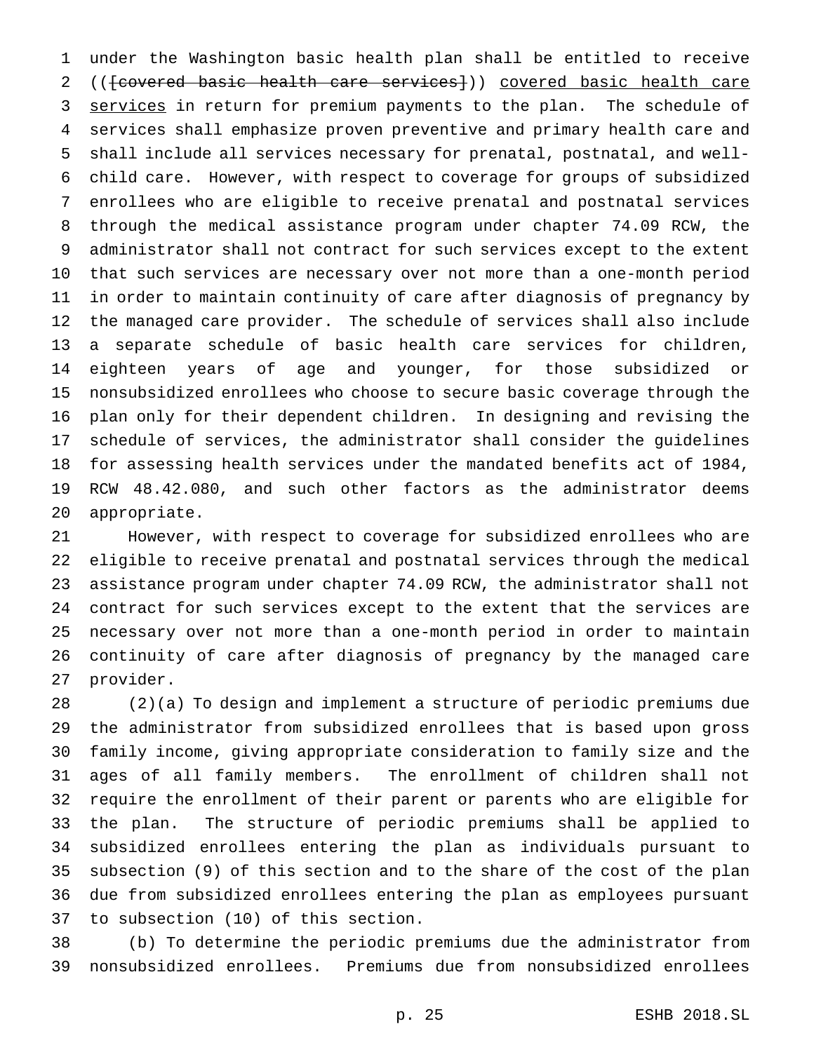under the Washington basic health plan shall be entitled to receive 2 ((<del>[covered basic health care services]</del>)) covered basic health care 3 services in return for premium payments to the plan. The schedule of services shall emphasize proven preventive and primary health care and shall include all services necessary for prenatal, postnatal, and well- child care. However, with respect to coverage for groups of subsidized enrollees who are eligible to receive prenatal and postnatal services through the medical assistance program under chapter 74.09 RCW, the administrator shall not contract for such services except to the extent that such services are necessary over not more than a one-month period in order to maintain continuity of care after diagnosis of pregnancy by the managed care provider. The schedule of services shall also include a separate schedule of basic health care services for children, eighteen years of age and younger, for those subsidized or nonsubsidized enrollees who choose to secure basic coverage through the plan only for their dependent children. In designing and revising the schedule of services, the administrator shall consider the guidelines for assessing health services under the mandated benefits act of 1984, RCW 48.42.080, and such other factors as the administrator deems appropriate.

 However, with respect to coverage for subsidized enrollees who are eligible to receive prenatal and postnatal services through the medical assistance program under chapter 74.09 RCW, the administrator shall not contract for such services except to the extent that the services are necessary over not more than a one-month period in order to maintain continuity of care after diagnosis of pregnancy by the managed care provider.

 (2)(a) To design and implement a structure of periodic premiums due the administrator from subsidized enrollees that is based upon gross family income, giving appropriate consideration to family size and the ages of all family members. The enrollment of children shall not require the enrollment of their parent or parents who are eligible for the plan. The structure of periodic premiums shall be applied to subsidized enrollees entering the plan as individuals pursuant to subsection (9) of this section and to the share of the cost of the plan due from subsidized enrollees entering the plan as employees pursuant to subsection (10) of this section.

 (b) To determine the periodic premiums due the administrator from nonsubsidized enrollees. Premiums due from nonsubsidized enrollees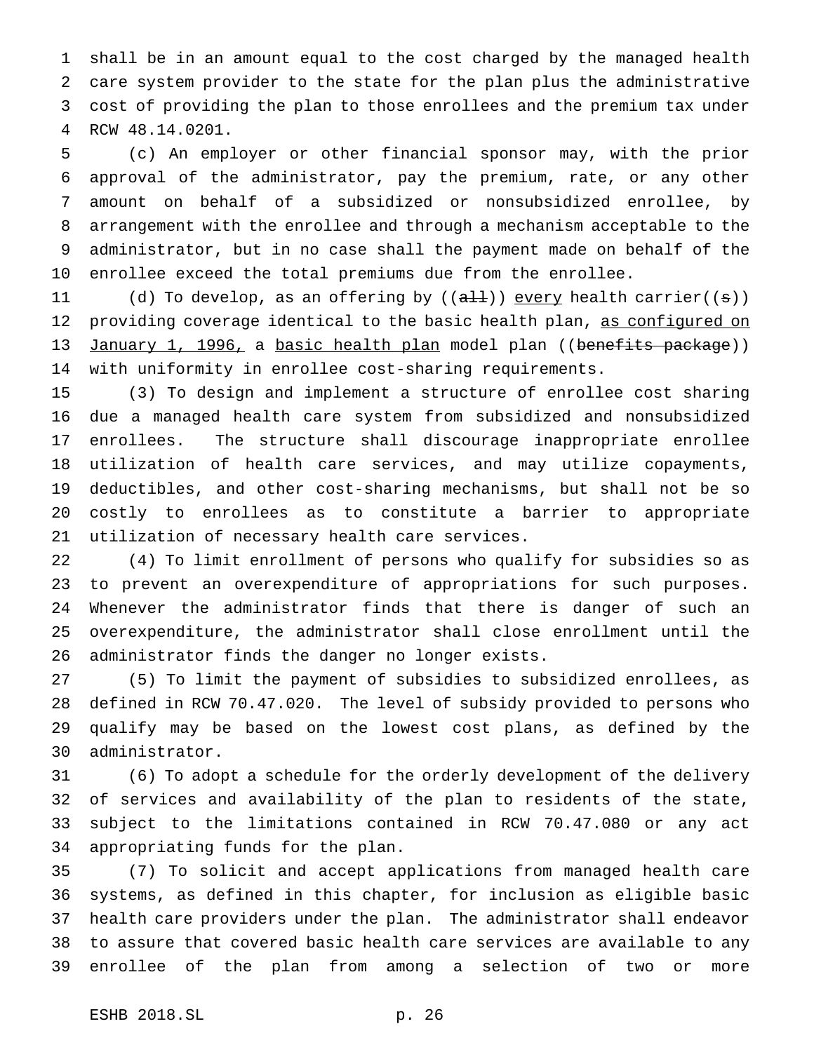shall be in an amount equal to the cost charged by the managed health care system provider to the state for the plan plus the administrative cost of providing the plan to those enrollees and the premium tax under RCW 48.14.0201.

 (c) An employer or other financial sponsor may, with the prior approval of the administrator, pay the premium, rate, or any other amount on behalf of a subsidized or nonsubsidized enrollee, by arrangement with the enrollee and through a mechanism acceptable to the administrator, but in no case shall the payment made on behalf of the enrollee exceed the total premiums due from the enrollee.

11 (d) To develop, as an offering by  $((aH))$  every health carrier((s)) providing coverage identical to the basic health plan, as configured on 13 January 1, 1996, a basic health plan model plan ((benefits package)) with uniformity in enrollee cost-sharing requirements.

 (3) To design and implement a structure of enrollee cost sharing due a managed health care system from subsidized and nonsubsidized enrollees. The structure shall discourage inappropriate enrollee utilization of health care services, and may utilize copayments, deductibles, and other cost-sharing mechanisms, but shall not be so costly to enrollees as to constitute a barrier to appropriate utilization of necessary health care services.

 (4) To limit enrollment of persons who qualify for subsidies so as to prevent an overexpenditure of appropriations for such purposes. Whenever the administrator finds that there is danger of such an overexpenditure, the administrator shall close enrollment until the administrator finds the danger no longer exists.

 (5) To limit the payment of subsidies to subsidized enrollees, as defined in RCW 70.47.020. The level of subsidy provided to persons who qualify may be based on the lowest cost plans, as defined by the administrator.

 (6) To adopt a schedule for the orderly development of the delivery of services and availability of the plan to residents of the state, subject to the limitations contained in RCW 70.47.080 or any act appropriating funds for the plan.

 (7) To solicit and accept applications from managed health care systems, as defined in this chapter, for inclusion as eligible basic health care providers under the plan. The administrator shall endeavor to assure that covered basic health care services are available to any enrollee of the plan from among a selection of two or more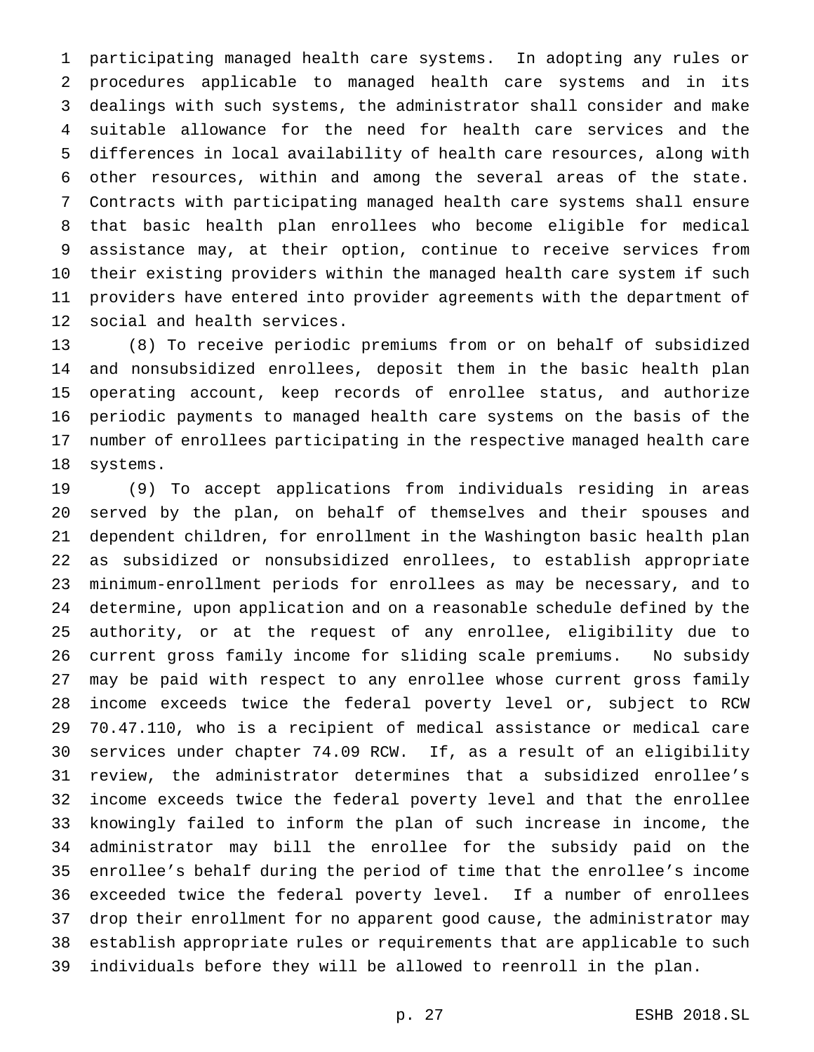participating managed health care systems. In adopting any rules or procedures applicable to managed health care systems and in its dealings with such systems, the administrator shall consider and make suitable allowance for the need for health care services and the differences in local availability of health care resources, along with other resources, within and among the several areas of the state. Contracts with participating managed health care systems shall ensure that basic health plan enrollees who become eligible for medical assistance may, at their option, continue to receive services from their existing providers within the managed health care system if such providers have entered into provider agreements with the department of social and health services.

 (8) To receive periodic premiums from or on behalf of subsidized and nonsubsidized enrollees, deposit them in the basic health plan operating account, keep records of enrollee status, and authorize periodic payments to managed health care systems on the basis of the number of enrollees participating in the respective managed health care systems.

 (9) To accept applications from individuals residing in areas served by the plan, on behalf of themselves and their spouses and dependent children, for enrollment in the Washington basic health plan as subsidized or nonsubsidized enrollees, to establish appropriate minimum-enrollment periods for enrollees as may be necessary, and to determine, upon application and on a reasonable schedule defined by the authority, or at the request of any enrollee, eligibility due to current gross family income for sliding scale premiums. No subsidy may be paid with respect to any enrollee whose current gross family income exceeds twice the federal poverty level or, subject to RCW 70.47.110, who is a recipient of medical assistance or medical care services under chapter 74.09 RCW. If, as a result of an eligibility review, the administrator determines that a subsidized enrollee's income exceeds twice the federal poverty level and that the enrollee knowingly failed to inform the plan of such increase in income, the administrator may bill the enrollee for the subsidy paid on the enrollee's behalf during the period of time that the enrollee's income exceeded twice the federal poverty level. If a number of enrollees drop their enrollment for no apparent good cause, the administrator may establish appropriate rules or requirements that are applicable to such individuals before they will be allowed to reenroll in the plan.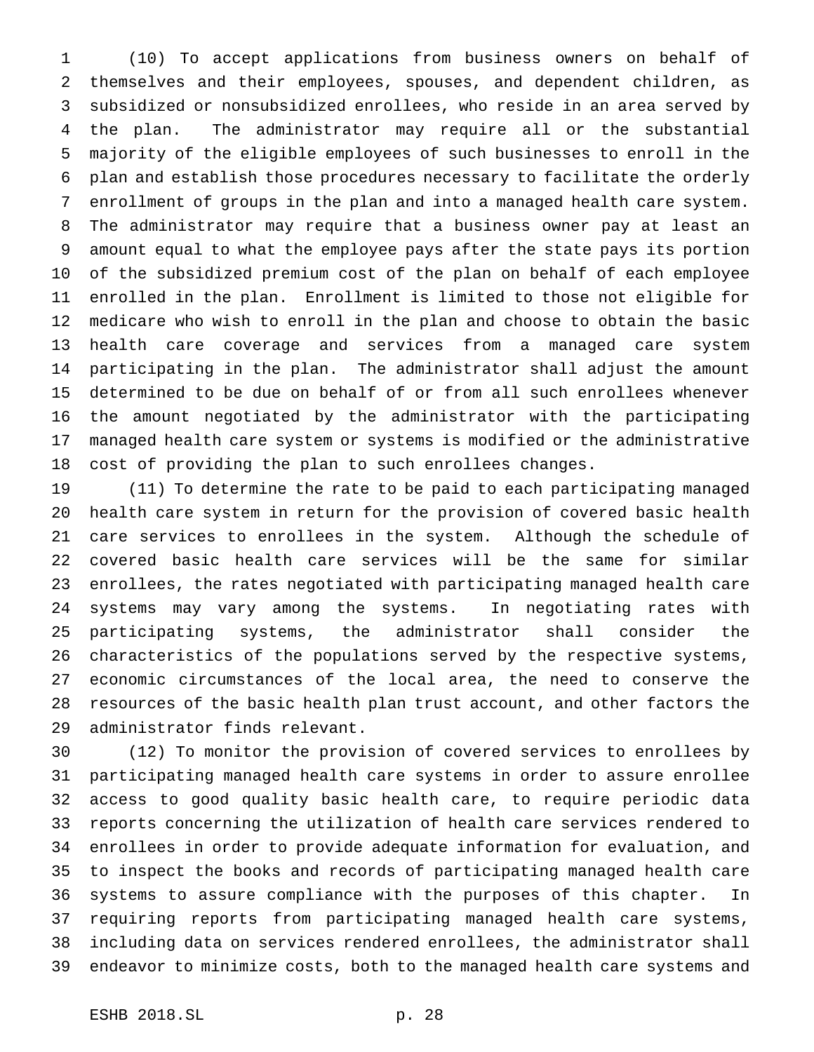(10) To accept applications from business owners on behalf of themselves and their employees, spouses, and dependent children, as subsidized or nonsubsidized enrollees, who reside in an area served by the plan. The administrator may require all or the substantial majority of the eligible employees of such businesses to enroll in the plan and establish those procedures necessary to facilitate the orderly enrollment of groups in the plan and into a managed health care system. The administrator may require that a business owner pay at least an amount equal to what the employee pays after the state pays its portion of the subsidized premium cost of the plan on behalf of each employee enrolled in the plan. Enrollment is limited to those not eligible for medicare who wish to enroll in the plan and choose to obtain the basic health care coverage and services from a managed care system participating in the plan. The administrator shall adjust the amount determined to be due on behalf of or from all such enrollees whenever the amount negotiated by the administrator with the participating managed health care system or systems is modified or the administrative cost of providing the plan to such enrollees changes.

 (11) To determine the rate to be paid to each participating managed health care system in return for the provision of covered basic health care services to enrollees in the system. Although the schedule of covered basic health care services will be the same for similar enrollees, the rates negotiated with participating managed health care systems may vary among the systems. In negotiating rates with participating systems, the administrator shall consider the characteristics of the populations served by the respective systems, economic circumstances of the local area, the need to conserve the resources of the basic health plan trust account, and other factors the administrator finds relevant.

 (12) To monitor the provision of covered services to enrollees by participating managed health care systems in order to assure enrollee access to good quality basic health care, to require periodic data reports concerning the utilization of health care services rendered to enrollees in order to provide adequate information for evaluation, and to inspect the books and records of participating managed health care systems to assure compliance with the purposes of this chapter. In requiring reports from participating managed health care systems, including data on services rendered enrollees, the administrator shall endeavor to minimize costs, both to the managed health care systems and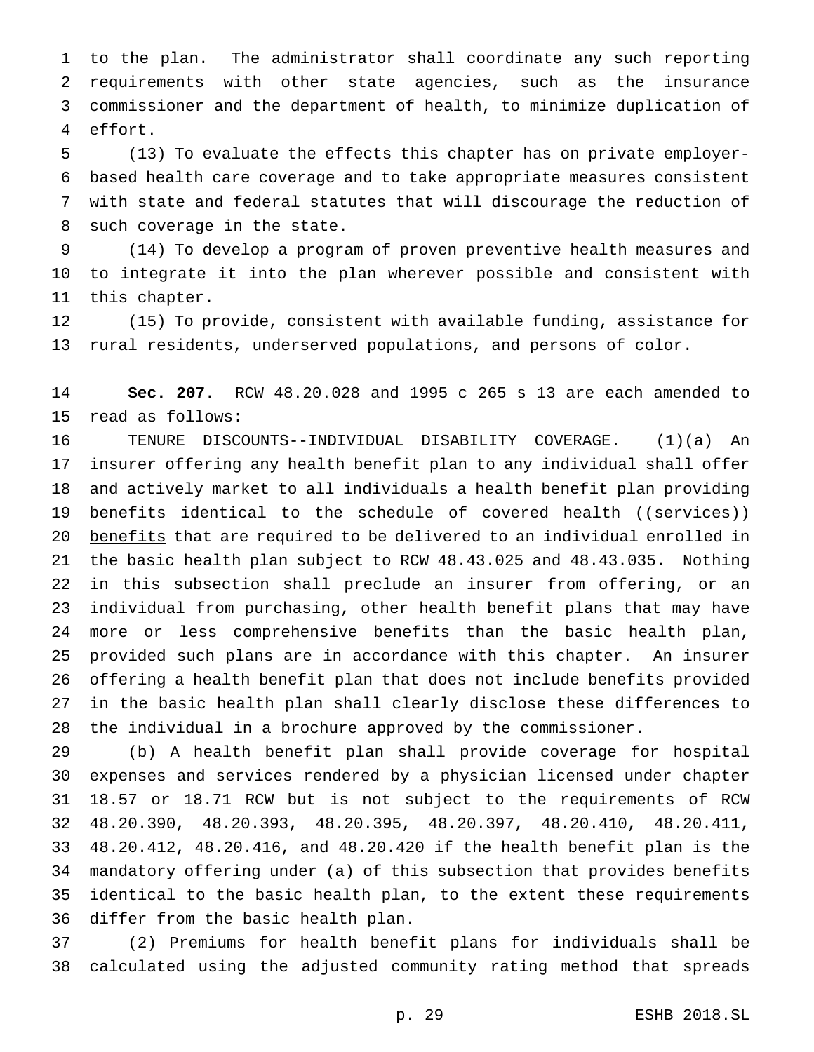to the plan. The administrator shall coordinate any such reporting requirements with other state agencies, such as the insurance commissioner and the department of health, to minimize duplication of effort.

 (13) To evaluate the effects this chapter has on private employer- based health care coverage and to take appropriate measures consistent with state and federal statutes that will discourage the reduction of such coverage in the state.

 (14) To develop a program of proven preventive health measures and to integrate it into the plan wherever possible and consistent with this chapter.

 (15) To provide, consistent with available funding, assistance for rural residents, underserved populations, and persons of color.

 **Sec. 207.** RCW 48.20.028 and 1995 c 265 s 13 are each amended to read as follows:

 TENURE DISCOUNTS--INDIVIDUAL DISABILITY COVERAGE. (1)(a) An insurer offering any health benefit plan to any individual shall offer and actively market to all individuals a health benefit plan providing 19 benefits identical to the schedule of covered health ((services)) benefits that are required to be delivered to an individual enrolled in 21 the basic health plan subject to RCW 48.43.025 and 48.43.035. Nothing in this subsection shall preclude an insurer from offering, or an individual from purchasing, other health benefit plans that may have more or less comprehensive benefits than the basic health plan, provided such plans are in accordance with this chapter. An insurer offering a health benefit plan that does not include benefits provided in the basic health plan shall clearly disclose these differences to the individual in a brochure approved by the commissioner.

 (b) A health benefit plan shall provide coverage for hospital expenses and services rendered by a physician licensed under chapter 18.57 or 18.71 RCW but is not subject to the requirements of RCW 48.20.390, 48.20.393, 48.20.395, 48.20.397, 48.20.410, 48.20.411, 48.20.412, 48.20.416, and 48.20.420 if the health benefit plan is the mandatory offering under (a) of this subsection that provides benefits identical to the basic health plan, to the extent these requirements differ from the basic health plan.

 (2) Premiums for health benefit plans for individuals shall be calculated using the adjusted community rating method that spreads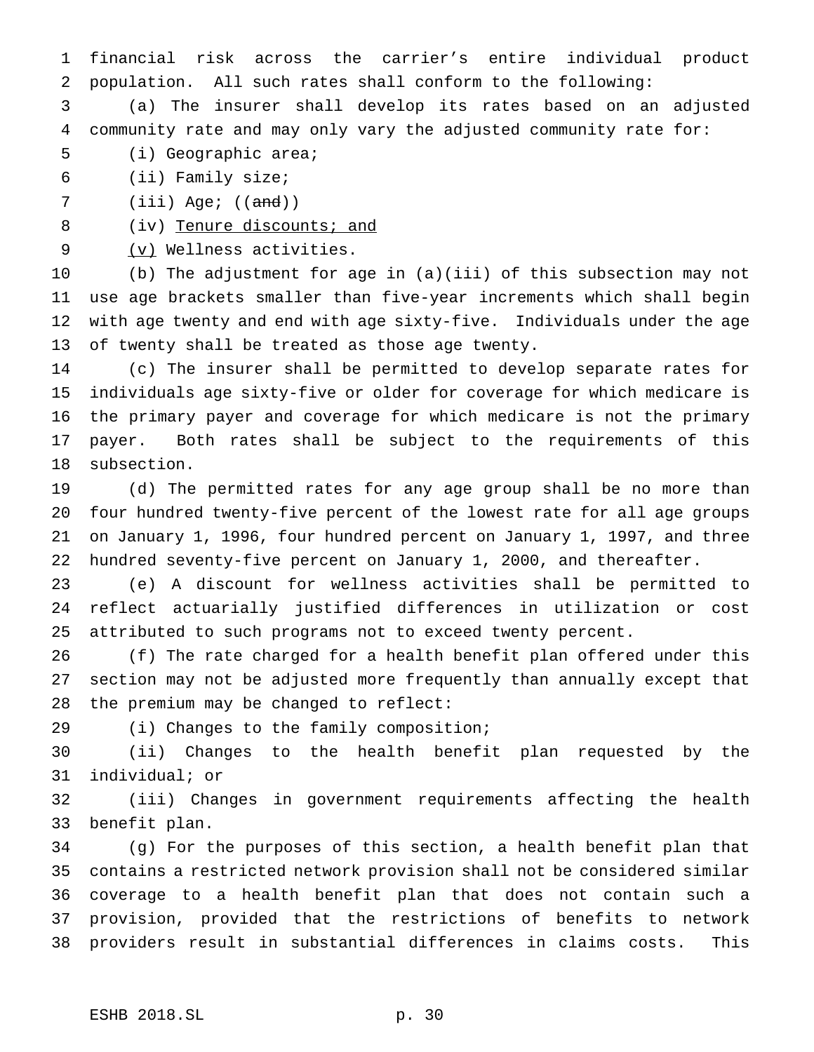financial risk across the carrier's entire individual product population. All such rates shall conform to the following:

 (a) The insurer shall develop its rates based on an adjusted community rate and may only vary the adjusted community rate for:

- (i) Geographic area;
- (ii) Family size;
- 7 (iii) Age; ((<del>and</del>))

8 (iv) Tenure discounts; and

9 (v) Wellness activities.

 (b) The adjustment for age in (a)(iii) of this subsection may not use age brackets smaller than five-year increments which shall begin with age twenty and end with age sixty-five. Individuals under the age of twenty shall be treated as those age twenty.

 (c) The insurer shall be permitted to develop separate rates for individuals age sixty-five or older for coverage for which medicare is the primary payer and coverage for which medicare is not the primary payer. Both rates shall be subject to the requirements of this subsection.

 (d) The permitted rates for any age group shall be no more than four hundred twenty-five percent of the lowest rate for all age groups on January 1, 1996, four hundred percent on January 1, 1997, and three hundred seventy-five percent on January 1, 2000, and thereafter.

 (e) A discount for wellness activities shall be permitted to reflect actuarially justified differences in utilization or cost attributed to such programs not to exceed twenty percent.

 (f) The rate charged for a health benefit plan offered under this section may not be adjusted more frequently than annually except that the premium may be changed to reflect:

(i) Changes to the family composition;

 (ii) Changes to the health benefit plan requested by the individual; or

 (iii) Changes in government requirements affecting the health benefit plan.

 (g) For the purposes of this section, a health benefit plan that contains a restricted network provision shall not be considered similar coverage to a health benefit plan that does not contain such a provision, provided that the restrictions of benefits to network providers result in substantial differences in claims costs. This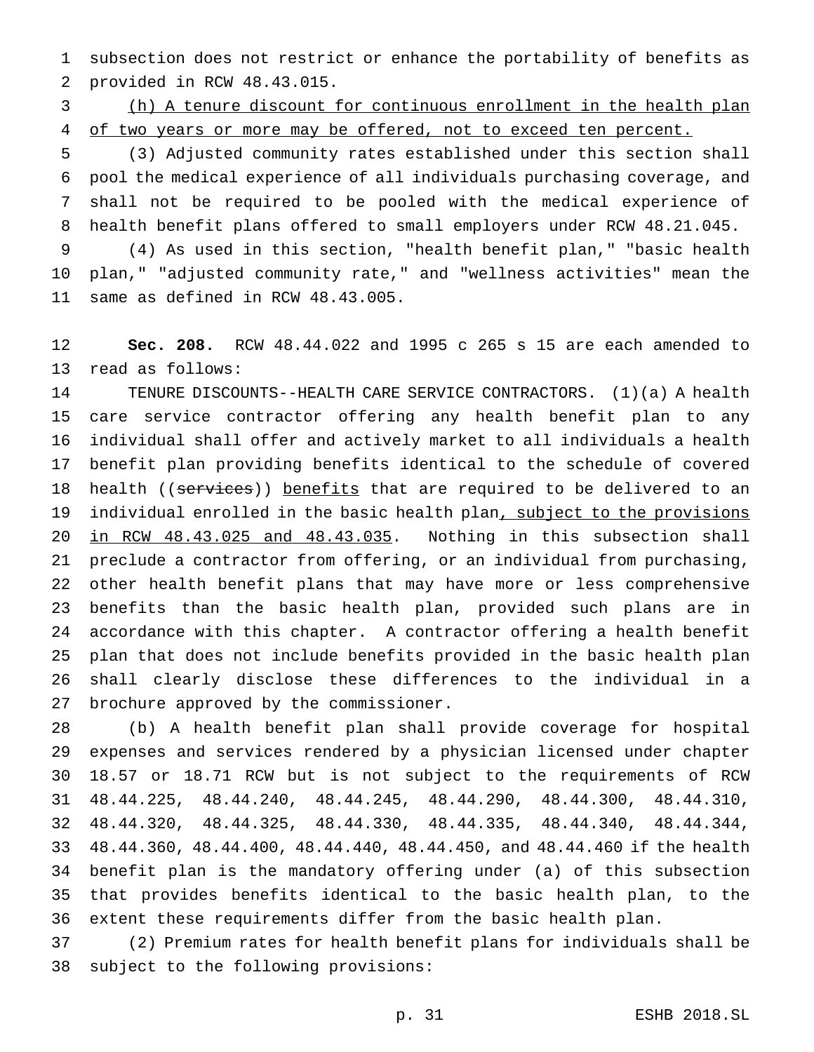subsection does not restrict or enhance the portability of benefits as provided in RCW 48.43.015.

 (h) A tenure discount for continuous enrollment in the health plan 4 of two years or more may be offered, not to exceed ten percent.

 (3) Adjusted community rates established under this section shall pool the medical experience of all individuals purchasing coverage, and shall not be required to be pooled with the medical experience of health benefit plans offered to small employers under RCW 48.21.045.

 (4) As used in this section, "health benefit plan," "basic health plan," "adjusted community rate," and "wellness activities" mean the same as defined in RCW 48.43.005.

 **Sec. 208.** RCW 48.44.022 and 1995 c 265 s 15 are each amended to read as follows:

 TENURE DISCOUNTS--HEALTH CARE SERVICE CONTRACTORS. (1)(a) A health care service contractor offering any health benefit plan to any individual shall offer and actively market to all individuals a health benefit plan providing benefits identical to the schedule of covered 18 health ((services)) benefits that are required to be delivered to an 19 individual enrolled in the basic health plan, subject to the provisions in RCW 48.43.025 and 48.43.035. Nothing in this subsection shall preclude a contractor from offering, or an individual from purchasing, other health benefit plans that may have more or less comprehensive benefits than the basic health plan, provided such plans are in accordance with this chapter. A contractor offering a health benefit plan that does not include benefits provided in the basic health plan shall clearly disclose these differences to the individual in a brochure approved by the commissioner.

 (b) A health benefit plan shall provide coverage for hospital expenses and services rendered by a physician licensed under chapter 18.57 or 18.71 RCW but is not subject to the requirements of RCW 48.44.225, 48.44.240, 48.44.245, 48.44.290, 48.44.300, 48.44.310, 48.44.320, 48.44.325, 48.44.330, 48.44.335, 48.44.340, 48.44.344, 48.44.360, 48.44.400, 48.44.440, 48.44.450, and 48.44.460 if the health benefit plan is the mandatory offering under (a) of this subsection that provides benefits identical to the basic health plan, to the extent these requirements differ from the basic health plan.

 (2) Premium rates for health benefit plans for individuals shall be subject to the following provisions: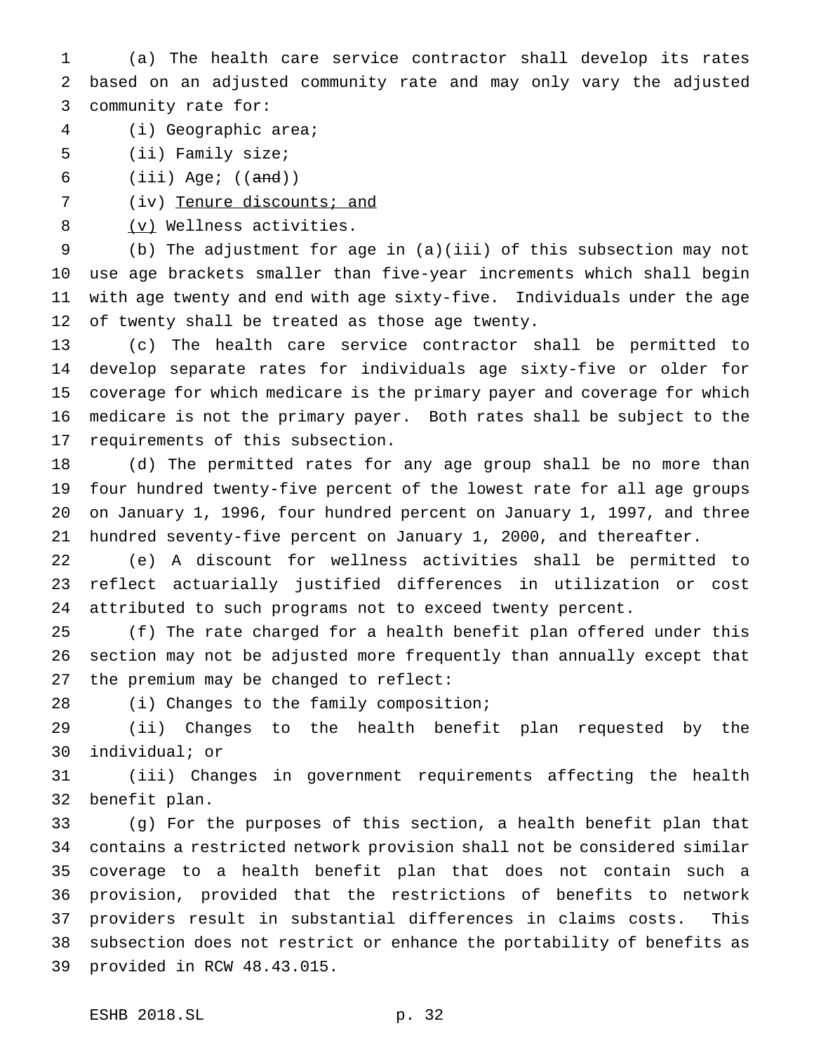(a) The health care service contractor shall develop its rates based on an adjusted community rate and may only vary the adjusted community rate for:

- (i) Geographic area;
- (ii) Family size;

6 (iii) Age; (( $\text{and}$ ))

7 (iv) Tenure discounts; and

8 (v) Wellness activities.

 (b) The adjustment for age in (a)(iii) of this subsection may not use age brackets smaller than five-year increments which shall begin with age twenty and end with age sixty-five. Individuals under the age 12 of twenty shall be treated as those age twenty.

 (c) The health care service contractor shall be permitted to develop separate rates for individuals age sixty-five or older for coverage for which medicare is the primary payer and coverage for which medicare is not the primary payer. Both rates shall be subject to the requirements of this subsection.

 (d) The permitted rates for any age group shall be no more than four hundred twenty-five percent of the lowest rate for all age groups on January 1, 1996, four hundred percent on January 1, 1997, and three hundred seventy-five percent on January 1, 2000, and thereafter.

 (e) A discount for wellness activities shall be permitted to reflect actuarially justified differences in utilization or cost attributed to such programs not to exceed twenty percent.

 (f) The rate charged for a health benefit plan offered under this section may not be adjusted more frequently than annually except that the premium may be changed to reflect:

(i) Changes to the family composition;

 (ii) Changes to the health benefit plan requested by the individual; or

 (iii) Changes in government requirements affecting the health benefit plan.

 (g) For the purposes of this section, a health benefit plan that contains a restricted network provision shall not be considered similar coverage to a health benefit plan that does not contain such a provision, provided that the restrictions of benefits to network providers result in substantial differences in claims costs. This subsection does not restrict or enhance the portability of benefits as provided in RCW 48.43.015.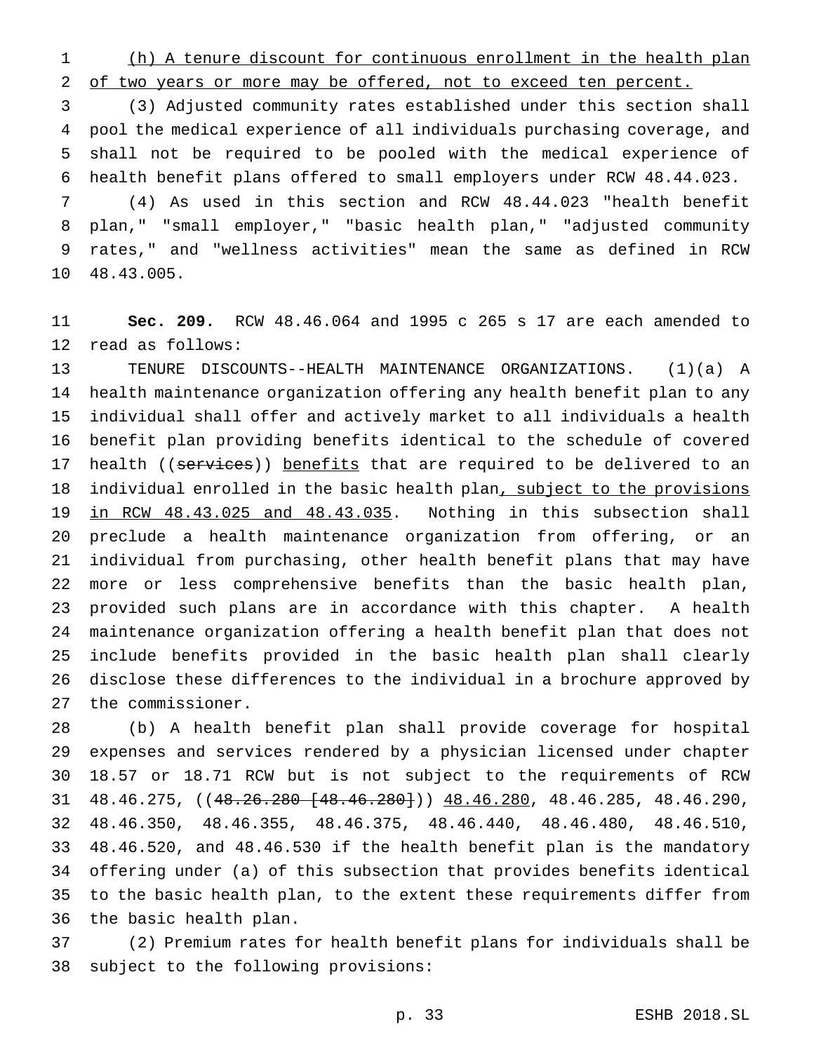(h) A tenure discount for continuous enrollment in the health plan of two years or more may be offered, not to exceed ten percent.

 (3) Adjusted community rates established under this section shall pool the medical experience of all individuals purchasing coverage, and shall not be required to be pooled with the medical experience of health benefit plans offered to small employers under RCW 48.44.023.

 (4) As used in this section and RCW 48.44.023 "health benefit plan," "small employer," "basic health plan," "adjusted community rates," and "wellness activities" mean the same as defined in RCW 48.43.005.

 **Sec. 209.** RCW 48.46.064 and 1995 c 265 s 17 are each amended to read as follows:

 TENURE DISCOUNTS--HEALTH MAINTENANCE ORGANIZATIONS. (1)(a) A health maintenance organization offering any health benefit plan to any individual shall offer and actively market to all individuals a health benefit plan providing benefits identical to the schedule of covered 17 health ((services)) benefits that are required to be delivered to an 18 individual enrolled in the basic health plan, subject to the provisions in RCW 48.43.025 and 48.43.035. Nothing in this subsection shall preclude a health maintenance organization from offering, or an individual from purchasing, other health benefit plans that may have more or less comprehensive benefits than the basic health plan, provided such plans are in accordance with this chapter. A health maintenance organization offering a health benefit plan that does not include benefits provided in the basic health plan shall clearly disclose these differences to the individual in a brochure approved by the commissioner.

 (b) A health benefit plan shall provide coverage for hospital expenses and services rendered by a physician licensed under chapter 18.57 or 18.71 RCW but is not subject to the requirements of RCW 48.46.275, ((48.26.280 [48.46.280])) 48.46.280, 48.46.285, 48.46.290, 48.46.350, 48.46.355, 48.46.375, 48.46.440, 48.46.480, 48.46.510, 48.46.520, and 48.46.530 if the health benefit plan is the mandatory offering under (a) of this subsection that provides benefits identical to the basic health plan, to the extent these requirements differ from the basic health plan.

 (2) Premium rates for health benefit plans for individuals shall be subject to the following provisions: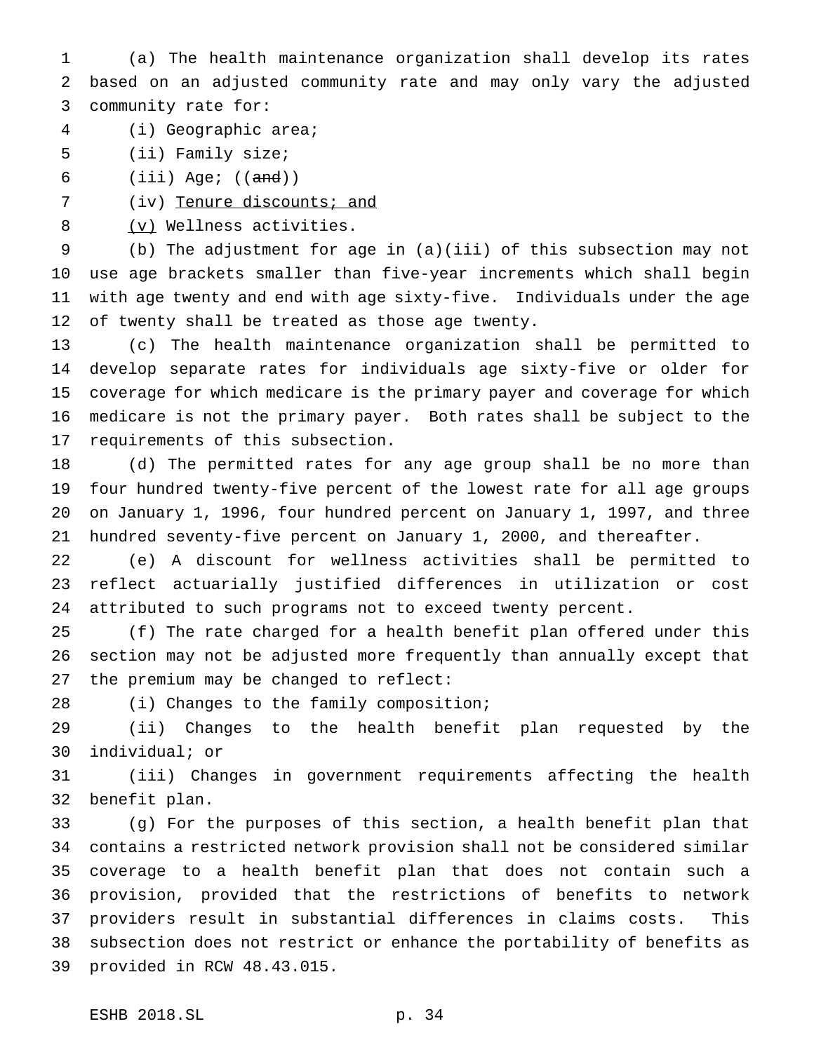(a) The health maintenance organization shall develop its rates based on an adjusted community rate and may only vary the adjusted community rate for:

- (i) Geographic area;
- (ii) Family size;

6 (iii) Age; (( $\text{and}$ ))

7 (iv) Tenure discounts; and

8 (v) Wellness activities.

 (b) The adjustment for age in (a)(iii) of this subsection may not use age brackets smaller than five-year increments which shall begin with age twenty and end with age sixty-five. Individuals under the age of twenty shall be treated as those age twenty.

 (c) The health maintenance organization shall be permitted to develop separate rates for individuals age sixty-five or older for coverage for which medicare is the primary payer and coverage for which medicare is not the primary payer. Both rates shall be subject to the requirements of this subsection.

 (d) The permitted rates for any age group shall be no more than four hundred twenty-five percent of the lowest rate for all age groups on January 1, 1996, four hundred percent on January 1, 1997, and three hundred seventy-five percent on January 1, 2000, and thereafter.

 (e) A discount for wellness activities shall be permitted to reflect actuarially justified differences in utilization or cost attributed to such programs not to exceed twenty percent.

 (f) The rate charged for a health benefit plan offered under this section may not be adjusted more frequently than annually except that the premium may be changed to reflect:

(i) Changes to the family composition;

 (ii) Changes to the health benefit plan requested by the individual; or

 (iii) Changes in government requirements affecting the health benefit plan.

 (g) For the purposes of this section, a health benefit plan that contains a restricted network provision shall not be considered similar coverage to a health benefit plan that does not contain such a provision, provided that the restrictions of benefits to network providers result in substantial differences in claims costs. This subsection does not restrict or enhance the portability of benefits as provided in RCW 48.43.015.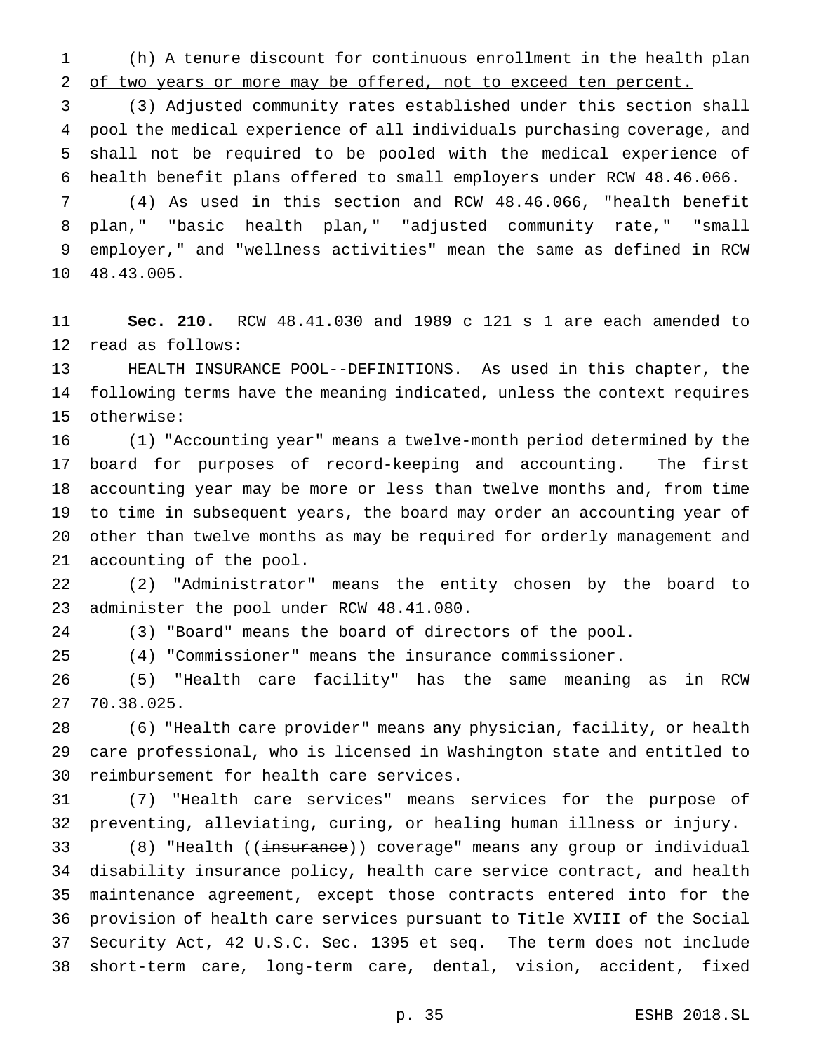(h) A tenure discount for continuous enrollment in the health plan of two years or more may be offered, not to exceed ten percent.

 (3) Adjusted community rates established under this section shall pool the medical experience of all individuals purchasing coverage, and shall not be required to be pooled with the medical experience of health benefit plans offered to small employers under RCW 48.46.066.

 (4) As used in this section and RCW 48.46.066, "health benefit plan," "basic health plan," "adjusted community rate," "small employer," and "wellness activities" mean the same as defined in RCW 48.43.005.

 **Sec. 210.** RCW 48.41.030 and 1989 c 121 s 1 are each amended to read as follows:

 HEALTH INSURANCE POOL--DEFINITIONS. As used in this chapter, the following terms have the meaning indicated, unless the context requires otherwise:

 (1) "Accounting year" means a twelve-month period determined by the board for purposes of record-keeping and accounting. The first accounting year may be more or less than twelve months and, from time to time in subsequent years, the board may order an accounting year of other than twelve months as may be required for orderly management and accounting of the pool.

 (2) "Administrator" means the entity chosen by the board to administer the pool under RCW 48.41.080.

(3) "Board" means the board of directors of the pool.

(4) "Commissioner" means the insurance commissioner.

 (5) "Health care facility" has the same meaning as in RCW 70.38.025.

 (6) "Health care provider" means any physician, facility, or health care professional, who is licensed in Washington state and entitled to reimbursement for health care services.

 (7) "Health care services" means services for the purpose of preventing, alleviating, curing, or healing human illness or injury.

33 (8) "Health ((insurance)) coverage" means any group or individual disability insurance policy, health care service contract, and health maintenance agreement, except those contracts entered into for the provision of health care services pursuant to Title XVIII of the Social Security Act, 42 U.S.C. Sec. 1395 et seq. The term does not include short-term care, long-term care, dental, vision, accident, fixed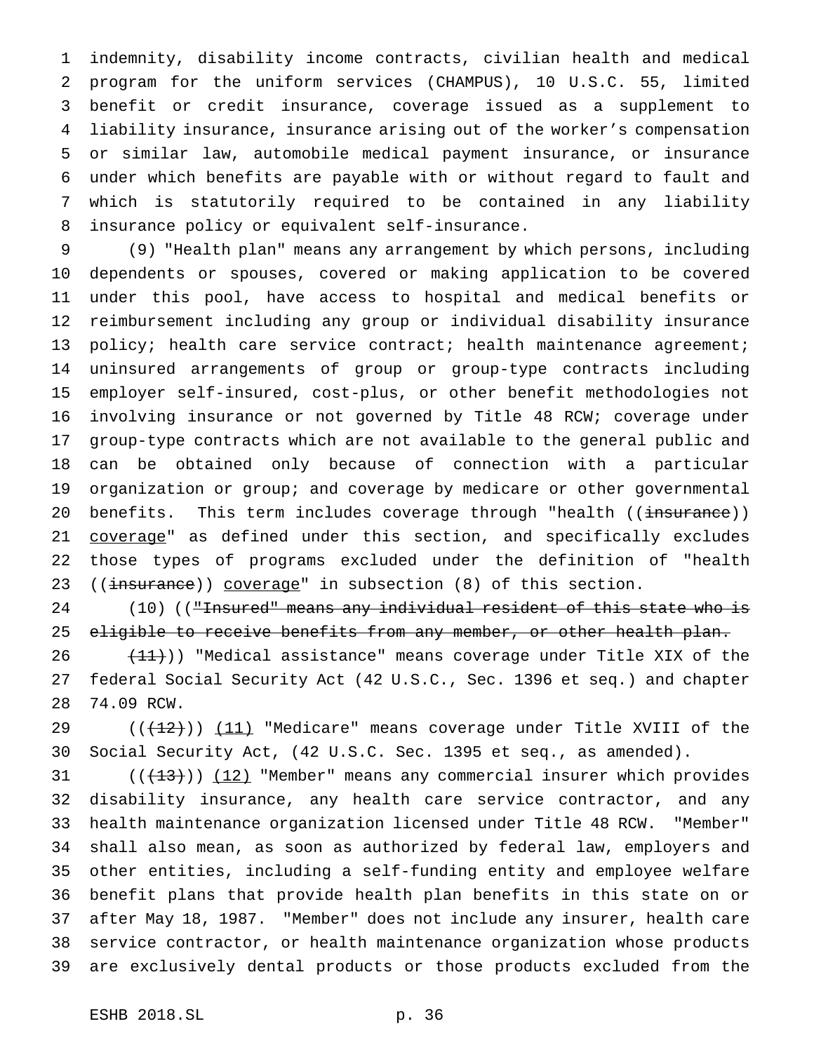indemnity, disability income contracts, civilian health and medical program for the uniform services (CHAMPUS), 10 U.S.C. 55, limited benefit or credit insurance, coverage issued as a supplement to liability insurance, insurance arising out of the worker's compensation or similar law, automobile medical payment insurance, or insurance under which benefits are payable with or without regard to fault and which is statutorily required to be contained in any liability insurance policy or equivalent self-insurance.

 (9) "Health plan" means any arrangement by which persons, including dependents or spouses, covered or making application to be covered under this pool, have access to hospital and medical benefits or reimbursement including any group or individual disability insurance 13 policy; health care service contract; health maintenance agreement; uninsured arrangements of group or group-type contracts including employer self-insured, cost-plus, or other benefit methodologies not involving insurance or not governed by Title 48 RCW; coverage under group-type contracts which are not available to the general public and can be obtained only because of connection with a particular organization or group; and coverage by medicare or other governmental 20 benefits. This term includes coverage through "health ((insurance)) 21 coverage" as defined under this section, and specifically excludes those types of programs excluded under the definition of "health 23 ((insurance)) coverage" in subsection (8) of this section.

24 (10) (("Insured" means any individual resident of this state who is 25 eligible to receive benefits from any member, or other health plan.

 $(11)$ ) "Medical assistance" means coverage under Title XIX of the federal Social Security Act (42 U.S.C., Sec. 1396 et seq.) and chapter 74.09 RCW.

29  $((+12))$   $(11)$  "Medicare" means coverage under Title XVIII of the Social Security Act, (42 U.S.C. Sec. 1395 et seq., as amended).

 $((+13))$   $(12)$  "Member" means any commercial insurer which provides disability insurance, any health care service contractor, and any health maintenance organization licensed under Title 48 RCW. "Member" shall also mean, as soon as authorized by federal law, employers and other entities, including a self-funding entity and employee welfare benefit plans that provide health plan benefits in this state on or after May 18, 1987. "Member" does not include any insurer, health care service contractor, or health maintenance organization whose products are exclusively dental products or those products excluded from the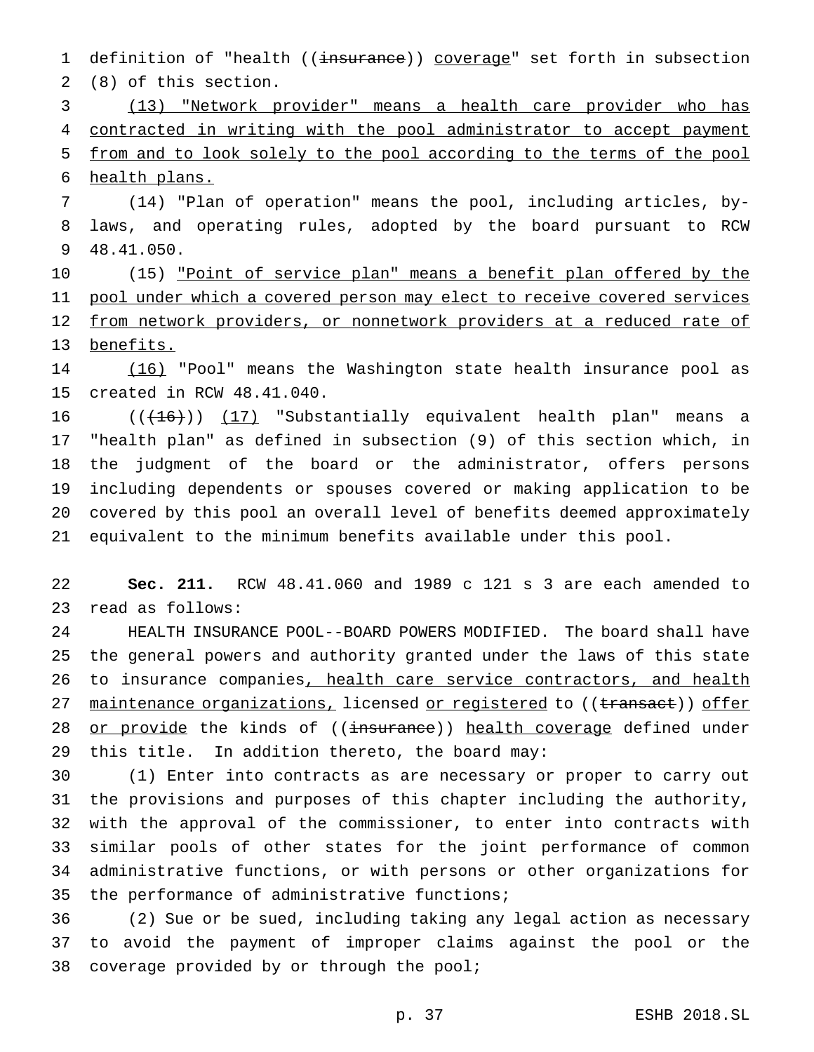1 definition of "health ((insurance)) coverage" set forth in subsection (8) of this section.

 (13) "Network provider" means a health care provider who has contracted in writing with the pool administrator to accept payment from and to look solely to the pool according to the terms of the pool health plans.

 (14) "Plan of operation" means the pool, including articles, by- laws, and operating rules, adopted by the board pursuant to RCW 48.41.050.

10 (15) <u>"Point of service plan" means a benefit plan offered by the</u> pool under which a covered person may elect to receive covered services 12 from network providers, or nonnetwork providers at a reduced rate of benefits.

 (16) "Pool" means the Washington state health insurance pool as created in RCW 48.41.040.

 $((+16))$   $(17)$  "Substantially equivalent health plan" means a "health plan" as defined in subsection (9) of this section which, in the judgment of the board or the administrator, offers persons including dependents or spouses covered or making application to be covered by this pool an overall level of benefits deemed approximately equivalent to the minimum benefits available under this pool.

 **Sec. 211.** RCW 48.41.060 and 1989 c 121 s 3 are each amended to read as follows:

 HEALTH INSURANCE POOL--BOARD POWERS MODIFIED. The board shall have the general powers and authority granted under the laws of this state 26 to insurance companies, health care service contractors, and health 27 maintenance organizations, licensed or registered to ((transact)) offer 28 or provide the kinds of ((insurance)) health coverage defined under this title. In addition thereto, the board may:

 (1) Enter into contracts as are necessary or proper to carry out the provisions and purposes of this chapter including the authority, with the approval of the commissioner, to enter into contracts with similar pools of other states for the joint performance of common administrative functions, or with persons or other organizations for the performance of administrative functions;

 (2) Sue or be sued, including taking any legal action as necessary to avoid the payment of improper claims against the pool or the coverage provided by or through the pool;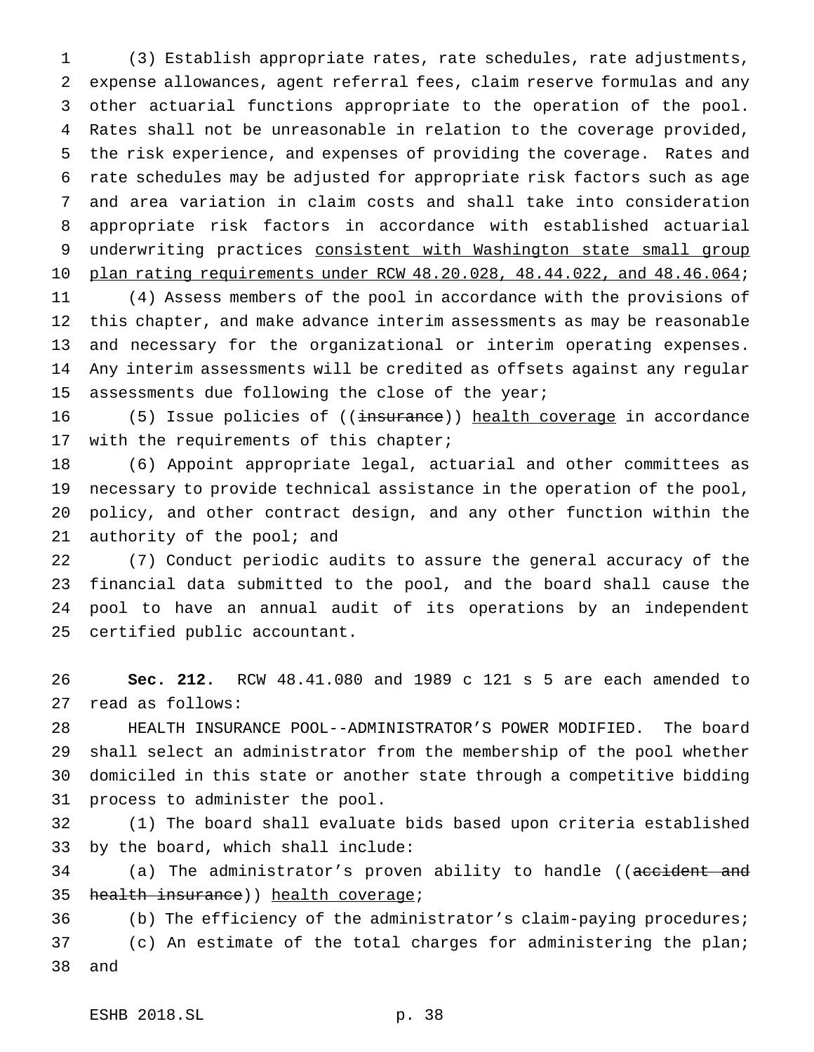(3) Establish appropriate rates, rate schedules, rate adjustments, expense allowances, agent referral fees, claim reserve formulas and any other actuarial functions appropriate to the operation of the pool. Rates shall not be unreasonable in relation to the coverage provided, the risk experience, and expenses of providing the coverage. Rates and rate schedules may be adjusted for appropriate risk factors such as age and area variation in claim costs and shall take into consideration appropriate risk factors in accordance with established actuarial 9 underwriting practices consistent with Washington state small group plan rating requirements under RCW 48.20.028, 48.44.022, and 48.46.064;

 (4) Assess members of the pool in accordance with the provisions of this chapter, and make advance interim assessments as may be reasonable and necessary for the organizational or interim operating expenses. Any interim assessments will be credited as offsets against any regular 15 assessments due following the close of the year;

16 (5) Issue policies of ((insurance)) health coverage in accordance with the requirements of this chapter;

 (6) Appoint appropriate legal, actuarial and other committees as necessary to provide technical assistance in the operation of the pool, policy, and other contract design, and any other function within the 21 authority of the pool; and

 (7) Conduct periodic audits to assure the general accuracy of the financial data submitted to the pool, and the board shall cause the pool to have an annual audit of its operations by an independent certified public accountant.

 **Sec. 212.** RCW 48.41.080 and 1989 c 121 s 5 are each amended to read as follows:

 HEALTH INSURANCE POOL--ADMINISTRATOR'S POWER MODIFIED. The board shall select an administrator from the membership of the pool whether domiciled in this state or another state through a competitive bidding process to administer the pool.

 (1) The board shall evaluate bids based upon criteria established by the board, which shall include:

34 (a) The administrator's proven ability to handle ((<del>accident and</del> 35 health insurance) health coverage;

 (b) The efficiency of the administrator's claim-paying procedures; (c) An estimate of the total charges for administering the plan; and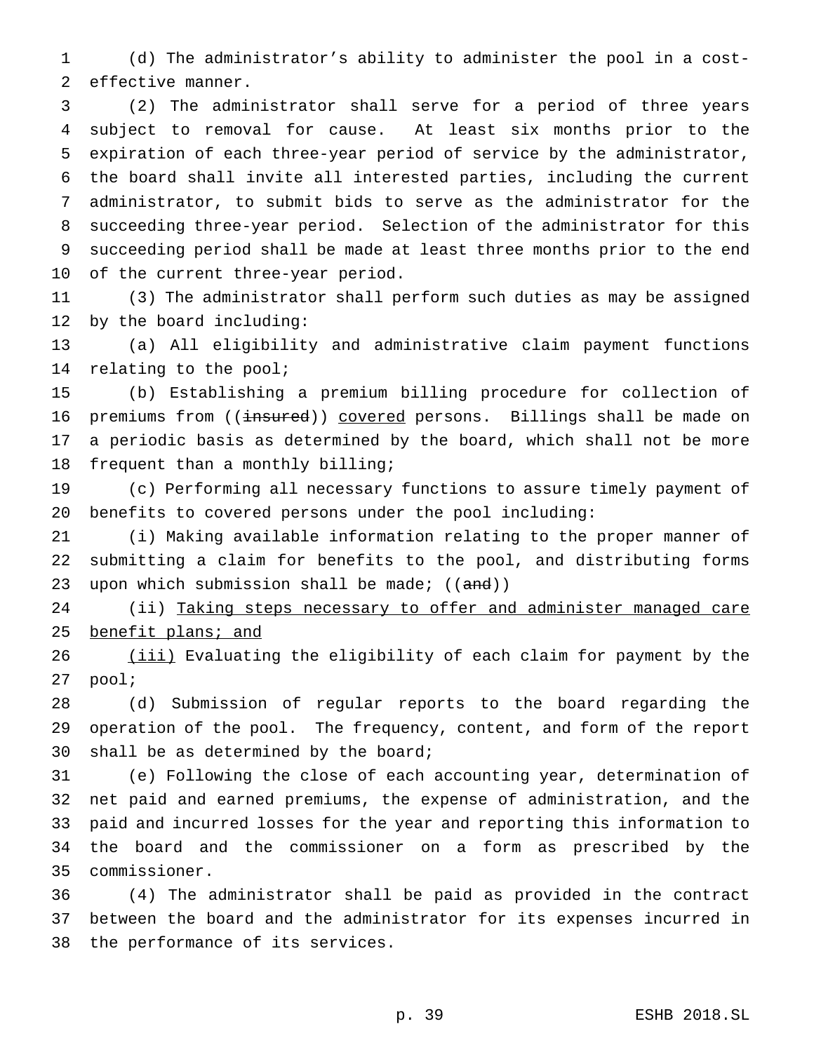(d) The administrator's ability to administer the pool in a cost-effective manner.

 (2) The administrator shall serve for a period of three years subject to removal for cause. At least six months prior to the expiration of each three-year period of service by the administrator, the board shall invite all interested parties, including the current administrator, to submit bids to serve as the administrator for the succeeding three-year period. Selection of the administrator for this succeeding period shall be made at least three months prior to the end of the current three-year period.

 (3) The administrator shall perform such duties as may be assigned by the board including:

 (a) All eligibility and administrative claim payment functions relating to the pool;

 (b) Establishing a premium billing procedure for collection of 16 premiums from ((insured)) covered persons. Billings shall be made on a periodic basis as determined by the board, which shall not be more frequent than a monthly billing;

 (c) Performing all necessary functions to assure timely payment of benefits to covered persons under the pool including:

 (i) Making available information relating to the proper manner of submitting a claim for benefits to the pool, and distributing forms 23 upon which submission shall be made;  $((and))$ 

24 (ii) Taking steps necessary to offer and administer managed care 25 benefit plans; and

26 (iii) Evaluating the eligibility of each claim for payment by the pool;

 (d) Submission of regular reports to the board regarding the operation of the pool. The frequency, content, and form of the report shall be as determined by the board;

 (e) Following the close of each accounting year, determination of net paid and earned premiums, the expense of administration, and the paid and incurred losses for the year and reporting this information to the board and the commissioner on a form as prescribed by the commissioner.

 (4) The administrator shall be paid as provided in the contract between the board and the administrator for its expenses incurred in the performance of its services.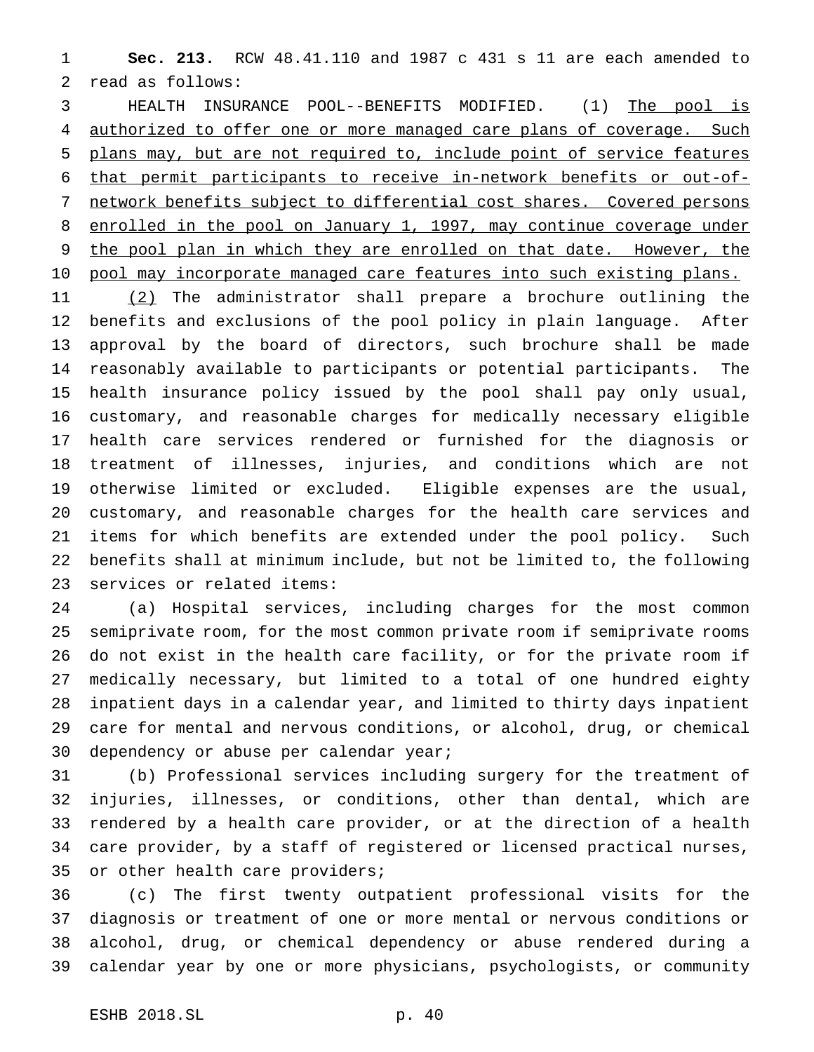**Sec. 213.** RCW 48.41.110 and 1987 c 431 s 11 are each amended to read as follows:

 HEALTH INSURANCE POOL--BENEFITS MODIFIED. (1) The pool is 4 authorized to offer one or more managed care plans of coverage. Such plans may, but are not required to, include point of service features that permit participants to receive in-network benefits or out-of- network benefits subject to differential cost shares. Covered persons 8 enrolled in the pool on January 1, 1997, may continue coverage under the pool plan in which they are enrolled on that date. However, the 10 pool may incorporate managed care features into such existing plans.

 (2) The administrator shall prepare a brochure outlining the benefits and exclusions of the pool policy in plain language. After approval by the board of directors, such brochure shall be made reasonably available to participants or potential participants. The health insurance policy issued by the pool shall pay only usual, customary, and reasonable charges for medically necessary eligible health care services rendered or furnished for the diagnosis or treatment of illnesses, injuries, and conditions which are not otherwise limited or excluded. Eligible expenses are the usual, customary, and reasonable charges for the health care services and items for which benefits are extended under the pool policy. Such benefits shall at minimum include, but not be limited to, the following services or related items:

 (a) Hospital services, including charges for the most common semiprivate room, for the most common private room if semiprivate rooms do not exist in the health care facility, or for the private room if medically necessary, but limited to a total of one hundred eighty inpatient days in a calendar year, and limited to thirty days inpatient care for mental and nervous conditions, or alcohol, drug, or chemical dependency or abuse per calendar year;

 (b) Professional services including surgery for the treatment of injuries, illnesses, or conditions, other than dental, which are rendered by a health care provider, or at the direction of a health care provider, by a staff of registered or licensed practical nurses, or other health care providers;

 (c) The first twenty outpatient professional visits for the diagnosis or treatment of one or more mental or nervous conditions or alcohol, drug, or chemical dependency or abuse rendered during a calendar year by one or more physicians, psychologists, or community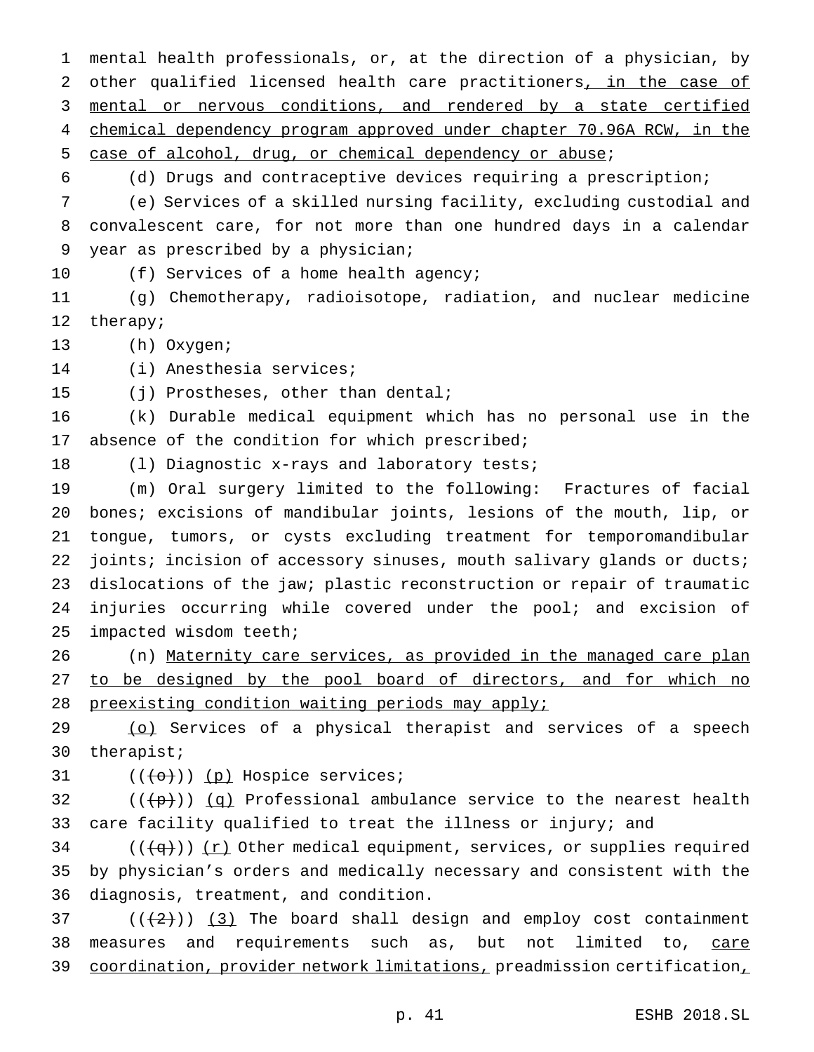mental health professionals, or, at the direction of a physician, by 2 other qualified licensed health care practitioners, in the case of mental or nervous conditions, and rendered by a state certified chemical dependency program approved under chapter 70.96A RCW, in the case of alcohol, drug, or chemical dependency or abuse; (d) Drugs and contraceptive devices requiring a prescription; (e) Services of a skilled nursing facility, excluding custodial and convalescent care, for not more than one hundred days in a calendar year as prescribed by a physician; 10 (f) Services of a home health agency; (g) Chemotherapy, radioisotope, radiation, and nuclear medicine therapy; (h) Oxygen; (i) Anesthesia services; (j) Prostheses, other than dental; (k) Durable medical equipment which has no personal use in the 17 absence of the condition for which prescribed; (l) Diagnostic x-rays and laboratory tests; (m) Oral surgery limited to the following: Fractures of facial bones; excisions of mandibular joints, lesions of the mouth, lip, or tongue, tumors, or cysts excluding treatment for temporomandibular 22 joints; incision of accessory sinuses, mouth salivary glands or ducts; dislocations of the jaw; plastic reconstruction or repair of traumatic 24 injuries occurring while covered under the pool; and excision of impacted wisdom teeth;

 (n) Maternity care services, as provided in the managed care plan 27 to be designed by the pool board of directors, and for which no 28 preexisting condition waiting periods may apply;

 (o) Services of a physical therapist and services of a speech therapist;

31  $((+o))$  (p) Hospice services;

32 ( $(\frac{p}{p})$ ) (q) Professional ambulance service to the nearest health care facility qualified to treat the illness or injury; and

34 ( $(\overline{q})$ ) (r) Other medical equipment, services, or supplies required by physician's orders and medically necessary and consistent with the diagnosis, treatment, and condition.

 ( $(\frac{2}{3})$  The board shall design and employ cost containment 38 measures and requirements such as, but not limited to, care 39 coordination, provider network limitations, preadmission certification,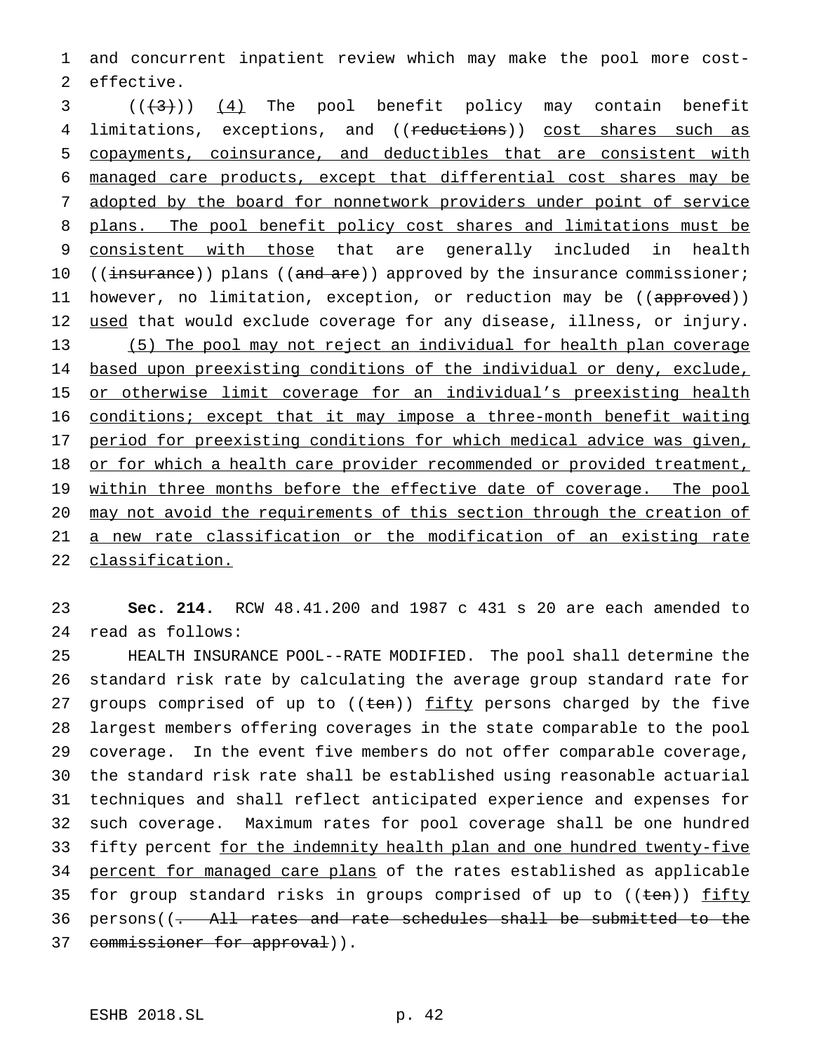and concurrent inpatient review which may make the pool more cost-effective.

  $((+3))$   $(4)$  The pool benefit policy may contain benefit 4 limitations, exceptions, and ((reductions)) cost shares such as copayments, coinsurance, and deductibles that are consistent with managed care products, except that differential cost shares may be adopted by the board for nonnetwork providers under point of service 8 plans. The pool benefit policy cost shares and limitations must be consistent with those that are generally included in health 10 ((insurance)) plans ((and are)) approved by the insurance commissioner; 11 however, no limitation, exception, or reduction may be ((approved)) 12 used that would exclude coverage for any disease, illness, or injury. (5) The pool may not reject an individual for health plan coverage based upon preexisting conditions of the individual or deny, exclude, 15 or otherwise limit coverage for an individual's preexisting health conditions; except that it may impose a three-month benefit waiting period for preexisting conditions for which medical advice was given, 18 or for which a health care provider recommended or provided treatment, 19 within three months before the effective date of coverage. The pool may not avoid the requirements of this section through the creation of a new rate classification or the modification of an existing rate classification.

 **Sec. 214.** RCW 48.41.200 and 1987 c 431 s 20 are each amended to read as follows:

 HEALTH INSURANCE POOL--RATE MODIFIED. The pool shall determine the standard risk rate by calculating the average group standard rate for 27 groups comprised of up to ((ten)) fifty persons charged by the five largest members offering coverages in the state comparable to the pool coverage. In the event five members do not offer comparable coverage, the standard risk rate shall be established using reasonable actuarial techniques and shall reflect anticipated experience and expenses for such coverage. Maximum rates for pool coverage shall be one hundred 33 fifty percent for the indemnity health plan and one hundred twenty-five percent for managed care plans of the rates established as applicable 35 for group standard risks in groups comprised of up to ((ten)) fifty persons((. All rates and rate schedules shall be submitted to the 37 commissioner for approval)).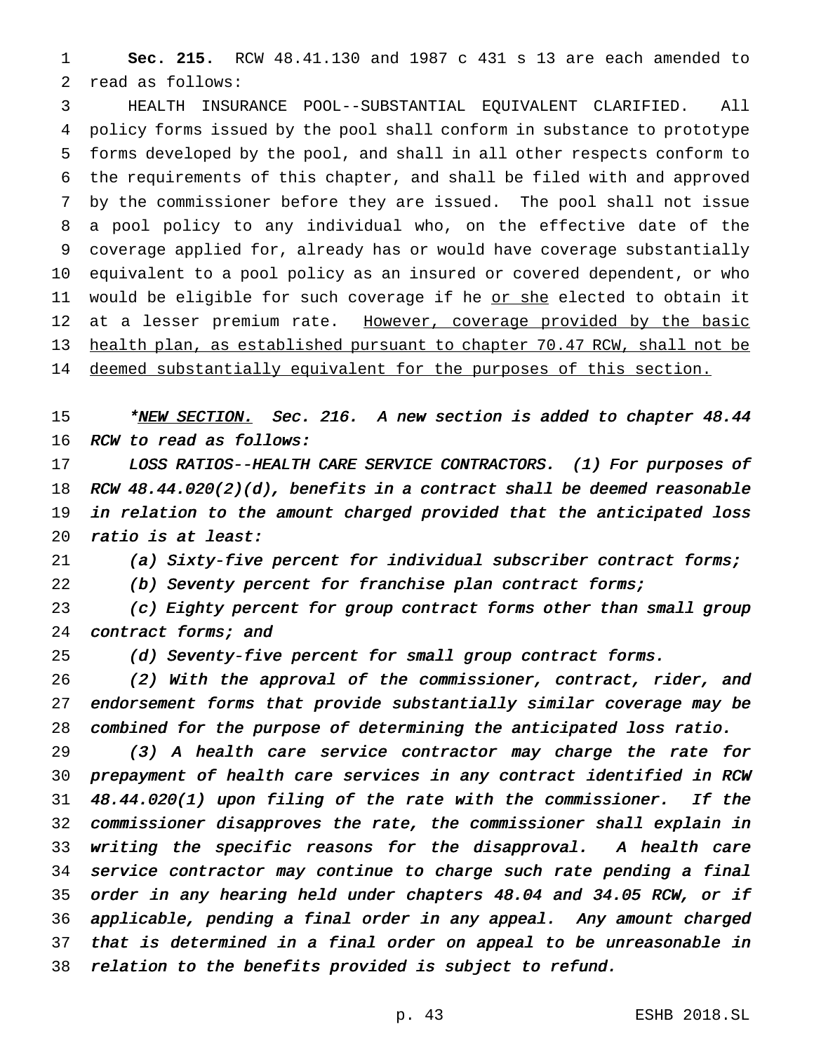**Sec. 215.** RCW 48.41.130 and 1987 c 431 s 13 are each amended to read as follows:

 HEALTH INSURANCE POOL--SUBSTANTIAL EQUIVALENT CLARIFIED. All policy forms issued by the pool shall conform in substance to prototype forms developed by the pool, and shall in all other respects conform to the requirements of this chapter, and shall be filed with and approved by the commissioner before they are issued. The pool shall not issue a pool policy to any individual who, on the effective date of the coverage applied for, already has or would have coverage substantially equivalent to a pool policy as an insured or covered dependent, or who 11 would be eligible for such coverage if he <u>or she</u> elected to obtain it 12 at a lesser premium rate. However, coverage provided by the basic health plan, as established pursuant to chapter 70.47 RCW, shall not be 14 deemed substantially equivalent for the purposes of this section.

15 \*NEW SECTION. Sec. 216. A new section is added to chapter 48.44 RCW to read as follows:

17 LOSS RATIOS--HEALTH CARE SERVICE CONTRACTORS. (1) For purposes of RCW 48.44.020(2)(d), benefits in <sup>a</sup> contract shall be deemed reasonable in relation to the amount charged provided that the anticipated loss ratio is at least:

(a) Sixty-five percent for individual subscriber contract forms;

22 (b) Seventy percent for franchise plan contract forms;

 (c) Eighty percent for group contract forms other than small group 24 contract forms; and

25 (d) Seventy-five percent for small group contract forms.

 (2) With the approval of the commissioner, contract, rider, and endorsement forms that provide substantially similar coverage may be combined for the purpose of determining the anticipated loss ratio.

 (3) <sup>A</sup> health care service contractor may charge the rate for prepayment of health care services in any contract identified in RCW 48.44.020(1) upon filing of the rate with the commissioner. If the commissioner disapproves the rate, the commissioner shall explain in writing the specific reasons for the disapproval. <sup>A</sup> health care service contractor may continue to charge such rate pending <sup>a</sup> final order in any hearing held under chapters 48.04 and 34.05 RCW, or if applicable, pending <sup>a</sup> final order in any appeal. Any amount charged that is determined in <sup>a</sup> final order on appeal to be unreasonable in relation to the benefits provided is subject to refund.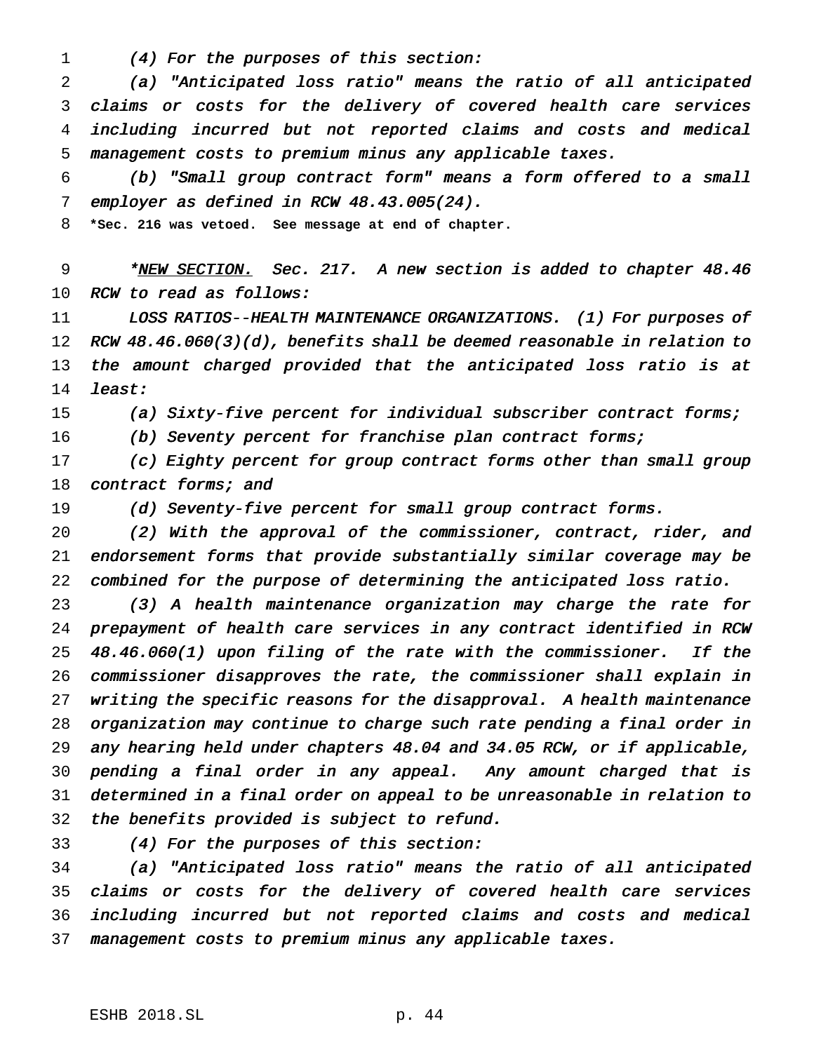(4) For the purposes of this section:

 (a) "Anticipated loss ratio" means the ratio of all anticipated claims or costs for the delivery of covered health care services including incurred but not reported claims and costs and medical management costs to premium minus any applicable taxes.

 (b) "Small group contract form" means <sup>a</sup> form offered to <sup>a</sup> small employer as defined in RCW 48.43.005(24).

**\*Sec. 216 was vetoed. See message at end of chapter.**

9 \*NEW SECTION. Sec. 217. A new section is added to chapter 48.46 10 RCW to read as follows:

11 LOSS RATIOS--HEALTH MAINTENANCE ORGANIZATIONS. (1) For purposes of 12 RCW 48.46.060(3)(d), benefits shall be deemed reasonable in relation to 13 the amount charged provided that the anticipated loss ratio is at least:

(a) Sixty-five percent for individual subscriber contract forms;

16 (b) Seventy percent for franchise plan contract forms;

 (c) Eighty percent for group contract forms other than small group 18 contract forms; and

19 (d) Seventy-five percent for small group contract forms.

 (2) With the approval of the commissioner, contract, rider, and endorsement forms that provide substantially similar coverage may be combined for the purpose of determining the anticipated loss ratio.

 (3) <sup>A</sup> health maintenance organization may charge the rate for prepayment of health care services in any contract identified in RCW 48.46.060(1) upon filing of the rate with the commissioner. If the commissioner disapproves the rate, the commissioner shall explain in writing the specific reasons for the disapproval. <sup>A</sup> health maintenance organization may continue to charge such rate pending <sup>a</sup> final order in any hearing held under chapters 48.04 and 34.05 RCW, or if applicable, pending <sup>a</sup> final order in any appeal. Any amount charged that is determined in <sup>a</sup> final order on appeal to be unreasonable in relation to the benefits provided is subject to refund.

(4) For the purposes of this section:

 (a) "Anticipated loss ratio" means the ratio of all anticipated claims or costs for the delivery of covered health care services including incurred but not reported claims and costs and medical management costs to premium minus any applicable taxes.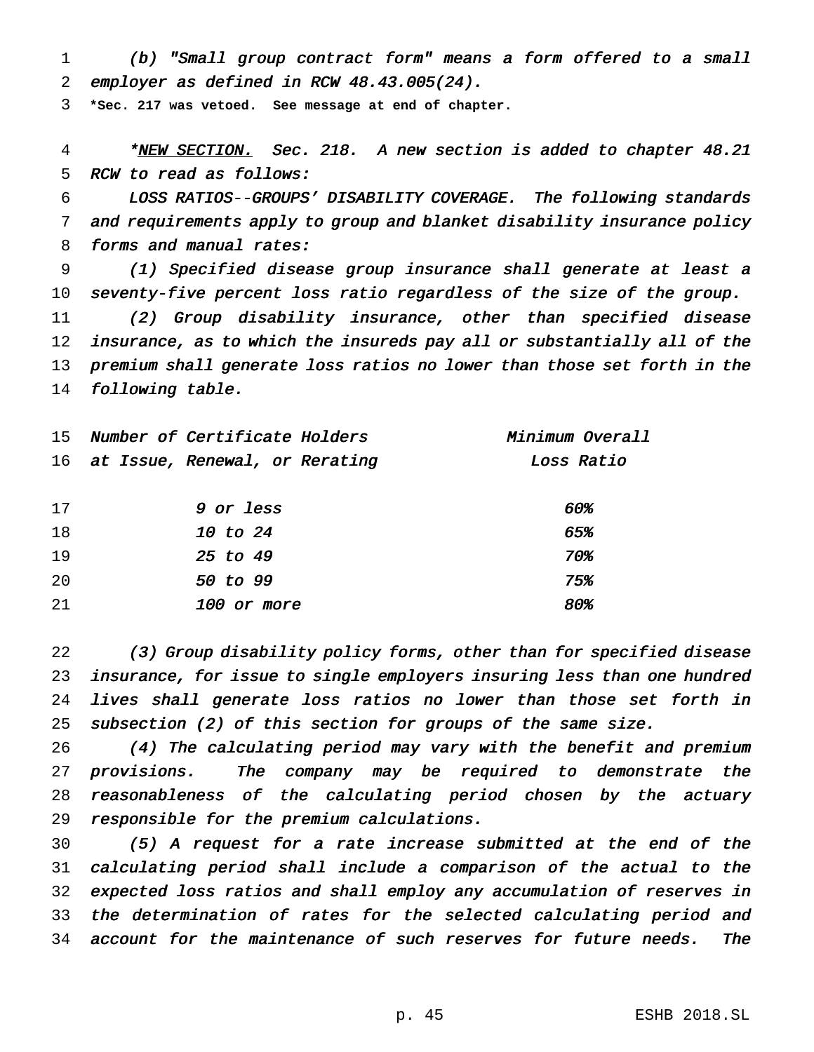(b) "Small group contract form" means <sup>a</sup> form offered to <sup>a</sup> small employer as defined in RCW 48.43.005(24).

**\*Sec. 217 was vetoed. See message at end of chapter.**

4 \*NEW SECTION. Sec. 218. A new section is added to chapter 48.21 RCW to read as follows:

 LOSS RATIOS--GROUPS' DISABILITY COVERAGE. The following standards and requirements apply to group and blanket disability insurance policy 8 forms and manual rates:

 (1) Specified disease group insurance shall generate at least <sup>a</sup> seventy-five percent loss ratio regardless of the size of the group.

 (2) Group disability insurance, other than specified disease insurance, as to which the insureds pay all or substantially all of the premium shall generate loss ratios no lower than those set forth in the following table.

| 15  | Number of Certificate Holders     | Minimum Overall |
|-----|-----------------------------------|-----------------|
|     | 16 at Issue, Renewal, or Rerating | Loss Ratio      |
|     |                                   |                 |
| 17  | <i>9</i> or less                  | 60%             |
| 18  | 10 to 24                          | 65%             |
| 19  | 25 to 49                          | 70%             |
| 20  | 50 to 99                          | 75.             |
| -21 | 100 or more                       | 80%             |

 (3) Group disability policy forms, other than for specified disease insurance, for issue to single employers insuring less than one hundred lives shall generate loss ratios no lower than those set forth in subsection (2) of this section for groups of the same size.

 (4) The calculating period may vary with the benefit and premium provisions. The company may be required to demonstrate the reasonableness of the calculating period chosen by the actuary responsible for the premium calculations.

 (5) <sup>A</sup> request for <sup>a</sup> rate increase submitted at the end of the calculating period shall include <sup>a</sup> comparison of the actual to the expected loss ratios and shall employ any accumulation of reserves in the determination of rates for the selected calculating period and account for the maintenance of such reserves for future needs. The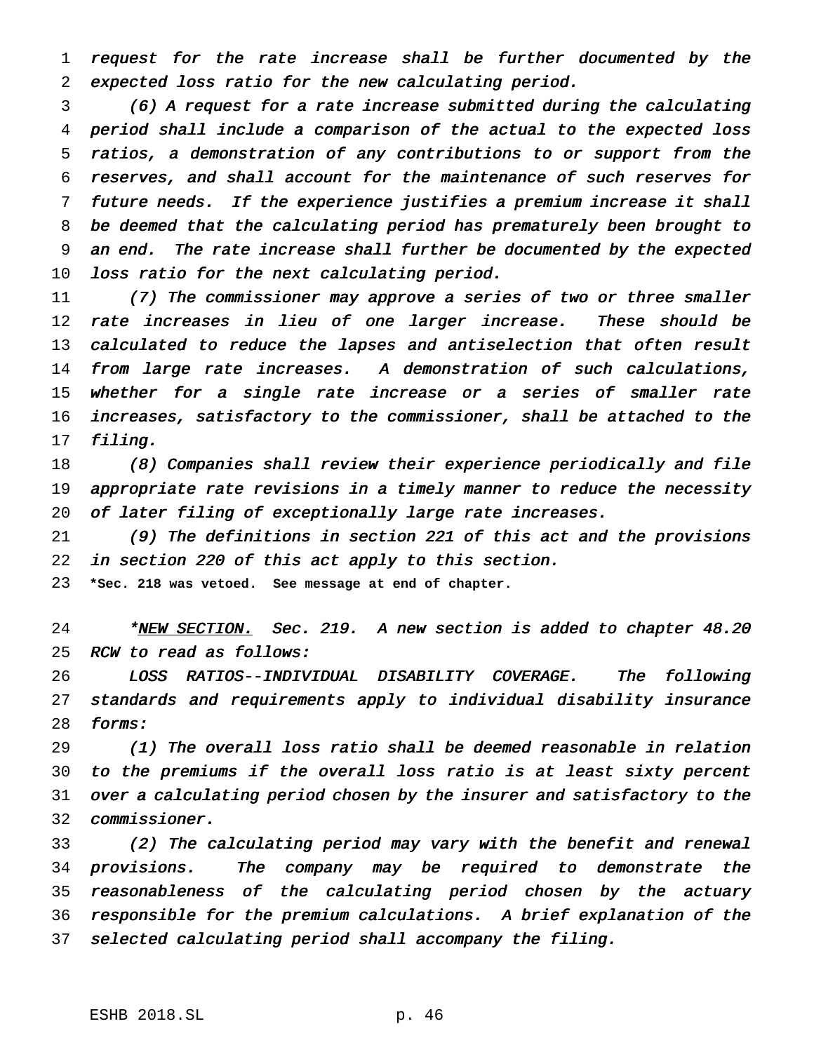request for the rate increase shall be further documented by the expected loss ratio for the new calculating period.

 (6) <sup>A</sup> request for <sup>a</sup> rate increase submitted during the calculating period shall include <sup>a</sup> comparison of the actual to the expected loss ratios, <sup>a</sup> demonstration of any contributions to or support from the reserves, and shall account for the maintenance of such reserves for future needs. If the experience justifies <sup>a</sup> premium increase it shall be deemed that the calculating period has prematurely been brought to an end. The rate increase shall further be documented by the expected loss ratio for the next calculating period.

 (7) The commissioner may approve <sup>a</sup> series of two or three smaller rate increases in lieu of one larger increase. These should be 13 calculated to reduce the lapses and antiselection that often result 14 from large rate increases. A demonstration of such calculations, 15 whether for a single rate increase or a series of smaller rate increases, satisfactory to the commissioner, shall be attached to the filing.

 (8) Companies shall review their experience periodically and file appropriate rate revisions in <sup>a</sup> timely manner to reduce the necessity 20 of later filing of exceptionally large rate increases.

 (9) The definitions in section <sup>221</sup> of this act and the provisions in section <sup>220</sup> of this act apply to this section.

**\*Sec. 218 was vetoed. See message at end of chapter.**

24 \*NEW SECTION. Sec. 219. A new section is added to chapter 48.20 RCW to read as follows:

 LOSS RATIOS--INDIVIDUAL DISABILITY COVERAGE. The following standards and requirements apply to individual disability insurance forms:

 (1) The overall loss ratio shall be deemed reasonable in relation to the premiums if the overall loss ratio is at least sixty percent over <sup>a</sup> calculating period chosen by the insurer and satisfactory to the commissioner.

 (2) The calculating period may vary with the benefit and renewal provisions. The company may be required to demonstrate the reasonableness of the calculating period chosen by the actuary responsible for the premium calculations. <sup>A</sup> brief explanation of the selected calculating period shall accompany the filing.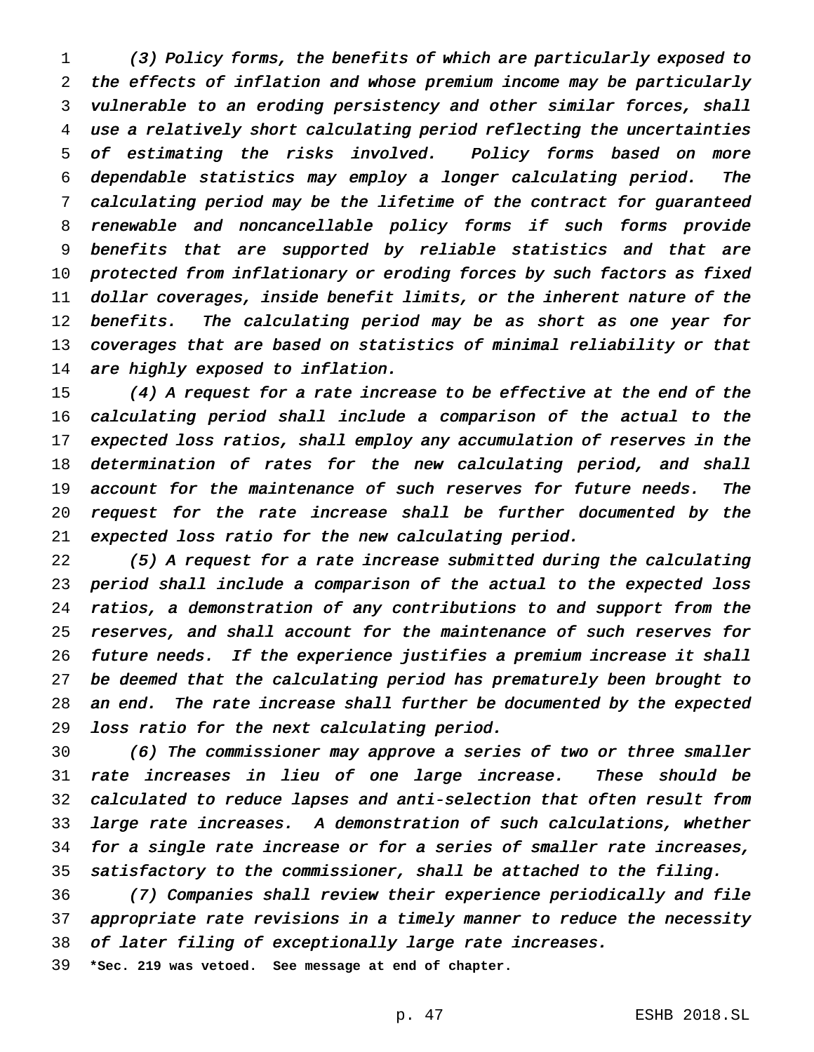(3) Policy forms, the benefits of which are particularly exposed to the effects of inflation and whose premium income may be particularly vulnerable to an eroding persistency and other similar forces, shall use <sup>a</sup> relatively short calculating period reflecting the uncertainties of estimating the risks involved. Policy forms based on more dependable statistics may employ <sup>a</sup> longer calculating period. The calculating period may be the lifetime of the contract for guaranteed renewable and noncancellable policy forms if such forms provide benefits that are supported by reliable statistics and that are protected from inflationary or eroding forces by such factors as fixed dollar coverages, inside benefit limits, or the inherent nature of the 12 benefits. The calculating period may be as short as one year for coverages that are based on statistics of minimal reliability or that 14 are highly exposed to inflation.

 (4) <sup>A</sup> request for <sup>a</sup> rate increase to be effective at the end of the calculating period shall include <sup>a</sup> comparison of the actual to the expected loss ratios, shall employ any accumulation of reserves in the determination of rates for the new calculating period, and shall 19 account for the maintenance of such reserves for future needs. The request for the rate increase shall be further documented by the expected loss ratio for the new calculating period.

 (5) <sup>A</sup> request for <sup>a</sup> rate increase submitted during the calculating period shall include <sup>a</sup> comparison of the actual to the expected loss ratios, <sup>a</sup> demonstration of any contributions to and support from the reserves, and shall account for the maintenance of such reserves for future needs. If the experience justifies <sup>a</sup> premium increase it shall be deemed that the calculating period has prematurely been brought to an end. The rate increase shall further be documented by the expected loss ratio for the next calculating period.

 (6) The commissioner may approve <sup>a</sup> series of two or three smaller rate increases in lieu of one large increase. These should be calculated to reduce lapses and anti-selection that often result from large rate increases. <sup>A</sup> demonstration of such calculations, whether for <sup>a</sup> single rate increase or for <sup>a</sup> series of smaller rate increases, satisfactory to the commissioner, shall be attached to the filing.

 (7) Companies shall review their experience periodically and file appropriate rate revisions in <sup>a</sup> timely manner to reduce the necessity of later filing of exceptionally large rate increases.

**\*Sec. 219 was vetoed. See message at end of chapter.**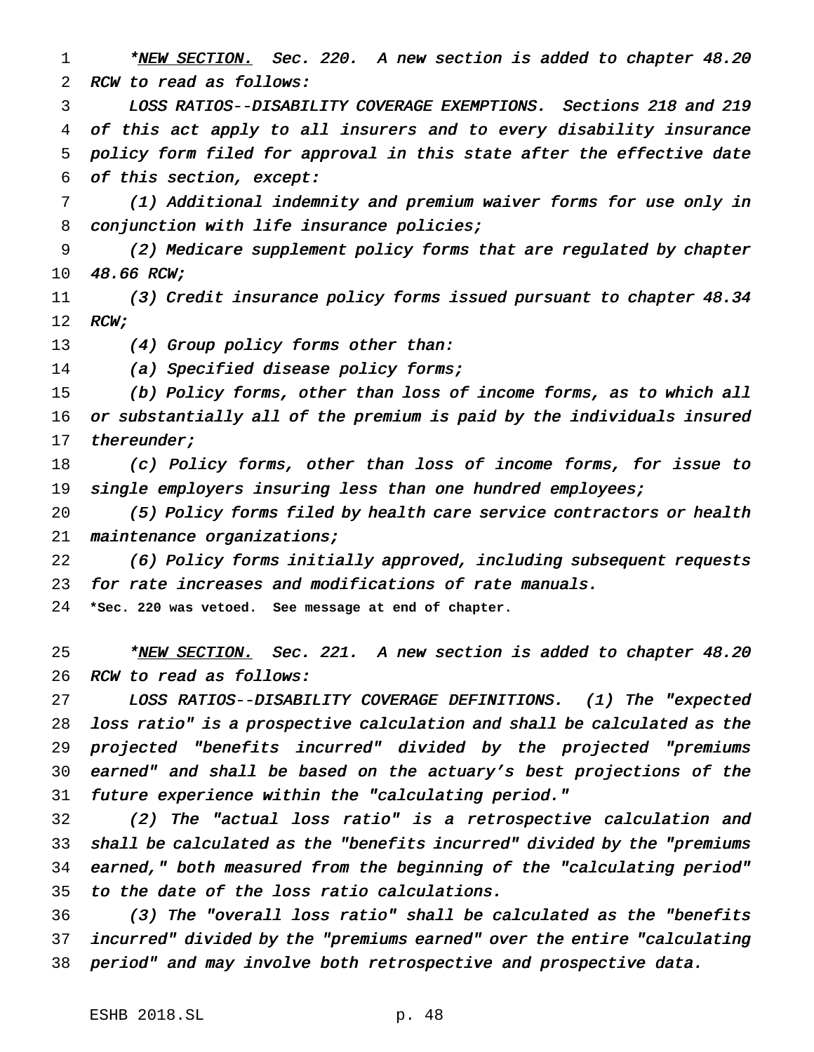1 \*NEW SECTION. Sec. 220. A new section is added to chapter 48.20 RCW to read as follows:

 LOSS RATIOS--DISABILITY COVERAGE EXEMPTIONS. Sections <sup>218</sup> and <sup>219</sup> of this act apply to all insurers and to every disability insurance policy form filed for approval in this state after the effective date of this section, except:

 (1) Additional indemnity and premium waiver forms for use only in 8 conjunction with life insurance policies;

 (2) Medicare supplement policy forms that are regulated by chapter 48.66 RCW;

11 (3) Credit insurance policy forms issued pursuant to chapter 48.34 12 RCW;

13 (4) Group policy forms other than:

(a) Specified disease policy forms;

 (b) Policy forms, other than loss of income forms, as to which all or substantially all of the premium is paid by the individuals insured 17 thereunder;

 (c) Policy forms, other than loss of income forms, for issue to 19 single employers insuring less than one hundred employees;

 (5) Policy forms filed by health care service contractors or health 21 maintenance organizations;

 (6) Policy forms initially approved, including subsequent requests for rate increases and modifications of rate manuals.

**\*Sec. 220 was vetoed. See message at end of chapter.**

<sup>25</sup> \*<u>NEW SECTION.</u> Sec. 221. A new section is added to chapter 48.20 RCW to read as follows:

 LOSS RATIOS--DISABILITY COVERAGE DEFINITIONS. (1) The "expected loss ratio" is <sup>a</sup> prospective calculation and shall be calculated as the projected "benefits incurred" divided by the projected "premiums earned" and shall be based on the actuary's best projections of the future experience within the "calculating period."

 (2) The "actual loss ratio" is <sup>a</sup> retrospective calculation and shall be calculated as the "benefits incurred" divided by the "premiums earned," both measured from the beginning of the "calculating period" to the date of the loss ratio calculations.

 (3) The "overall loss ratio" shall be calculated as the "benefits incurred" divided by the "premiums earned" over the entire "calculating period" and may involve both retrospective and prospective data.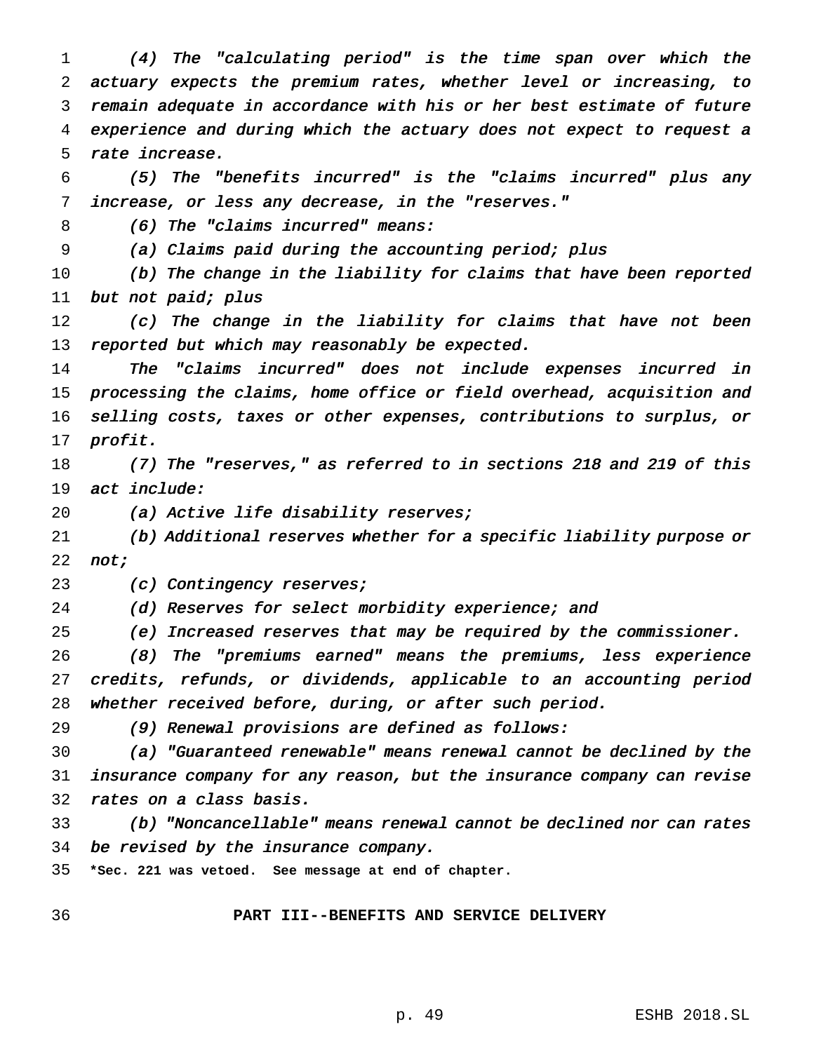(4) The "calculating period" is the time span over which the actuary expects the premium rates, whether level or increasing, to remain adequate in accordance with his or her best estimate of future experience and during which the actuary does not expect to request <sup>a</sup> rate increase.

 (5) The "benefits incurred" is the "claims incurred" plus any increase, or less any decrease, in the "reserves."

(6) The "claims incurred" means:

(a) Claims paid during the accounting period; plus

 (b) The change in the liability for claims that have been reported but not paid; plus

12 (c) The change in the liability for claims that have not been 13 reported but which may reasonably be expected.

 The "claims incurred" does not include expenses incurred in processing the claims, home office or field overhead, acquisition and selling costs, taxes or other expenses, contributions to surplus, or profit.

 (7) The "reserves," as referred to in sections <sup>218</sup> and <sup>219</sup> of this act include:

20 (a) Active life disability reserves;

 (b) Additional reserves whether for <sup>a</sup> specific liability purpose or 22 not;

23 (c) Contingency reserves;

(d) Reserves for select morbidity experience; and

(e) Increased reserves that may be required by the commissioner.

 (8) The "premiums earned" means the premiums, less experience credits, refunds, or dividends, applicable to an accounting period whether received before, during, or after such period.

(9) Renewal provisions are defined as follows:

 (a) "Guaranteed renewable" means renewal cannot be declined by the insurance company for any reason, but the insurance company can revise rates on <sup>a</sup> class basis.

 (b) "Noncancellable" means renewal cannot be declined nor can rates be revised by the insurance company.

**\*Sec. 221 was vetoed. See message at end of chapter.**

**PART III--BENEFITS AND SERVICE DELIVERY**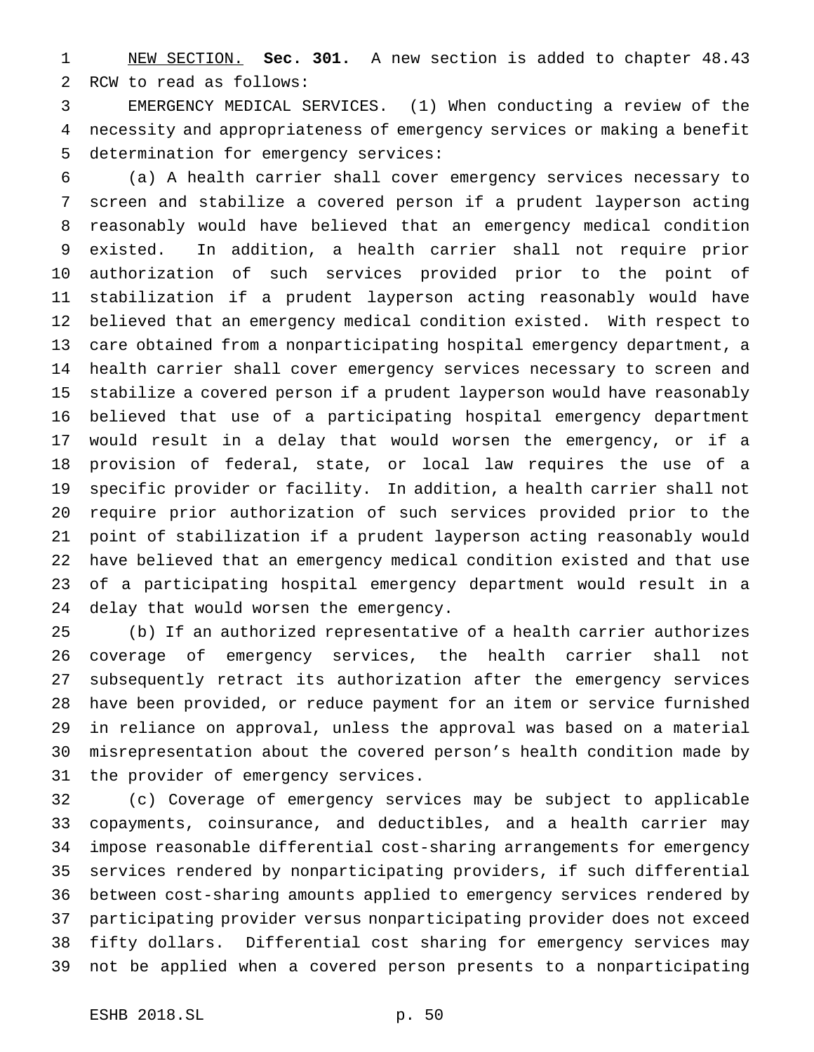NEW SECTION. **Sec. 301.** A new section is added to chapter 48.43 RCW to read as follows:

 EMERGENCY MEDICAL SERVICES. (1) When conducting a review of the necessity and appropriateness of emergency services or making a benefit determination for emergency services:

 (a) A health carrier shall cover emergency services necessary to screen and stabilize a covered person if a prudent layperson acting reasonably would have believed that an emergency medical condition existed. In addition, a health carrier shall not require prior authorization of such services provided prior to the point of stabilization if a prudent layperson acting reasonably would have believed that an emergency medical condition existed. With respect to care obtained from a nonparticipating hospital emergency department, a health carrier shall cover emergency services necessary to screen and stabilize a covered person if a prudent layperson would have reasonably believed that use of a participating hospital emergency department would result in a delay that would worsen the emergency, or if a provision of federal, state, or local law requires the use of a specific provider or facility. In addition, a health carrier shall not require prior authorization of such services provided prior to the point of stabilization if a prudent layperson acting reasonably would have believed that an emergency medical condition existed and that use of a participating hospital emergency department would result in a delay that would worsen the emergency.

 (b) If an authorized representative of a health carrier authorizes coverage of emergency services, the health carrier shall not subsequently retract its authorization after the emergency services have been provided, or reduce payment for an item or service furnished in reliance on approval, unless the approval was based on a material misrepresentation about the covered person's health condition made by the provider of emergency services.

 (c) Coverage of emergency services may be subject to applicable copayments, coinsurance, and deductibles, and a health carrier may impose reasonable differential cost-sharing arrangements for emergency services rendered by nonparticipating providers, if such differential between cost-sharing amounts applied to emergency services rendered by participating provider versus nonparticipating provider does not exceed fifty dollars. Differential cost sharing for emergency services may not be applied when a covered person presents to a nonparticipating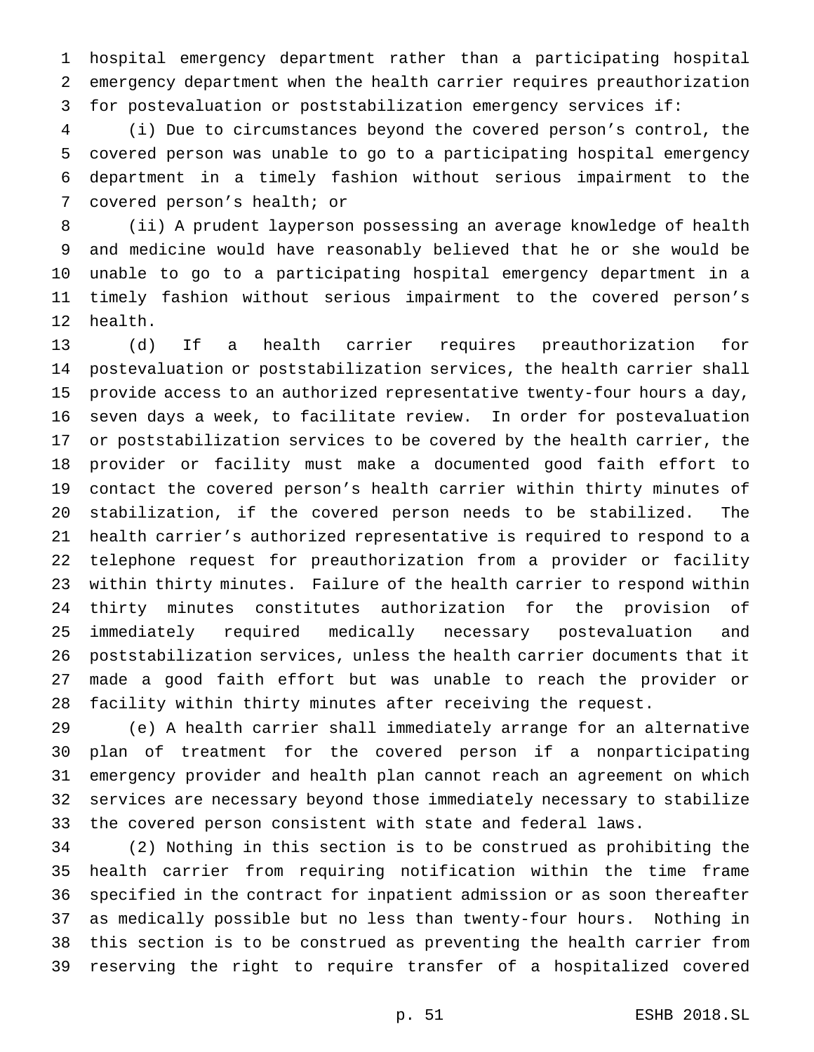hospital emergency department rather than a participating hospital emergency department when the health carrier requires preauthorization for postevaluation or poststabilization emergency services if:

 (i) Due to circumstances beyond the covered person's control, the covered person was unable to go to a participating hospital emergency department in a timely fashion without serious impairment to the covered person's health; or

 (ii) A prudent layperson possessing an average knowledge of health and medicine would have reasonably believed that he or she would be unable to go to a participating hospital emergency department in a timely fashion without serious impairment to the covered person's health.

 (d) If a health carrier requires preauthorization for postevaluation or poststabilization services, the health carrier shall provide access to an authorized representative twenty-four hours a day, seven days a week, to facilitate review. In order for postevaluation or poststabilization services to be covered by the health carrier, the provider or facility must make a documented good faith effort to contact the covered person's health carrier within thirty minutes of stabilization, if the covered person needs to be stabilized. The health carrier's authorized representative is required to respond to a telephone request for preauthorization from a provider or facility within thirty minutes. Failure of the health carrier to respond within thirty minutes constitutes authorization for the provision of immediately required medically necessary postevaluation and poststabilization services, unless the health carrier documents that it made a good faith effort but was unable to reach the provider or facility within thirty minutes after receiving the request.

 (e) A health carrier shall immediately arrange for an alternative plan of treatment for the covered person if a nonparticipating emergency provider and health plan cannot reach an agreement on which services are necessary beyond those immediately necessary to stabilize the covered person consistent with state and federal laws.

 (2) Nothing in this section is to be construed as prohibiting the health carrier from requiring notification within the time frame specified in the contract for inpatient admission or as soon thereafter as medically possible but no less than twenty-four hours. Nothing in this section is to be construed as preventing the health carrier from reserving the right to require transfer of a hospitalized covered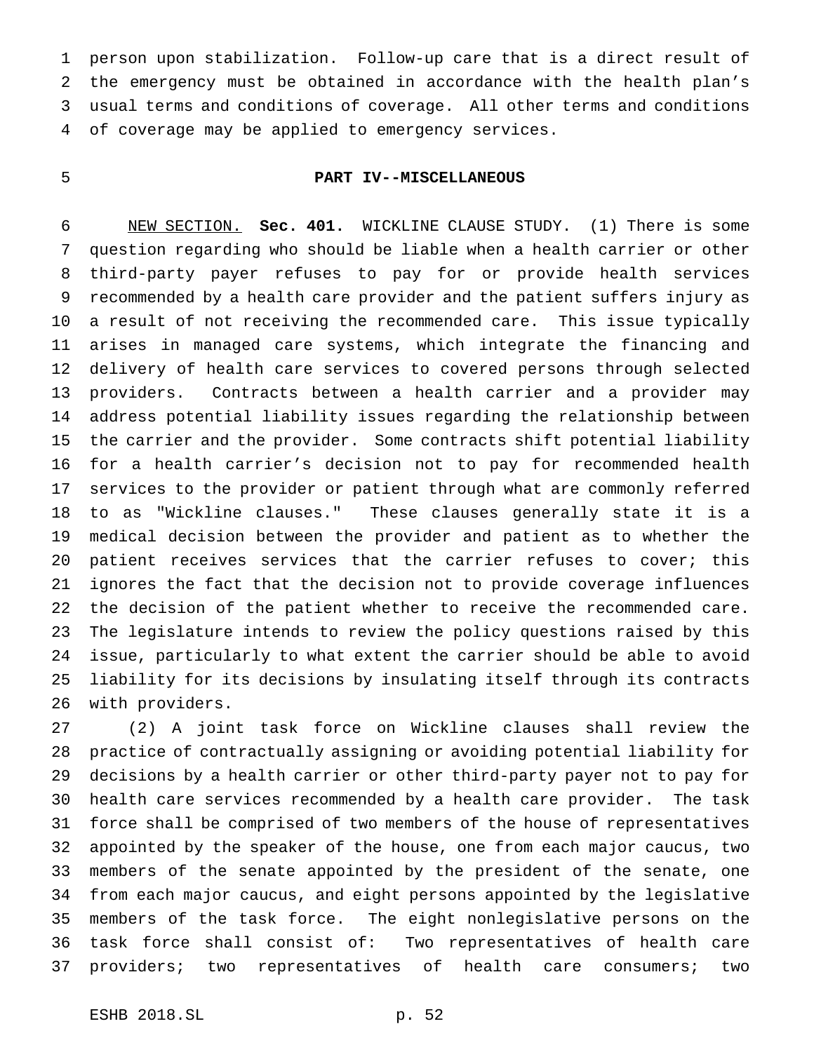person upon stabilization. Follow-up care that is a direct result of the emergency must be obtained in accordance with the health plan's usual terms and conditions of coverage. All other terms and conditions of coverage may be applied to emergency services.

# **PART IV--MISCELLANEOUS**

 NEW SECTION. **Sec. 401.** WICKLINE CLAUSE STUDY. (1) There is some question regarding who should be liable when a health carrier or other third-party payer refuses to pay for or provide health services recommended by a health care provider and the patient suffers injury as a result of not receiving the recommended care. This issue typically arises in managed care systems, which integrate the financing and delivery of health care services to covered persons through selected providers. Contracts between a health carrier and a provider may address potential liability issues regarding the relationship between the carrier and the provider. Some contracts shift potential liability for a health carrier's decision not to pay for recommended health services to the provider or patient through what are commonly referred to as "Wickline clauses." These clauses generally state it is a medical decision between the provider and patient as to whether the 20 patient receives services that the carrier refuses to cover; this ignores the fact that the decision not to provide coverage influences the decision of the patient whether to receive the recommended care. The legislature intends to review the policy questions raised by this issue, particularly to what extent the carrier should be able to avoid liability for its decisions by insulating itself through its contracts with providers.

 (2) A joint task force on Wickline clauses shall review the practice of contractually assigning or avoiding potential liability for decisions by a health carrier or other third-party payer not to pay for health care services recommended by a health care provider. The task force shall be comprised of two members of the house of representatives appointed by the speaker of the house, one from each major caucus, two members of the senate appointed by the president of the senate, one from each major caucus, and eight persons appointed by the legislative members of the task force. The eight nonlegislative persons on the task force shall consist of: Two representatives of health care providers; two representatives of health care consumers; two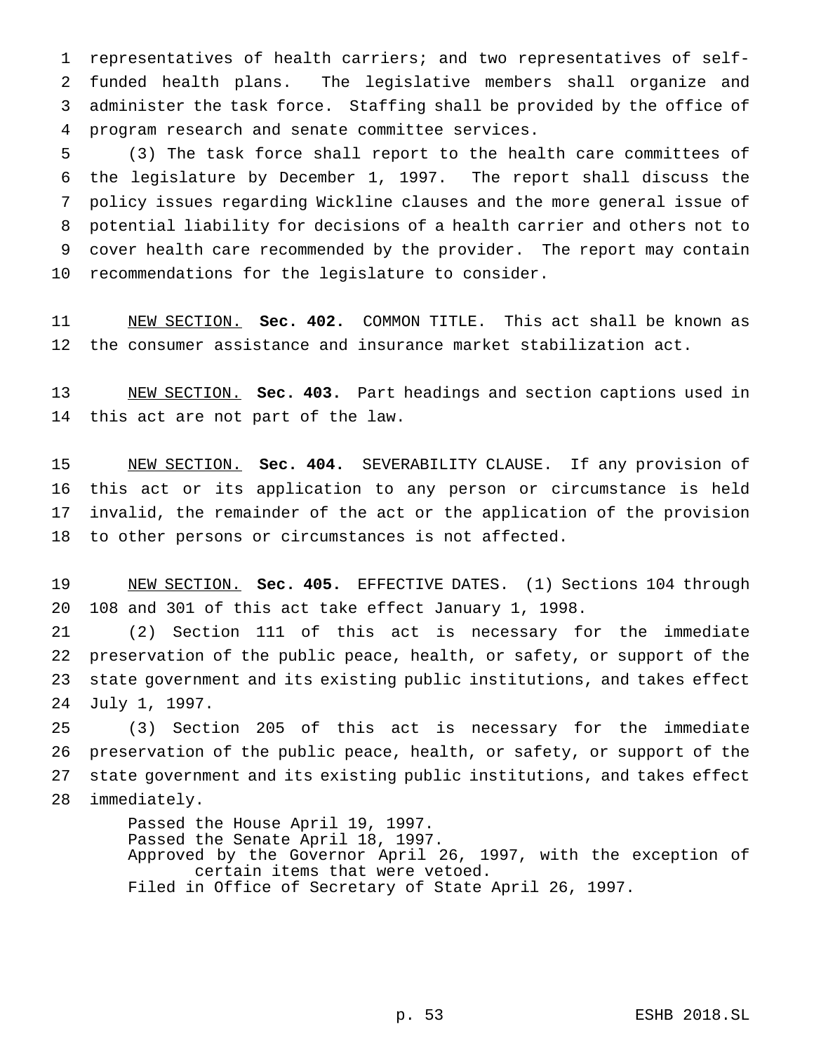representatives of health carriers; and two representatives of self- funded health plans. The legislative members shall organize and administer the task force. Staffing shall be provided by the office of program research and senate committee services.

 (3) The task force shall report to the health care committees of the legislature by December 1, 1997. The report shall discuss the policy issues regarding Wickline clauses and the more general issue of potential liability for decisions of a health carrier and others not to cover health care recommended by the provider. The report may contain recommendations for the legislature to consider.

 NEW SECTION. **Sec. 402.** COMMON TITLE. This act shall be known as the consumer assistance and insurance market stabilization act.

 NEW SECTION. **Sec. 403.** Part headings and section captions used in this act are not part of the law.

 NEW SECTION. **Sec. 404.** SEVERABILITY CLAUSE. If any provision of this act or its application to any person or circumstance is held invalid, the remainder of the act or the application of the provision to other persons or circumstances is not affected.

 NEW SECTION. **Sec. 405.** EFFECTIVE DATES. (1) Sections 104 through 108 and 301 of this act take effect January 1, 1998.

 (2) Section 111 of this act is necessary for the immediate preservation of the public peace, health, or safety, or support of the state government and its existing public institutions, and takes effect July 1, 1997.

 (3) Section 205 of this act is necessary for the immediate preservation of the public peace, health, or safety, or support of the state government and its existing public institutions, and takes effect immediately.

> Passed the House April 19, 1997. Passed the Senate April 18, 1997. Approved by the Governor April 26, 1997, with the exception of certain items that were vetoed. Filed in Office of Secretary of State April 26, 1997.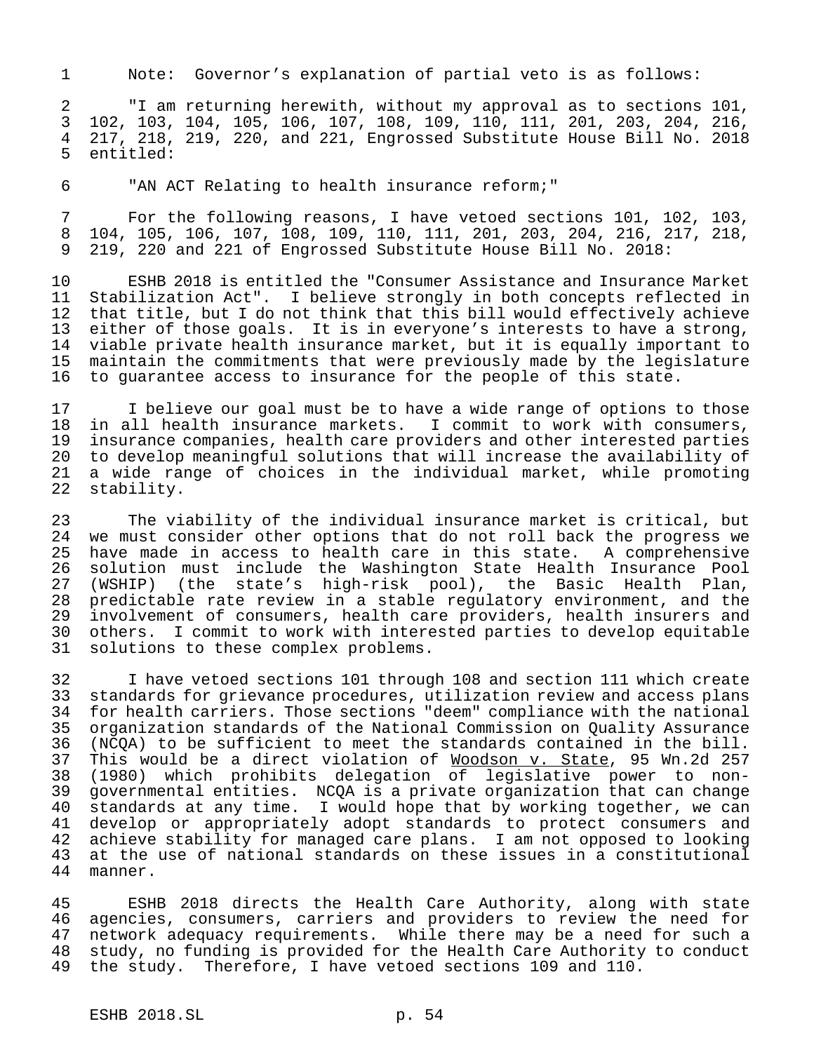Note: Governor's explanation of partial veto is as follows:

 "I am returning herewith, without my approval as to sections 101, 102, 103, 104, 105, 106, 107, 108, 109, 110, 111, 201, 203, 204, 216, 217, 218, 219, 220, and 221, Engrossed Substitute House Bill No. 2018 entitled:

"AN ACT Relating to health insurance reform;"

 For the following reasons, I have vetoed sections 101, 102, 103, 104, 105, 106, 107, 108, 109, 110, 111, 201, 203, 204, 216, 217, 218, 219, 220 and 221 of Engrossed Substitute House Bill No. 2018:

 ESHB 2018 is entitled the "Consumer Assistance and Insurance Market Stabilization Act". I believe strongly in both concepts reflected in that title, but I do not think that this bill would effectively achieve either of those goals. It is in everyone's interests to have a strong, viable private health insurance market, but it is equally important to maintain the commitments that were previously made by the legislature to guarantee access to insurance for the people of this state.

 I believe our goal must be to have a wide range of options to those in all health insurance markets. I commit to work with consumers, insurance companies, health care providers and other interested parties to develop meaningful solutions that will increase the availability of 21 a wide range of choices in the individual market, while promoting<br>22 stability. stability.

 The viability of the individual insurance market is critical, but we must consider other options that do not roll back the progress we have made in access to health care in this state. A comprehensive solution must include the Washington State Health Insurance Pool (WSHIP) (the state's high-risk pool), the Basic Health Plan, predictable rate review in a stable regulatory environment, and the involvement of consumers, health care providers, health insurers and others. I commit to work with interested parties to develop equitable solutions to these complex problems.

 I have vetoed sections 101 through 108 and section 111 which create standards for grievance procedures, utilization review and access plans for health carriers. Those sections "deem" compliance with the national organization standards of the National Commission on Quality Assurance (NCQA) to be sufficient to meet the standards contained in the bill. This would be a direct violation of Woodson v. State, 95 Wn.2d 257 (1980) which prohibits delegation of legislative power to non- governmental entities. NCQA is a private organization that can change standards at any time. I would hope that by working together, we can 41 develop or appropriately adopt standards to protect consumers and<br>42 achieve stability for managed care plans. I am not opposed to looking achieve stability for managed care plans. I am not opposed to looking 43 at the use of national standards on these issues in a constitutional<br>44 manner. manner.

 ESHB 2018 directs the Health Care Authority, along with state agencies, consumers, carriers and providers to review the need for network adequacy requirements. While there may be a need for such a study, no funding is provided for the Health Care Authority to conduct the study. Therefore, I have vetoed sections 109 and 110.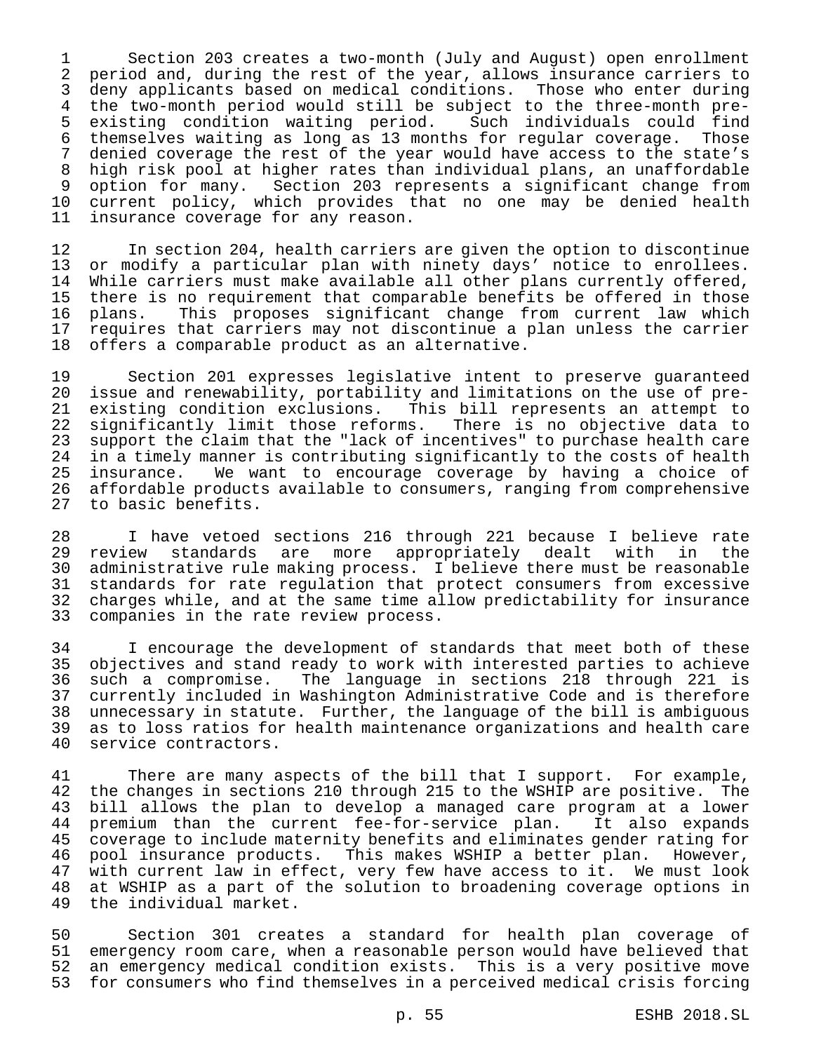1 Section 203 creates a two-month (July and August) open enrollment 2 period and, during the rest of the year, allows insurance carriers to 3 deny applicants based on medical conditions. Those who enter during 4 the two-month period would still be subject to the three-month pre-5 existing condition waiting period. Such individuals could find<br>6 themselves waiting as long as 13 months for regular coverage. Those 6 themselves waiting as long as 13 months for regular coverage. Those<br>7 denied coverage the rest of the year would have access to the state's denied coverage the rest of the year would have access to the state's 8 high risk pool at higher rates than individual plans, an unaffordable 9 option for many. Section 203 represents a significant change from 10 current policy, which provides that no one may be denied health<br>11 insurance coverage for any reason. insurance coverage for any reason.

12 In section 204, health carriers are given the option to discontinue<br>13 or modify a particular plan with ninety days' notice to enrollees. or modify a particular plan with ninety days' notice to enrollees. 14 While carriers must make available all other plans currently offered, 15 there is no requirement that comparable benefits be offered in those 16 plans. This proposes significant change from current law which 17 requires that carriers may not discontinue a plan unless the carrier<br>18 offers a comparable product as an alternative. offers a comparable product as an alternative.

 Section 201 expresses legislative intent to preserve guaranteed issue and renewability, portability and limitations on the use of preexisting condition exclusions. This bill represents an attempt to significantly limit those reforms. There is no objective data to support the claim that the "lack of incentives" to purchase health care in a timely manner is contributing significantly to the costs of health 25 insurance. We want to encourage coverage by having a choice of<br>26 affordable products available to consumers, ranging from comprehensive affordable products available to consumers, ranging from comprehensive to basic benefits.

28 I have vetoed sections 216 through 221 because I believe rate 29 review standards are more appropriately dealt with in the<br>30 administrative-rule-making-process. I-believe-there-must-be-reasonable 30 administrative rule making process. I believe there must be reasonable<br>31 standards for rate regulation that protect consumers from excessive standards for rate regulation that protect consumers from excessive 32 charges while, and at the same time allow predictability for insurance 33 companies in the rate review process.

34 I encourage the development of standards that meet both of these<br>35 objectives and stand ready to work with interested parties to achieve 35 objectives and stand ready to work with interested parties to achieve 36 such a compromise. The language in sections 218 through 221 is 37 currently included in Washington Administrative Code and is therefore 38 unnecessary in statute. Further, the language of the bill is ambiguous 39 as to loss ratios for health maintenance organizations and health care<br>40 service contractors. service contractors.

41 There are many aspects of the bill that I support. For example, 42 the changes in sections 210 through 215 to the WSHIP are positive. The 43 bill allows the plan to develop a managed care program at a lower 44 premium than the current fee-for-service plan. It also expands<br>45 coverage to include maternity benefits and eliminates gender rating for coverage to include maternity benefits and eliminates gender rating for 46 pool insurance products. This makes WSHIP a better plan. However, with current law in effect, very few have access to it. We must look 48 at WSHIP as a part of the solution to broadening coverage options in<br>49 the individual market. the individual market.

 Section 301 creates a standard for health plan coverage of emergency room care, when a reasonable person would have believed that an emergency medical condition exists. This is a very positive move for consumers who find themselves in a perceived medical crisis forcing